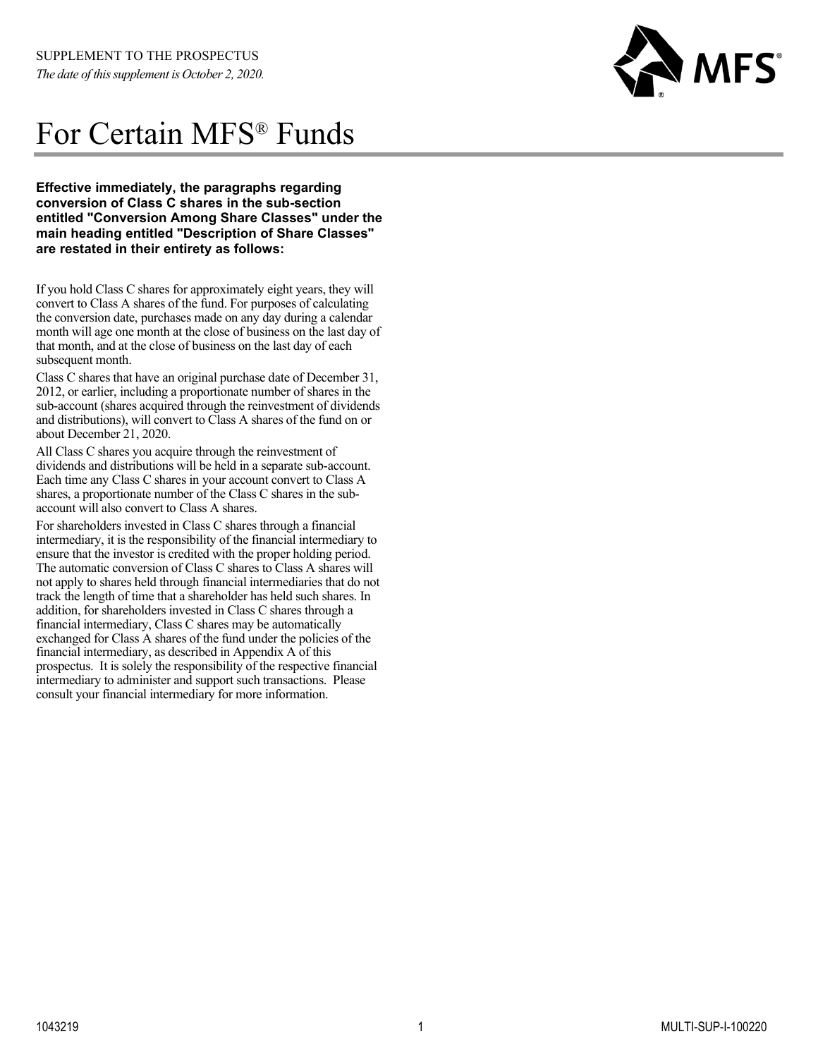

# For Certain MFS® Funds

 **Effective immediately, the paragraphs regarding conversion of Class C shares in the sub-section entitled "Conversion Among Share Classes" under the main heading entitled "Description of Share Classes" are restated in their entirety as follows:** 

If you hold Class C shares for approximately eight years, they will convert to Class A shares of the fund. For purposes of calculating the conversion date, purchases made on any day during a calendar month will age one month at the close of business on the last day of that month, and at the close of business on the last day of each subsequent month.

Class C shares that have an original purchase date of December 31, 2012, or earlier, including a proportionate number of shares in the sub-account (shares acquired through the reinvestment of dividends and distributions), will convert to Class A shares of the fund on or about December 21, 2020.

All Class C shares you acquire through the reinvestment of dividends and distributions will be held in a separate sub-account. Each time any Class C shares in your account convert to Class A shares, a proportionate number of the Class C shares in the subaccount will also convert to Class A shares.

For shareholders invested in Class C shares through a financial intermediary, it is the responsibility of the financial intermediary to ensure that the investor is credited with the proper holding period. The automatic conversion of Class C shares to Class A shares will not apply to shares held through financial intermediaries that do not track the length of time that a shareholder has held such shares. In addition, for shareholders invested in Class C shares through a financial intermediary, Class C shares may be automatically exchanged for Class A shares of the fund under the policies of the financial intermediary, as described in Appendix A of this prospectus. It is solely the responsibility of the respective financial intermediary to administer and support such transactions. Please consult your financial intermediary for more information.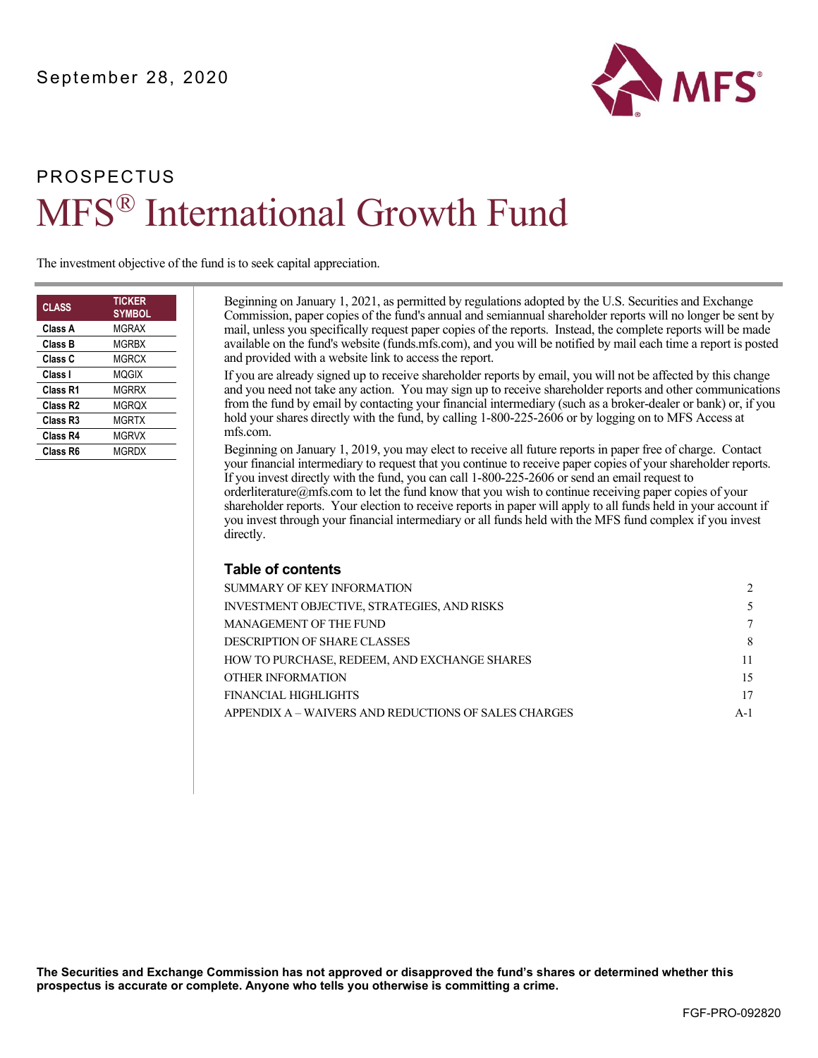

# PROSPECTUS MFS® International Growth Fund

The investment objective of the fund is to seek capital appreciation.

| <b>CLASS</b>         | <b>TICKER</b><br><b>SYMBOL</b> |
|----------------------|--------------------------------|
| Class A              | MGRAX                          |
| Class B              | MGRBX                          |
| Class C              | MGRCX                          |
| Class I              | MOGIX                          |
| Class R1             | MGRRX                          |
| Class R <sub>2</sub> | MGROX                          |
| Class R <sub>3</sub> | MGRTX                          |
| Class R4             | MGRVX                          |
| Class R6             | <b>MGRDX</b>                   |
|                      |                                |

Beginning on January 1, 2021, as permitted by regulations adopted by the U.S. Securities and Exchange Commission, paper copies of the fund's annual and semiannual shareholder reports will no longer be sent by mail, unless you specifically request paper copies of the reports. Instead, the complete reports will be made available on the fund's website [\(funds.mfs.com\)](http://funds.mfs.com), and you will be notified by mail each time a report is posted and provided with a website link to access the report.

If you are already signed up to receive shareholder reports by email, you will not be affected by this change and you need not take any action. You may sign up to receive shareholder reports and other communications from the fund by email by contacting your financial intermediary (such as a broker-dealer or bank) or, if you hold your shares directly with the fund, by calling 1-800-225-2606 or by logging on to MFS Access at [mfs.com.](http://mfs.com) 

Beginning on January 1, 2019, you may elect to receive all future reports in paper free of charge. Contact your financial intermediary to request that you continue to receive paper copies of your shareholder reports. If you invest directly with the fund, you can call 1-800-225-2606 or send an email request to [orderliterature@mfs.com t](mailto:orderliterature@mfs.com)o let the fund know that you wish to continue receiving paper copies of your shareholder reports. Your election to receive reports in paper will apply to all funds held in your account if you invest through your financial intermediary or all funds held with the MFS fund complex if you invest directly.

#### **Table of contents**

| SUMMARY OF KEY INFORMATION                           | $\mathcal{D}$ |
|------------------------------------------------------|---------------|
| <b>INVESTMENT OBJECTIVE, STRATEGIES, AND RISKS</b>   |               |
| <b>MANAGEMENT OF THE FUND</b>                        | 7             |
| <b>DESCRIPTION OF SHARE CLASSES</b>                  | 8             |
| HOW TO PURCHASE. REDEEM. AND EXCHANGE SHARES         | 11            |
| OTHER INFORMATION                                    | 15            |
| FINANCIAL HIGHLIGHTS                                 | 17            |
| APPENDIX A – WAIVERS AND REDUCTIONS OF SALES CHARGES | $A-1$         |
|                                                      |               |

**The Securities and Exchange Commission has not approved or disapproved the fund's shares or determined whether this prospectus is accurate or complete. Anyone who tells you otherwise is committing a crime.**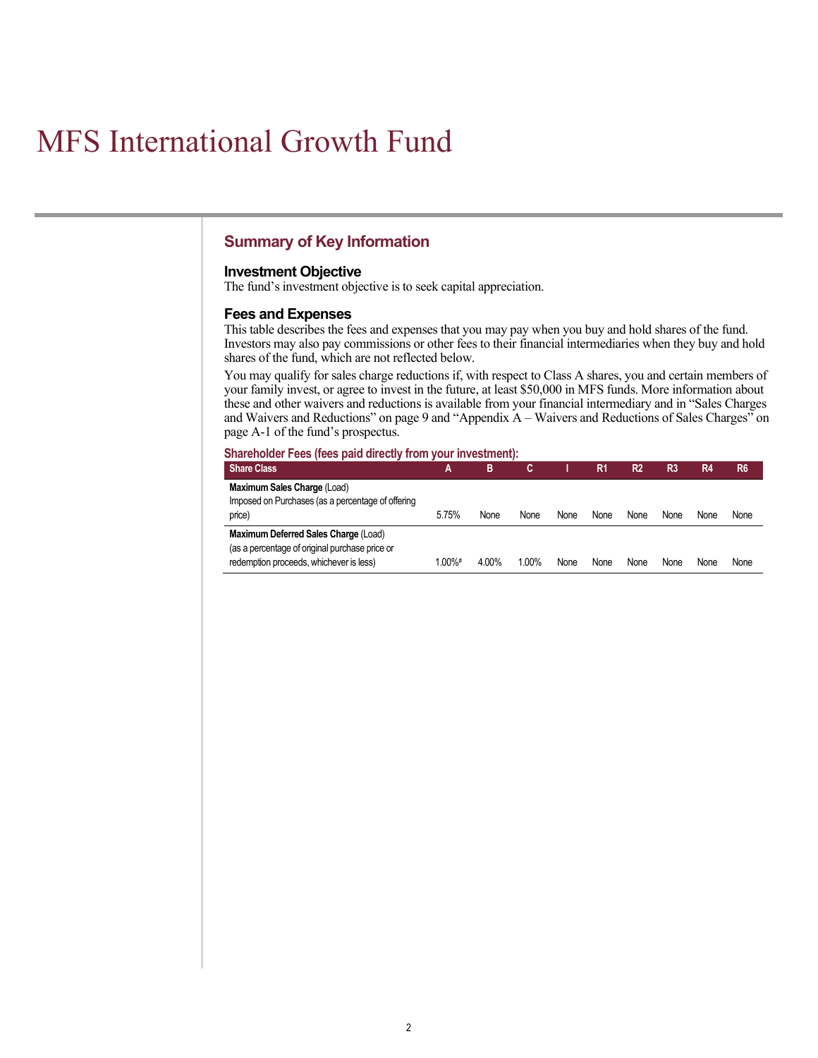# <span id="page-2-0"></span>MFS International Growth Fund

## **Summary of Key Information**

#### **Investment Objective**

The fund's investment objective is to seek capital appreciation.

#### **Fees and Expenses**

This table describes the fees and expenses that you may pay when you buy and hold shares of the fund. Investors may also pay commissions or other fees to their financial intermediaries when they buy and hold shares of the fund, which are not reflected below.

You may qualify for sales charge reductions if, with respect to Class A shares, you and certain members of your family invest, or agree to invest in the future, at least \$50,000 in MFS funds. More information about these and other waivers and reductions is available from your financial intermediary and in "Sales Charges and Waivers and Reductions" on page 9 and "Appendix A – Waivers and Reductions of Sales Charges" on page A-1 of the fund's prospectus.

#### **Shareholder Fees (fees paid directly from your investment):**

| <b>Share Class</b>                                | А          | в     |       |      | R1   | R2   | R <sub>3</sub> | R4   | R <sub>6</sub> |
|---------------------------------------------------|------------|-------|-------|------|------|------|----------------|------|----------------|
| Maximum Sales Charge (Load)                       |            |       |       |      |      |      |                |      |                |
| Imposed on Purchases (as a percentage of offering |            |       |       |      |      |      |                |      |                |
| price)                                            | 5.75%      | None  | None  | None | None | None | None           | None | None           |
| Maximum Deferred Sales Charge (Load)              |            |       |       |      |      |      |                |      |                |
| (as a percentage of original purchase price or    |            |       |       |      |      |      |                |      |                |
| redemption proceeds, whichever is less)           | $1.00\%$ # | 4.00% | 1.00% | None | None | None | None           | None | None           |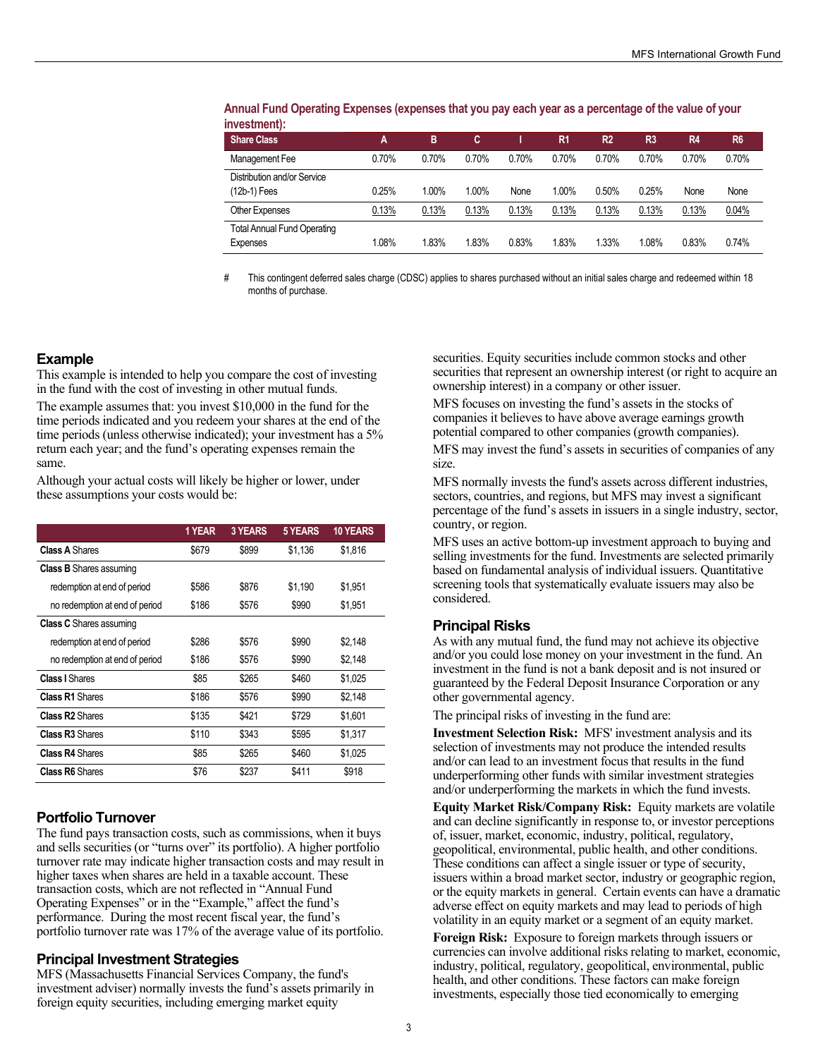| 11110001110111111                  |       |       |       |       |       |                |                |                |                |
|------------------------------------|-------|-------|-------|-------|-------|----------------|----------------|----------------|----------------|
| <b>Share Class</b>                 | A     | в     | C     |       | R1    | R <sub>2</sub> | R <sub>3</sub> | R <sub>4</sub> | R <sub>6</sub> |
| Management Fee                     | 0.70% | 0.70% | 0.70% | 0.70% | 0.70% | 0.70%          | 0.70%          | 0.70%          | 0.70%          |
| Distribution and/or Service        |       |       |       |       |       |                |                |                |                |
| (12b-1) Fees                       | 0.25% | 1.00% | 1.00% | None  | 1.00% | 0.50%          | 0.25%          | None           | None           |
| Other Expenses                     | 0.13% | 0.13% | 0.13% | 0.13% | 0.13% | 0.13%          | 0.13%          | 0.13%          | 0.04%          |
| <b>Total Annual Fund Operating</b> |       |       |       |       |       |                |                |                |                |
| Expenses                           | 1.08% | 1.83% | 1.83% | 0.83% | 1.83% | 1.33%          | 1.08%          | 0.83%          | 0.74%          |

**Annual Fund Operating Expenses (expenses that you pay each year as a percentage of the value of your investment):** 

# This contingent deferred sales charge (CDSC) applies to shares purchased without an initial sales charge and redeemed within 18 months of purchase.

#### **Example**

This example is intended to help you compare the cost of investing in the fund with the cost of investing in other mutual funds.

The example assumes that: you invest \$10,000 in the fund for the time periods indicated and you redeem your shares at the end of the time periods (unless otherwise indicated); your investment has a 5% return each year; and the fund's operating expenses remain the same.

Although your actual costs will likely be higher or lower, under these assumptions your costs would be:

|                                | 1 YEAR | <b>3 YEARS</b> | 5 YEARS | <b>10 YEARS</b> |
|--------------------------------|--------|----------------|---------|-----------------|
| <b>Class A Shares</b>          | \$679  | \$899          | \$1,136 | \$1.816         |
| <b>Class B</b> Shares assuming |        |                |         |                 |
| redemption at end of period    | \$586  | \$876          | \$1,190 | \$1.951         |
| no redemption at end of period | \$186  | \$576          | \$990   | \$1,951         |
| <b>Class C</b> Shares assuming |        |                |         |                 |
| redemption at end of period    | \$286  | \$576          | \$990   | \$2.148         |
| no redemption at end of period | \$186  | \$576          | \$990   | \$2,148         |
| <b>Class I Shares</b>          | \$85   | \$265          | \$460   | \$1,025         |
| <b>Class R1 Shares</b>         | \$186  | \$576          | \$990   | \$2,148         |
| <b>Class R2</b> Shares         | \$135  | \$421          | \$729   | \$1.601         |
| <b>Class R3 Shares</b>         | \$110  | \$343          | \$595   | \$1,317         |
| <b>Class R4 Shares</b>         | \$85   | \$265          | \$460   | \$1,025         |
| Class R6 Shares                | \$76   | \$237          | \$411   | \$918           |

#### **Portfolio Turnover**

The fund pays transaction costs, such as commissions, when it buys and sells securities (or "turns over" its portfolio). A higher portfolio turnover rate may indicate higher transaction costs and may result in higher taxes when shares are held in a taxable account. These transaction costs, which are not reflected in "Annual Fund Operating Expenses" or in the "Example," affect the fund's performance. During the most recent fiscal year, the fund's portfolio turnover rate was 17% of the average value of its portfolio.

#### **Principal Investment Strategies**

MFS (Massachusetts Financial Services Company, the fund's investment adviser) normally invests the fund's assets primarily in foreign equity securities, including emerging market equity

securities. Equity securities include common stocks and other securities that represent an ownership interest (or right to acquire an ownership interest) in a company or other issuer.

MFS focuses on investing the fund's assets in the stocks of companies it believes to have above average earnings growth potential compared to other companies (growth companies).

MFS may invest the fund's assets in securities of companies of any size.

MFS normally invests the fund's assets across different industries, sectors, countries, and regions, but MFS may invest a significant percentage of the fund's assets in issuers in a single industry, sector, country, or region.

MFS uses an active bottom-up investment approach to buying and selling investments for the fund. Investments are selected primarily based on fundamental analysis of individual issuers. Quantitative screening tools that systematically evaluate issuers may also be considered.

#### **Principal Risks**

As with any mutual fund, the fund may not achieve its objective and/or you could lose money on your investment in the fund. An investment in the fund is not a bank deposit and is not insured or guaranteed by the Federal Deposit Insurance Corporation or any other governmental agency.

The principal risks of investing in the fund are:

**Investment Selection Risk:** MFS' investment analysis and its selection of investments may not produce the intended results and/or can lead to an investment focus that results in the fund underperforming other funds with similar investment strategies and/or underperforming the markets in which the fund invests.

**Equity Market Risk/Company Risk:** Equity markets are volatile and can decline significantly in response to, or investor perceptions of, issuer, market, economic, industry, political, regulatory, geopolitical, environmental, public health, and other conditions. These conditions can affect a single issuer or type of security, issuers within a broad market sector, industry or geographic region, or the equity markets in general. Certain events can have a dramatic adverse effect on equity markets and may lead to periods of high volatility in an equity market or a segment of an equity market.

**Foreign Risk:** Exposure to foreign markets through issuers or currencies can involve additional risks relating to market, economic, industry, political, regulatory, geopolitical, environmental, public health, and other conditions. These factors can make foreign investments, especially those tied economically to emerging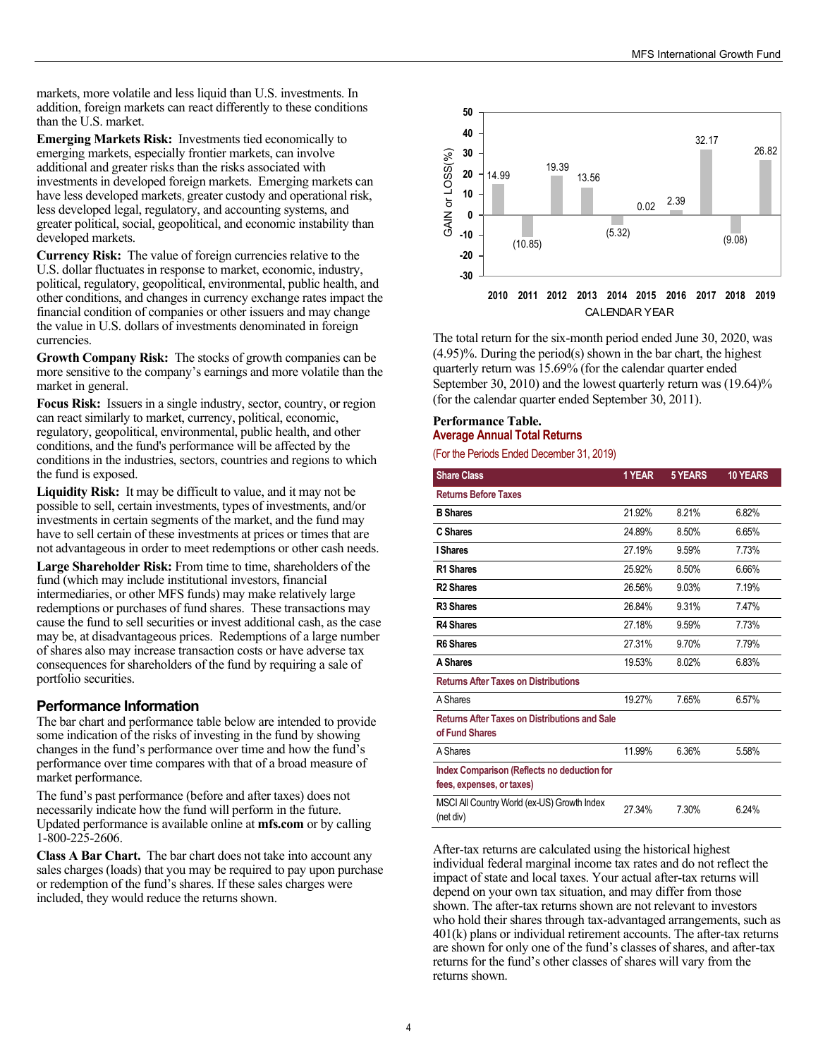markets, more volatile and less liquid than U.S. investments. In addition, foreign markets can react differently to these conditions than the U.S. market.

**Emerging Markets Risk:** Investments tied economically to emerging markets, especially frontier markets, can involve additional and greater risks than the risks associated with investments in developed foreign markets. Emerging markets can have less developed markets, greater custody and operational risk, less developed legal, regulatory, and accounting systems, and greater political, social, geopolitical, and economic instability than developed markets.

**Currency Risk:** The value of foreign currencies relative to the U.S. dollar fluctuates in response to market, economic, industry, political, regulatory, geopolitical, environmental, public health, and other conditions, and changes in currency exchange rates impact the financial condition of companies or other issuers and may change the value in U.S. dollars of investments denominated in foreign currencies.

**Growth Company Risk:** The stocks of growth companies can be more sensitive to the company's earnings and more volatile than the market in general.

**Focus Risk:** Issuers in a single industry, sector, country, or region can react similarly to market, currency, political, economic, regulatory, geopolitical, environmental, public health, and other conditions, and the fund's performance will be affected by the conditions in the industries, sectors, countries and regions to which the fund is exposed.

**Liquidity Risk:** It may be difficult to value, and it may not be possible to sell, certain investments, types of investments, and/or investments in certain segments of the market, and the fund may have to sell certain of these investments at prices or times that are not advantageous in order to meet redemptions or other cash needs.

**Large Shareholder Risk:** From time to time, shareholders of the fund (which may include institutional investors, financial intermediaries, or other MFS funds) may make relatively large redemptions or purchases of fund shares. These transactions may cause the fund to sell securities or invest additional cash, as the case may be, at disadvantageous prices. Redemptions of a large number of shares also may increase transaction costs or have adverse tax consequences for shareholders of the fund by requiring a sale of portfolio securities.

#### **Performance Information**

The bar chart and performance table below are intended to provide some indication of the risks of investing in the fund by showing changes in the fund's performance over time and how the fund's performance over time compares with that of a broad measure of market performance.

The fund's past performance (before and after taxes) does not necessarily indicate how the fund will perform in the future. Updated performance is available online at **[mfs.com](http://mfs.com)** or by calling 1-800-225-2606.

**Class A Bar Chart.** The bar chart does not take into account any sales charges (loads) that you may be required to pay upon purchase or redemption of the fund's shares. If these sales charges were included, they would reduce the returns shown.



The total return for the six-month period ended June 30, 2020, was (4.95)%. During the period(s) shown in the bar chart, the highest quarterly return was 15.69% (for the calendar quarter ended September 30, 2010) and the lowest quarterly return was  $(19.64)$ % (for the calendar quarter ended September 30, 2011).

#### **Performance Table. Average Annual Total Returns**

(For the Periods Ended December 31, 2019)

| <b>Share Class</b>                                                       | 1 YEAR | <b>5 YEARS</b> | <b>10 YEARS</b> |
|--------------------------------------------------------------------------|--------|----------------|-----------------|
| <b>Returns Before Taxes</b>                                              |        |                |                 |
| <b>B</b> Shares                                                          | 21.92% | 8.21%          | 6.82%           |
| C Shares                                                                 | 24.89% | 8.50%          | 6.65%           |
| I Shares                                                                 | 27.19% | 9.59%          | 7.73%           |
| R1 Shares                                                                | 25.92% | 8.50%          | 6.66%           |
| <b>R2 Shares</b>                                                         | 26.56% | 9.03%          | 7.19%           |
| R <sub>3</sub> Shares                                                    | 26.84% | 9.31%          | 7.47%           |
| <b>R4 Shares</b>                                                         | 27.18% | 9.59%          | 7.73%           |
| <b>R6 Shares</b>                                                         | 27.31% | 9.70%          | 7.79%           |
| A Shares                                                                 | 19.53% | 8.02%          | 6.83%           |
| <b>Returns After Taxes on Distributions</b>                              |        |                |                 |
| A Shares                                                                 | 19.27% | 7.65%          | 6.57%           |
| <b>Returns After Taxes on Distributions and Sale</b><br>of Fund Shares   |        |                |                 |
| A Shares                                                                 | 11.99% | 6.36%          | 5.58%           |
| Index Comparison (Reflects no deduction for<br>fees, expenses, or taxes) |        |                |                 |
| MSCI All Country World (ex-US) Growth Index<br>(net div)                 | 27.34% | 7.30%          | 6.24%           |

After-tax returns are calculated using the historical highest individual federal marginal income tax rates and do not reflect the impact of state and local taxes. Your actual after-tax returns will depend on your own tax situation, and may differ from those shown. The after-tax returns shown are not relevant to investors who hold their shares through tax-advantaged arrangements, such as 401(k) plans or individual retirement accounts. The after-tax returns are shown for only one of the fund's classes of shares, and after-tax returns for the fund's other classes of shares will vary from the returns shown.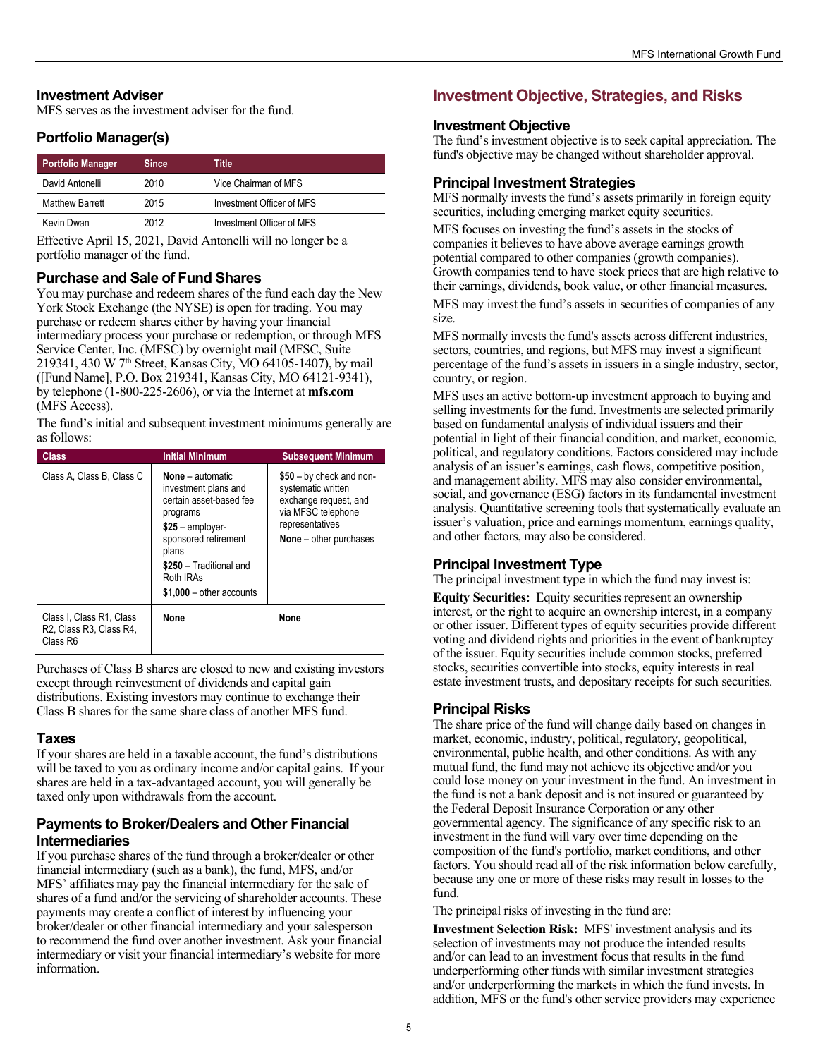#### <span id="page-5-0"></span>**Investment Adviser**

MFS serves as the investment adviser for the fund.

## **Portfolio Manager(s)**

| <b>Portfolio Manager</b> | <b>Since</b> | Title                     |  |
|--------------------------|--------------|---------------------------|--|
| David Antonelli          | 2010         | Vice Chairman of MFS      |  |
| Matthew Barrett          | 2015         | Investment Officer of MFS |  |
| Kevin Dwan               | 2012         | Investment Officer of MFS |  |

Effective April 15, 2021, David Antonelli will no longer be a portfolio manager of the fund.

#### **Purchase and Sale of Fund Shares**

You may purchase and redeem shares of the fund each day the New York Stock Exchange (the NYSE) is open for trading. You may purchase or redeem shares either by having your financial intermediary process your purchase or redemption, or through MFS Service Center, Inc. (MFSC) by overnight mail (MFSC, Suite 219341, 430 W  $7<sup>th</sup>$  Street, Kansas City, MO 64105-1407), by mail ([Fund Name], P.O. Box 219341, Kansas City, MO 64121-9341), by telephone (1-800-225-2606), or via the Internet at **[mfs.com](http://mfs.com)** (MFS Access).

The fund's initial and subsequent investment minimums generally are as follows:

| <b>Class</b>                                                                                           | <b>Initial Minimum</b>                                                                                                                                                                                            | <b>Subsequent Minimum</b>                                                                                                                            |
|--------------------------------------------------------------------------------------------------------|-------------------------------------------------------------------------------------------------------------------------------------------------------------------------------------------------------------------|------------------------------------------------------------------------------------------------------------------------------------------------------|
| Class A, Class B, Class C                                                                              | <b>None</b> – automatic<br>investment plans and<br>certain asset-based fee<br>programs<br>$$25$ – employer-<br>sponsored retirement<br>plans<br>\$250 - Traditional and<br>Roth IRAs<br>$$1,000 - other accounts$ | $$50 - by check and non-$<br>systematic written<br>exchange request, and<br>via MFSC telephone<br>representatives<br><b>None</b> $-$ other purchases |
| Class I. Class R1, Class<br>R <sub>2</sub> , Class R <sub>3</sub> , Class R <sub>4</sub> ,<br>Class R6 | <b>None</b>                                                                                                                                                                                                       | None                                                                                                                                                 |

Purchases of Class B shares are closed to new and existing investors except through reinvestment of dividends and capital gain distributions. Existing investors may continue to exchange their Class B shares for the same share class of another MFS fund.

#### **Taxes**

If your shares are held in a taxable account, the fund's distributions will be taxed to you as ordinary income and/or capital gains. If your shares are held in a tax-advantaged account, you will generally be taxed only upon withdrawals from the account.

#### **Payments to Broker/Dealers and Other Financial Intermediaries**

If you purchase shares of the fund through a broker/dealer or other financial intermediary (such as a bank), the fund, MFS, and/or MFS' affiliates may pay the financial intermediary for the sale of shares of a fund and/or the servicing of shareholder accounts. These payments may create a conflict of interest by influencing your broker/dealer or other financial intermediary and your salesperson to recommend the fund over another investment. Ask your financial intermediary or visit your financial intermediary's website for more information.

# **Investment Objective, Strategies, and Risks**

#### **Investment Objective**

The fund's investment objective is to seek capital appreciation. The fund's objective may be changed without shareholder approval.

## **Principal Investment Strategies**

MFS normally invests the fund's assets primarily in foreign equity securities, including emerging market equity securities.

MFS focuses on investing the fund's assets in the stocks of companies it believes to have above average earnings growth potential compared to other companies (growth companies). Growth companies tend to have stock prices that are high relative to their earnings, dividends, book value, or other financial measures.

MFS may invest the fund's assets in securities of companies of any size.

MFS normally invests the fund's assets across different industries, sectors, countries, and regions, but MFS may invest a significant percentage of the fund's assets in issuers in a single industry, sector, country, or region.

MFS uses an active bottom-up investment approach to buying and selling investments for the fund. Investments are selected primarily based on fundamental analysis of individual issuers and their potential in light of their financial condition, and market, economic, political, and regulatory conditions. Factors considered may include analysis of an issuer's earnings, cash flows, competitive position, and management ability. MFS may also consider environmental, social, and governance (ESG) factors in its fundamental investment analysis. Quantitative screening tools that systematically evaluate an issuer's valuation, price and earnings momentum, earnings quality, and other factors, may also be considered.

#### **Principal Investment Type**

The principal investment type in which the fund may invest is:

**Equity Securities:** Equity securities represent an ownership interest, or the right to acquire an ownership interest, in a company or other issuer. Different types of equity securities provide different voting and dividend rights and priorities in the event of bankruptcy of the issuer. Equity securities include common stocks, preferred stocks, securities convertible into stocks, equity interests in real estate investment trusts, and depositary receipts for such securities.

#### **Principal Risks**

The share price of the fund will change daily based on changes in market, economic, industry, political, regulatory, geopolitical, environmental, public health, and other conditions. As with any mutual fund, the fund may not achieve its objective and/or you could lose money on your investment in the fund. An investment in the fund is not a bank deposit and is not insured or guaranteed by the Federal Deposit Insurance Corporation or any other governmental agency. The significance of any specific risk to an investment in the fund will vary over time depending on the composition of the fund's portfolio, market conditions, and other factors. You should read all of the risk information below carefully, because any one or more of these risks may result in losses to the fund.

The principal risks of investing in the fund are:

**Investment Selection Risk:** MFS' investment analysis and its selection of investments may not produce the intended results and/or can lead to an investment focus that results in the fund underperforming other funds with similar investment strategies and/or underperforming the markets in which the fund invests. In addition, MFS or the fund's other service providers may experience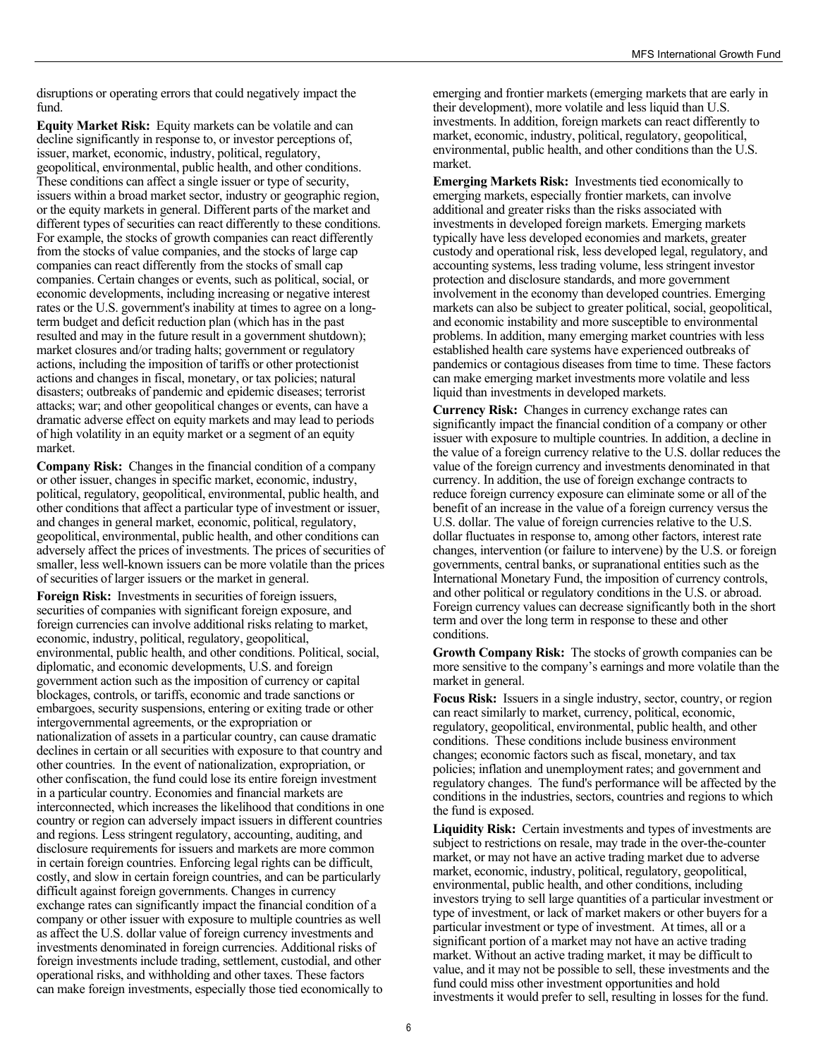disruptions or operating errors that could negatively impact the fund.

**Equity Market Risk:** Equity markets can be volatile and can decline significantly in response to, or investor perceptions of, issuer, market, economic, industry, political, regulatory, geopolitical, environmental, public health, and other conditions. These conditions can affect a single issuer or type of security, issuers within a broad market sector, industry or geographic region, or the equity markets in general. Different parts of the market and different types of securities can react differently to these conditions. For example, the stocks of growth companies can react differently from the stocks of value companies, and the stocks of large cap companies can react differently from the stocks of small cap companies. Certain changes or events, such as political, social, or economic developments, including increasing or negative interest rates or the U.S. government's inability at times to agree on a longterm budget and deficit reduction plan (which has in the past resulted and may in the future result in a government shutdown); market closures and/or trading halts; government or regulatory actions, including the imposition of tariffs or other protectionist actions and changes in fiscal, monetary, or tax policies; natural disasters; outbreaks of pandemic and epidemic diseases; terrorist attacks; war; and other geopolitical changes or events, can have a dramatic adverse effect on equity markets and may lead to periods of high volatility in an equity market or a segment of an equity market.

**Company Risk:** Changes in the financial condition of a company or other issuer, changes in specific market, economic, industry, political, regulatory, geopolitical, environmental, public health, and other conditions that affect a particular type of investment or issuer, and changes in general market, economic, political, regulatory, geopolitical, environmental, public health, and other conditions can adversely affect the prices of investments. The prices of securities of smaller, less well-known issuers can be more volatile than the prices of securities of larger issuers or the market in general.

**Foreign Risk:** Investments in securities of foreign issuers, securities of companies with significant foreign exposure, and foreign currencies can involve additional risks relating to market, economic, industry, political, regulatory, geopolitical, environmental, public health, and other conditions. Political, social, diplomatic, and economic developments, U.S. and foreign government action such as the imposition of currency or capital blockages, controls, or tariffs, economic and trade sanctions or embargoes, security suspensions, entering or exiting trade or other intergovernmental agreements, or the expropriation or nationalization of assets in a particular country, can cause dramatic declines in certain or all securities with exposure to that country and other countries. In the event of nationalization, expropriation, or other confiscation, the fund could lose its entire foreign investment in a particular country. Economies and financial markets are interconnected, which increases the likelihood that conditions in one country or region can adversely impact issuers in different countries and regions. Less stringent regulatory, accounting, auditing, and disclosure requirements for issuers and markets are more common in certain foreign countries. Enforcing legal rights can be difficult, costly, and slow in certain foreign countries, and can be particularly difficult against foreign governments. Changes in currency exchange rates can significantly impact the financial condition of a company or other issuer with exposure to multiple countries as well as affect the U.S. dollar value of foreign currency investments and investments denominated in foreign currencies. Additional risks of foreign investments include trading, settlement, custodial, and other operational risks, and withholding and other taxes. These factors can make foreign investments, especially those tied economically to

emerging and frontier markets (emerging markets that are early in their development), more volatile and less liquid than U.S. investments. In addition, foreign markets can react differently to market, economic, industry, political, regulatory, geopolitical, environmental, public health, and other conditions than the U.S. market.

**Emerging Markets Risk:** Investments tied economically to emerging markets, especially frontier markets, can involve additional and greater risks than the risks associated with investments in developed foreign markets. Emerging markets typically have less developed economies and markets, greater custody and operational risk, less developed legal, regulatory, and accounting systems, less trading volume, less stringent investor protection and disclosure standards, and more government involvement in the economy than developed countries. Emerging markets can also be subject to greater political, social, geopolitical, and economic instability and more susceptible to environmental problems. In addition, many emerging market countries with less established health care systems have experienced outbreaks of pandemics or contagious diseases from time to time. These factors can make emerging market investments more volatile and less liquid than investments in developed markets.

**Currency Risk:** Changes in currency exchange rates can significantly impact the financial condition of a company or other issuer with exposure to multiple countries. In addition, a decline in the value of a foreign currency relative to the U.S. dollar reduces the value of the foreign currency and investments denominated in that currency. In addition, the use of foreign exchange contracts to reduce foreign currency exposure can eliminate some or all of the benefit of an increase in the value of a foreign currency versus the U.S. dollar. The value of foreign currencies relative to the U.S. dollar fluctuates in response to, among other factors, interest rate changes, intervention (or failure to intervene) by the U.S. or foreign governments, central banks, or supranational entities such as the International Monetary Fund, the imposition of currency controls, and other political or regulatory conditions in the U.S. or abroad. Foreign currency values can decrease significantly both in the short term and over the long term in response to these and other conditions.

**Growth Company Risk:** The stocks of growth companies can be more sensitive to the company's earnings and more volatile than the market in general.

**Focus Risk:** Issuers in a single industry, sector, country, or region can react similarly to market, currency, political, economic, regulatory, geopolitical, environmental, public health, and other conditions. These conditions include business environment changes; economic factors such as fiscal, monetary, and tax policies; inflation and unemployment rates; and government and regulatory changes. The fund's performance will be affected by the conditions in the industries, sectors, countries and regions to which the fund is exposed.

**Liquidity Risk:** Certain investments and types of investments are subject to restrictions on resale, may trade in the over-the-counter market, or may not have an active trading market due to adverse market, economic, industry, political, regulatory, geopolitical, environmental, public health, and other conditions, including investors trying to sell large quantities of a particular investment or type of investment, or lack of market makers or other buyers for a particular investment or type of investment. At times, all or a significant portion of a market may not have an active trading market. Without an active trading market, it may be difficult to value, and it may not be possible to sell, these investments and the fund could miss other investment opportunities and hold investments it would prefer to sell, resulting in losses for the fund.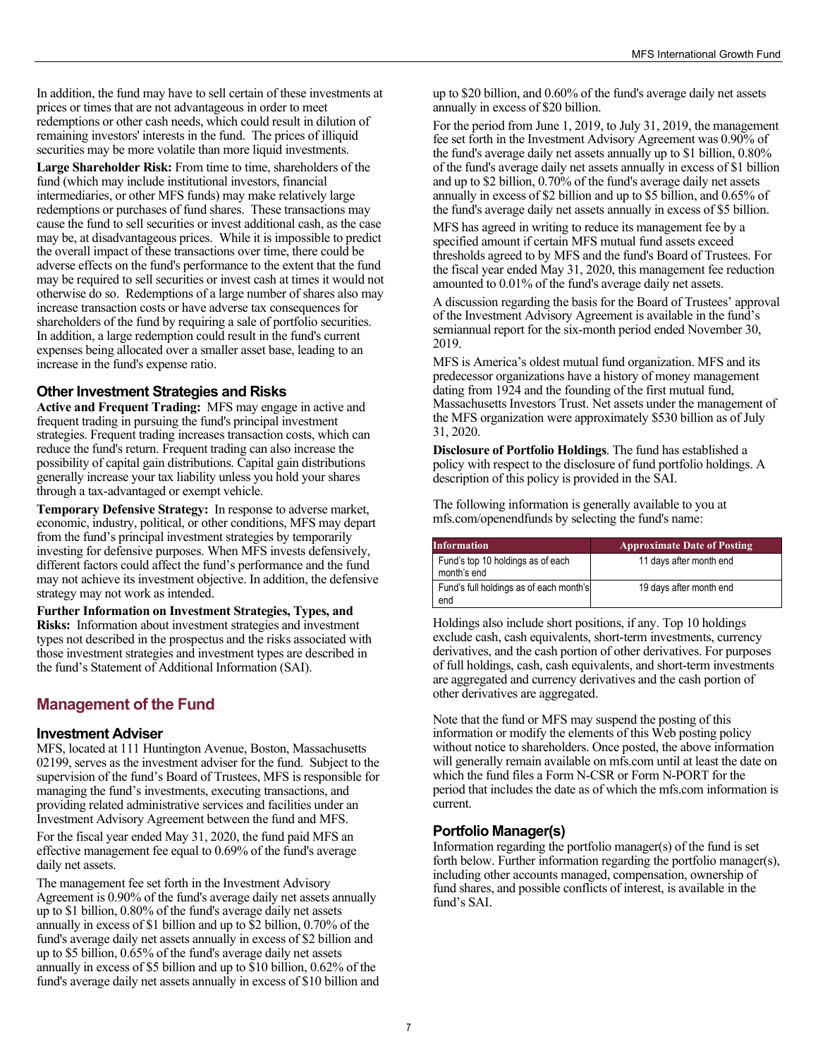<span id="page-7-0"></span>In addition, the fund may have to sell certain of these investments at prices or times that are not advantageous in order to meet redemptions or other cash needs, which could result in dilution of remaining investors' interests in the fund. The prices of illiquid securities may be more volatile than more liquid investments.

**Large Shareholder Risk:** From time to time, shareholders of the fund (which may include institutional investors, financial intermediaries, or other MFS funds) may make relatively large redemptions or purchases of fund shares. These transactions may cause the fund to sell securities or invest additional cash, as the case may be, at disadvantageous prices. While it is impossible to predict the overall impact of these transactions over time, there could be adverse effects on the fund's performance to the extent that the fund may be required to sell securities or invest cash at times it would not otherwise do so. Redemptions of a large number of shares also may increase transaction costs or have adverse tax consequences for shareholders of the fund by requiring a sale of portfolio securities. In addition, a large redemption could result in the fund's current expenses being allocated over a smaller asset base, leading to an increase in the fund's expense ratio.

#### **Other Investment Strategies and Risks**

**Active and Frequent Trading:** MFS may engage in active and frequent trading in pursuing the fund's principal investment strategies. Frequent trading increases transaction costs, which can reduce the fund's return. Frequent trading can also increase the possibility of capital gain distributions. Capital gain distributions generally increase your tax liability unless you hold your shares through a tax-advantaged or exempt vehicle.

**Temporary Defensive Strategy:** In response to adverse market, economic, industry, political, or other conditions, MFS may depart from the fund's principal investment strategies by temporarily investing for defensive purposes. When MFS invests defensively, different factors could affect the fund's performance and the fund may not achieve its investment objective. In addition, the defensive strategy may not work as intended.

**Further Information on Investment Strategies, Types, and Risks:** Information about investment strategies and investment types not described in the prospectus and the risks associated with those investment strategies and investment types are described in the fund's Statement of Additional Information (SAI).

# **Management of the Fund**

#### **Investment Adviser**

MFS, located at 111 Huntington Avenue, Boston, Massachusetts 02199, serves as the investment adviser for the fund. Subject to the supervision of the fund's Board of Trustees, MFS is responsible for managing the fund's investments, executing transactions, and providing related administrative services and facilities under an Investment Advisory Agreement between the fund and MFS.

For the fiscal year ended May 31, 2020, the fund paid MFS an effective management fee equal to 0.69% of the fund's average daily net assets.

The management fee set forth in the Investment Advisory Agreement is 0.90% of the fund's average daily net assets annually up to \$1 billion, 0.80% of the fund's average daily net assets annually in excess of \$1 billion and up to \$2 billion, 0.70% of the fund's average daily net assets annually in excess of \$2 billion and up to \$5 billion, 0.65% of the fund's average daily net assets annually in excess of \$5 billion and up to \$10 billion, 0.62% of the fund's average daily net assets annually in excess of \$10 billion and up to \$20 billion, and 0.60% of the fund's average daily net assets annually in excess of \$20 billion.

For the period from June 1, 2019, to July 31, 2019, the management fee set forth in the Investment Advisory Agreement was 0.90% of the fund's average daily net assets annually up to \$1 billion, 0.80% of the fund's average daily net assets annually in excess of \$1 billion and up to \$2 billion, 0.70% of the fund's average daily net assets annually in excess of \$2 billion and up to \$5 billion, and 0.65% of the fund's average daily net assets annually in excess of \$5 billion.

MFS has agreed in writing to reduce its management fee by a specified amount if certain MFS mutual fund assets exceed thresholds agreed to by MFS and the fund's Board of Trustees. For the fiscal year ended May 31, 2020, this management fee reduction amounted to 0.01% of the fund's average daily net assets.

A discussion regarding the basis for the Board of Trustees' approval of the Investment Advisory Agreement is available in the fund's semiannual report for the six-month period ended November 30, 2019.

MFS is America's oldest mutual fund organization. MFS and its predecessor organizations have a history of money management dating from 1924 and the founding of the first mutual fund, Massachusetts Investors Trust. Net assets under the management of the MFS organization were approximately \$530 billion as of July 31, 2020.

**Disclosure of Portfolio Holdings**. The fund has established a policy with respect to the disclosure of fund portfolio holdings. A description of this policy is provided in the SAI.

The following information is generally available to you at [mfs.com/openendfunds](http://mfs.com/openendfunds) by selecting the fund's name:

| <b>Information</b>                               | <b>Approximate Date of Posting</b> |
|--------------------------------------------------|------------------------------------|
| Fund's top 10 holdings as of each<br>month's end | 11 days after month end            |
| Fund's full holdings as of each month's<br>end   | 19 days after month end            |

Holdings also include short positions, if any. Top 10 holdings exclude cash, cash equivalents, short-term investments, currency derivatives, and the cash portion of other derivatives. For purposes of full holdings, cash, cash equivalents, and short-term investments are aggregated and currency derivatives and the cash portion of other derivatives are aggregated.

Note that the fund or MFS may suspend the posting of this information or modify the elements of this Web posting policy without notice to shareholders. Once posted, the above information will generally remain available on [mfs.com](http://mfs.com) until at least the date on which the fund files a Form N-CSR or Form N-PORT for the period that includes the date as of which the [mfs.com](http://mfs.com) information is current.

## **Portfolio Manager(s)**

Information regarding the portfolio manager(s) of the fund is set forth below. Further information regarding the portfolio manager(s), including other accounts managed, compensation, ownership of fund shares, and possible conflicts of interest, is available in the fund's SAI.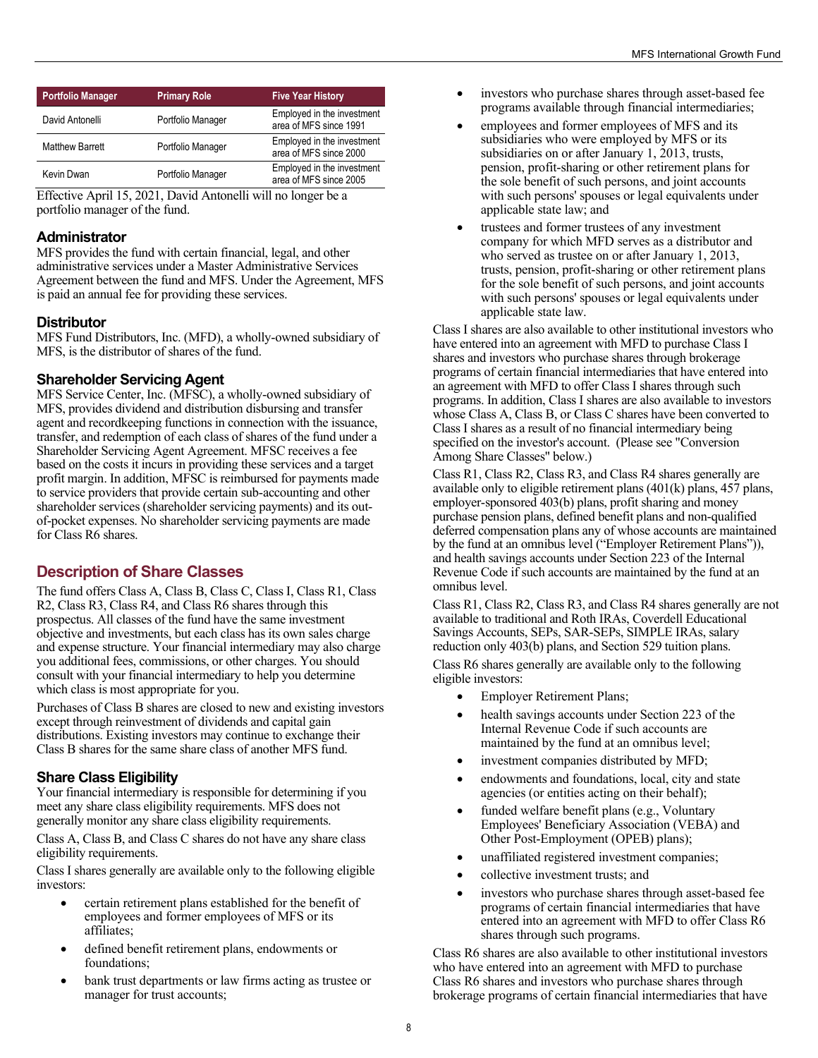<span id="page-8-0"></span>

| <b>Portfolio Manager</b> | <b>Primary Role</b> | <b>Five Year History</b>                             |
|--------------------------|---------------------|------------------------------------------------------|
| David Antonelli          | Portfolio Manager   | Employed in the investment<br>area of MFS since 1991 |
| <b>Matthew Barrett</b>   | Portfolio Manager   | Employed in the investment<br>area of MFS since 2000 |
| Kevin Dwan               | Portfolio Manager   | Employed in the investment<br>area of MFS since 2005 |

Effective April 15, 2021, David Antonelli will no longer be a portfolio manager of the fund.

#### **Administrator**

MFS provides the fund with certain financial, legal, and other administrative services under a Master Administrative Services Agreement between the fund and MFS. Under the Agreement, MFS is paid an annual fee for providing these services.

## **Distributor**

MFS Fund Distributors, Inc. (MFD), a wholly-owned subsidiary of MFS, is the distributor of shares of the fund.

## **Shareholder Servicing Agent**

MFS Service Center, Inc. (MFSC), a wholly-owned subsidiary of MFS, provides dividend and distribution disbursing and transfer agent and recordkeeping functions in connection with the issuance, transfer, and redemption of each class of shares of the fund under a Shareholder Servicing Agent Agreement. MFSC receives a fee based on the costs it incurs in providing these services and a target profit margin. In addition, MFSC is reimbursed for payments made to service providers that provide certain sub-accounting and other shareholder services (shareholder servicing payments) and its outof-pocket expenses. No shareholder servicing payments are made for Class R6 shares.

# **Description of Share Classes**

The fund offers Class A, Class B, Class C, Class I, Class R1, Class R2, Class R3, Class R4, and Class R6 shares through this prospectus. All classes of the fund have the same investment objective and investments, but each class has its own sales charge and expense structure. Your financial intermediary may also charge you additional fees, commissions, or other charges. You should consult with your financial intermediary to help you determine which class is most appropriate for you.

Purchases of Class B shares are closed to new and existing investors except through reinvestment of dividends and capital gain distributions. Existing investors may continue to exchange their Class B shares for the same share class of another MFS fund.

## **Share Class Eligibility**

Your financial intermediary is responsible for determining if you meet any share class eligibility requirements. MFS does not generally monitor any share class eligibility requirements.

Class A, Class B, and Class C shares do not have any share class eligibility requirements.

Class I shares generally are available only to the following eligible investors:

- certain retirement plans established for the benefit of employees and former employees of MFS or its affiliates;
- defined benefit retirement plans, endowments or foundations;
- bank trust departments or law firms acting as trustee or manager for trust accounts;
- investors who purchase shares through asset-based fee programs available through financial intermediaries;
- employees and former employees of MFS and its subsidiaries who were employed by MFS or its subsidiaries on or after January 1, 2013, trusts, pension, profit-sharing or other retirement plans for the sole benefit of such persons, and joint accounts with such persons' spouses or legal equivalents under applicable state law; and
- trustees and former trustees of any investment company for which MFD serves as a distributor and who served as trustee on or after January 1, 2013, trusts, pension, profit-sharing or other retirement plans for the sole benefit of such persons, and joint accounts with such persons' spouses or legal equivalents under applicable state law.

Class I shares are also available to other institutional investors who have entered into an agreement with MFD to purchase Class I shares and investors who purchase shares through brokerage programs of certain financial intermediaries that have entered into an agreement with MFD to offer Class I shares through such programs. In addition, Class I shares are also available to investors whose Class A, Class B, or Class C shares have been converted to Class I shares as a result of no financial intermediary being specified on the investor's account. (Please see "Conversion Among Share Classes" below.)

Class R1, Class R2, Class R3, and Class R4 shares generally are available only to eligible retirement plans (401(k) plans, 457 plans, employer-sponsored 403(b) plans, profit sharing and money purchase pension plans, defined benefit plans and non-qualified deferred compensation plans any of whose accounts are maintained by the fund at an omnibus level ("Employer Retirement Plans")), and health savings accounts under Section 223 of the Internal Revenue Code if such accounts are maintained by the fund at an omnibus level.

Class R1, Class R2, Class R3, and Class R4 shares generally are not available to traditional and Roth IRAs, Coverdell Educational Savings Accounts, SEPs, SAR-SEPs, SIMPLE IRAs, salary reduction only 403(b) plans, and Section 529 tuition plans. Class R6 shares generally are available only to the following eligible investors:

- Employer Retirement Plans;
- health savings accounts under Section 223 of the Internal Revenue Code if such accounts are maintained by the fund at an omnibus level;
- investment companies distributed by MFD;
- endowments and foundations, local, city and state agencies (or entities acting on their behalf);
- funded welfare benefit plans (e.g., Voluntary Employees' Beneficiary Association (VEBA) and Other Post-Employment (OPEB) plans);
- unaffiliated registered investment companies;
- collective investment trusts; and
- investors who purchase shares through asset-based fee programs of certain financial intermediaries that have entered into an agreement with MFD to offer Class R6 shares through such programs.

Class R6 shares are also available to other institutional investors who have entered into an agreement with MFD to purchase Class R6 shares and investors who purchase shares through brokerage programs of certain financial intermediaries that have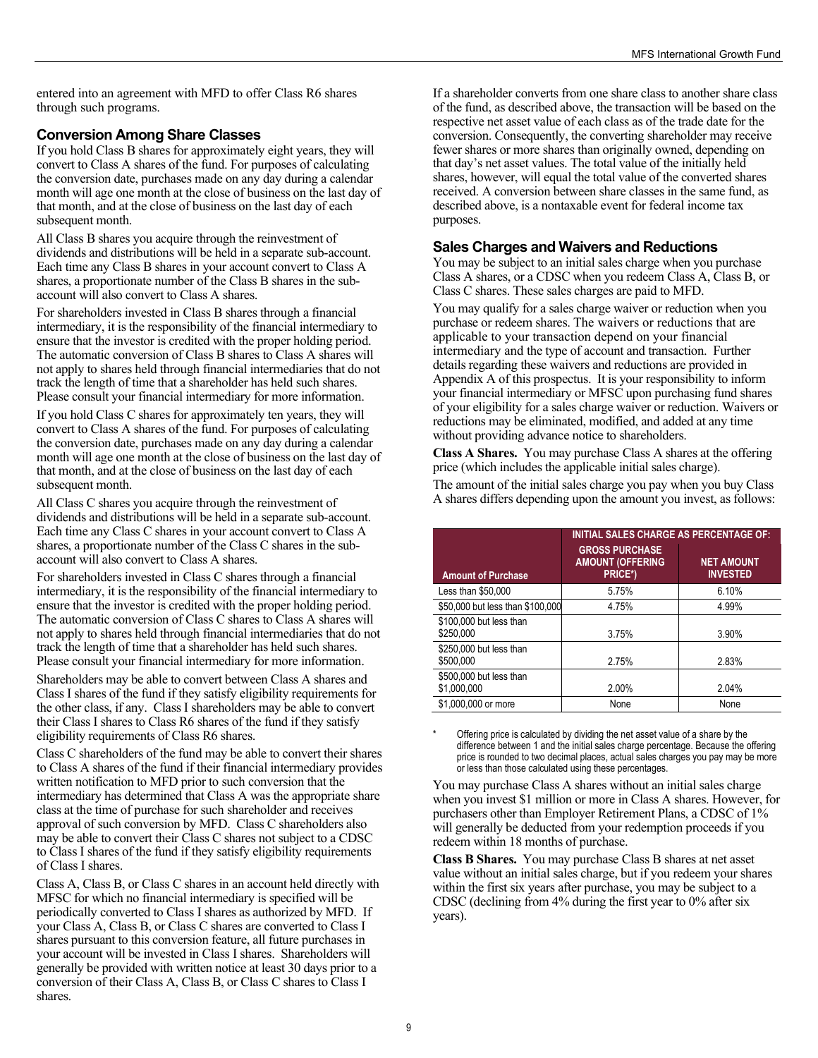entered into an agreement with MFD to offer Class R6 shares through such programs.

#### **Conversion Among Share Classes**

If you hold Class B shares for approximately eight years, they will convert to Class A shares of the fund. For purposes of calculating the conversion date, purchases made on any day during a calendar month will age one month at the close of business on the last day of that month, and at the close of business on the last day of each subsequent month.

All Class B shares you acquire through the reinvestment of dividends and distributions will be held in a separate sub-account. Each time any Class B shares in your account convert to Class A shares, a proportionate number of the Class B shares in the subaccount will also convert to Class A shares.

For shareholders invested in Class B shares through a financial intermediary, it is the responsibility of the financial intermediary to ensure that the investor is credited with the proper holding period. The automatic conversion of Class B shares to Class A shares will not apply to shares held through financial intermediaries that do not track the length of time that a shareholder has held such shares. Please consult your financial intermediary for more information. If you hold Class C shares for approximately ten years, they will convert to Class A shares of the fund. For purposes of calculating the conversion date, purchases made on any day during a calendar month will age one month at the close of business on the last day of that month, and at the close of business on the last day of each subsequent month.

All Class C shares you acquire through the reinvestment of dividends and distributions will be held in a separate sub-account. Each time any Class C shares in your account convert to Class A shares, a proportionate number of the Class C shares in the subaccount will also convert to Class A shares.

For shareholders invested in Class C shares through a financial intermediary, it is the responsibility of the financial intermediary to ensure that the investor is credited with the proper holding period. The automatic conversion of Class C shares to Class A shares will not apply to shares held through financial intermediaries that do not track the length of time that a shareholder has held such shares. Please consult your financial intermediary for more information. Shareholders may be able to convert between Class A shares and Class I shares of the fund if they satisfy eligibility requirements for the other class, if any. Class I shareholders may be able to convert their Class I shares to Class R6 shares of the fund if they satisfy eligibility requirements of Class R6 shares.

Class C shareholders of the fund may be able to convert their shares to Class A shares of the fund if their financial intermediary provides written notification to MFD prior to such conversion that the intermediary has determined that Class A was the appropriate share class at the time of purchase for such shareholder and receives approval of such conversion by MFD. Class C shareholders also may be able to convert their Class C shares not subject to a CDSC to Class I shares of the fund if they satisfy eligibility requirements of Class I shares.

Class A, Class B, or Class C shares in an account held directly with MFSC for which no financial intermediary is specified will be periodically converted to Class I shares as authorized by MFD. If your Class A, Class B, or Class C shares are converted to Class I shares pursuant to this conversion feature, all future purchases in your account will be invested in Class I shares. Shareholders will generally be provided with written notice at least 30 days prior to a conversion of their Class A, Class B, or Class C shares to Class I shares.

If a shareholder converts from one share class to another share class of the fund, as described above, the transaction will be based on the respective net asset value of each class as of the trade date for the conversion. Consequently, the converting shareholder may receive fewer shares or more shares than originally owned, depending on that day's net asset values. The total value of the initially held shares, however, will equal the total value of the converted shares received. A conversion between share classes in the same fund, as described above, is a nontaxable event for federal income tax purposes.

#### **Sales Charges and Waivers and Reductions**

You may be subject to an initial sales charge when you purchase Class A shares, or a CDSC when you redeem Class A, Class B, or Class C shares. These sales charges are paid to MFD.

You may qualify for a sales charge waiver or reduction when you purchase or redeem shares. The waivers or reductions that are applicable to your transaction depend on your financial intermediary and the type of account and transaction. Further details regarding these waivers and reductions are provided in Appendix A of this prospectus. It is your responsibility to inform your financial intermediary or MFSC upon purchasing fund shares of your eligibility for a sales charge waiver or reduction. Waivers or reductions may be eliminated, modified, and added at any time without providing advance notice to shareholders.

**Class A Shares.** You may purchase Class A shares at the offering price (which includes the applicable initial sales charge).

The amount of the initial sales charge you pay when you buy Class A shares differs depending upon the amount you invest, as follows:

|                                        | <b>INITIAL SALES CHARGE AS PERCENTAGE OF:</b>               |                                      |  |  |  |  |
|----------------------------------------|-------------------------------------------------------------|--------------------------------------|--|--|--|--|
| <b>Amount of Purchase</b>              | <b>GROSS PURCHASE</b><br><b>AMOUNT (OFFERING</b><br>PRICE*) | <b>NET AMOUNT</b><br><b>INVESTED</b> |  |  |  |  |
| Less than \$50,000                     | 5.75%                                                       | 6.10%                                |  |  |  |  |
| \$50,000 but less than \$100,000       | 4.75%                                                       | 4.99%                                |  |  |  |  |
| \$100,000 but less than<br>\$250,000   | 3.75%                                                       | 3.90%                                |  |  |  |  |
| \$250,000 but less than<br>\$500,000   | 2.75%                                                       | 2.83%                                |  |  |  |  |
| \$500,000 but less than<br>\$1,000,000 | 2.00%                                                       | 2.04%                                |  |  |  |  |
| \$1,000,000 or more                    | None                                                        | None                                 |  |  |  |  |

\* Offering price is calculated by dividing the net asset value of a share by the difference between 1 and the initial sales charge percentage. Because the offering price is rounded to two decimal places, actual sales charges you pay may be more or less than those calculated using these percentages.

You may purchase Class A shares without an initial sales charge when you invest \$1 million or more in Class A shares. However, for purchasers other than Employer Retirement Plans, a CDSC of 1% will generally be deducted from your redemption proceeds if you redeem within 18 months of purchase.

**Class B Shares.** You may purchase Class B shares at net asset value without an initial sales charge, but if you redeem your shares within the first six years after purchase, you may be subject to a CDSC (declining from 4% during the first year to 0% after six years).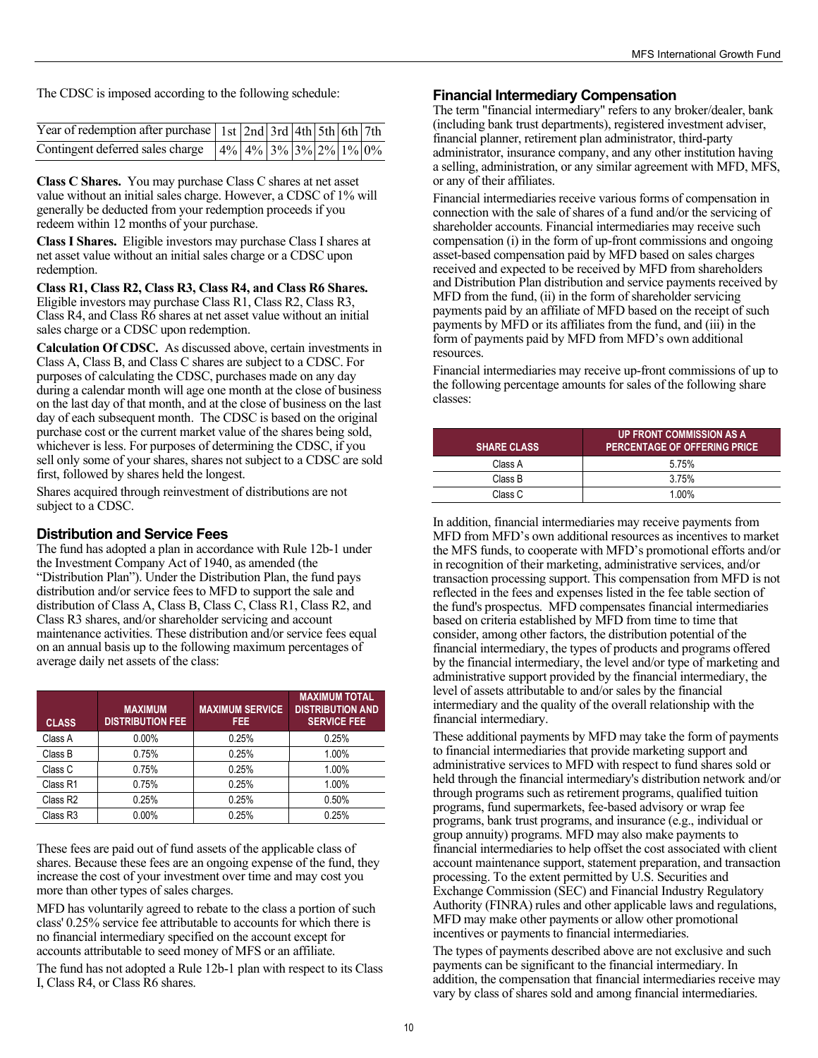The CDSC is imposed according to the following schedule:

| Year of redemption after purchase 1st 2nd 3rd 4th 5th 6th 7th |  |  |  |  |
|---------------------------------------------------------------|--|--|--|--|
| Contingent deferred sales charge 4% 4% 3% 3% 2% 1% 0%         |  |  |  |  |

**Class C Shares.** You may purchase Class C shares at net asset value without an initial sales charge. However, a CDSC of 1% will generally be deducted from your redemption proceeds if you redeem within 12 months of your purchase.

**Class I Shares.** Eligible investors may purchase Class I shares at net asset value without an initial sales charge or a CDSC upon redemption.

**Class R1, Class R2, Class R3, Class R4, and Class R6 Shares.**  Eligible investors may purchase Class R1, Class R2, Class R3, Class R4, and Class R6 shares at net asset value without an initial sales charge or a CDSC upon redemption.

**Calculation Of CDSC.** As discussed above, certain investments in Class A, Class B, and Class C shares are subject to a CDSC. For purposes of calculating the CDSC, purchases made on any day during a calendar month will age one month at the close of business on the last day of that month, and at the close of business on the last day of each subsequent month. The CDSC is based on the original purchase cost or the current market value of the shares being sold, whichever is less. For purposes of determining the CDSC, if you sell only some of your shares, shares not subject to a CDSC are sold first, followed by shares held the longest.

Shares acquired through reinvestment of distributions are not subject to a CDSC.

#### **Distribution and Service Fees**

The fund has adopted a plan in accordance with Rule 12b-1 under the Investment Company Act of 1940, as amended (the "Distribution Plan"). Under the Distribution Plan, the fund pays distribution and/or service fees to MFD to support the sale and distribution of Class A, Class B, Class C, Class R1, Class R2, and Class R3 shares, and/or shareholder servicing and account maintenance activities. These distribution and/or service fees equal on an annual basis up to the following maximum percentages of average daily net assets of the class:

| <b>CLASS</b>         | <b>MAXIMUM</b><br><b>DISTRIBUTION FEE</b> | <b>MAXIMUM SERVICE</b><br>FEE. | <b>MAXIMUM TOTAL</b><br><b>DISTRIBUTION AND</b><br><b>SERVICE FEE</b> |
|----------------------|-------------------------------------------|--------------------------------|-----------------------------------------------------------------------|
| Class A              | $0.00\%$                                  | 0.25%                          | 0.25%                                                                 |
| Class B              | 0.75%                                     | 0.25%                          | 1.00%                                                                 |
| Class C              | 0.75%                                     | 0.25%                          | 1.00%                                                                 |
| Class R1             | 0.75%                                     | 0.25%                          | 1.00%                                                                 |
| Class R <sub>2</sub> | 0.25%                                     | 0.25%                          | 0.50%                                                                 |
| Class R3             | $0.00\%$                                  | 0.25%                          | 0.25%                                                                 |

These fees are paid out of fund assets of the applicable class of shares. Because these fees are an ongoing expense of the fund, they increase the cost of your investment over time and may cost you more than other types of sales charges.

MFD has voluntarily agreed to rebate to the class a portion of such class' 0.25% service fee attributable to accounts for which there is no financial intermediary specified on the account except for accounts attributable to seed money of MFS or an affiliate.

The fund has not adopted a Rule 12b-1 plan with respect to its Class I, Class R4, or Class R6 shares.

#### **Financial Intermediary Compensation**

The term "financial intermediary" refers to any broker/dealer, bank (including bank trust departments), registered investment adviser, financial planner, retirement plan administrator, third-party administrator, insurance company, and any other institution having a selling, administration, or any similar agreement with MFD, MFS, or any of their affiliates.

Financial intermediaries receive various forms of compensation in connection with the sale of shares of a fund and/or the servicing of shareholder accounts. Financial intermediaries may receive such compensation (i) in the form of up-front commissions and ongoing asset-based compensation paid by MFD based on sales charges received and expected to be received by MFD from shareholders and Distribution Plan distribution and service payments received by MFD from the fund, (ii) in the form of shareholder servicing payments paid by an affiliate of MFD based on the receipt of such payments by MFD or its affiliates from the fund, and (iii) in the form of payments paid by MFD from MFD's own additional resources.

Financial intermediaries may receive up-front commissions of up to the following percentage amounts for sales of the following share classes:

| <b>SHARE CLASS</b> | <b>UP FRONT COMMISSION AS A</b><br>PERCENTAGE OF OFFERING PRICE |
|--------------------|-----------------------------------------------------------------|
| Class A            | 5.75%                                                           |
| Class B            | 3.75%                                                           |
| Class C            | 1.00%                                                           |

In addition, financial intermediaries may receive payments from MFD from MFD's own additional resources as incentives to market the MFS funds, to cooperate with MFD's promotional efforts and/or in recognition of their marketing, administrative services, and/or transaction processing support. This compensation from MFD is not reflected in the fees and expenses listed in the fee table section of the fund's prospectus. MFD compensates financial intermediaries based on criteria established by MFD from time to time that consider, among other factors, the distribution potential of the financial intermediary, the types of products and programs offered by the financial intermediary, the level and/or type of marketing and administrative support provided by the financial intermediary, the level of assets attributable to and/or sales by the financial intermediary and the quality of the overall relationship with the financial intermediary.

These additional payments by MFD may take the form of payments to financial intermediaries that provide marketing support and administrative services to MFD with respect to fund shares sold or held through the financial intermediary's distribution network and/or through programs such as retirement programs, qualified tuition programs, fund supermarkets, fee-based advisory or wrap fee programs, bank trust programs, and insurance (e.g., individual or group annuity) programs. MFD may also make payments to financial intermediaries to help offset the cost associated with client account maintenance support, statement preparation, and transaction processing. To the extent permitted by U.S. Securities and Exchange Commission (SEC) and Financial Industry Regulatory Authority (FINRA) rules and other applicable laws and regulations, MFD may make other payments or allow other promotional incentives or payments to financial intermediaries.

The types of payments described above are not exclusive and such payments can be significant to the financial intermediary. In addition, the compensation that financial intermediaries receive may vary by class of shares sold and among financial intermediaries.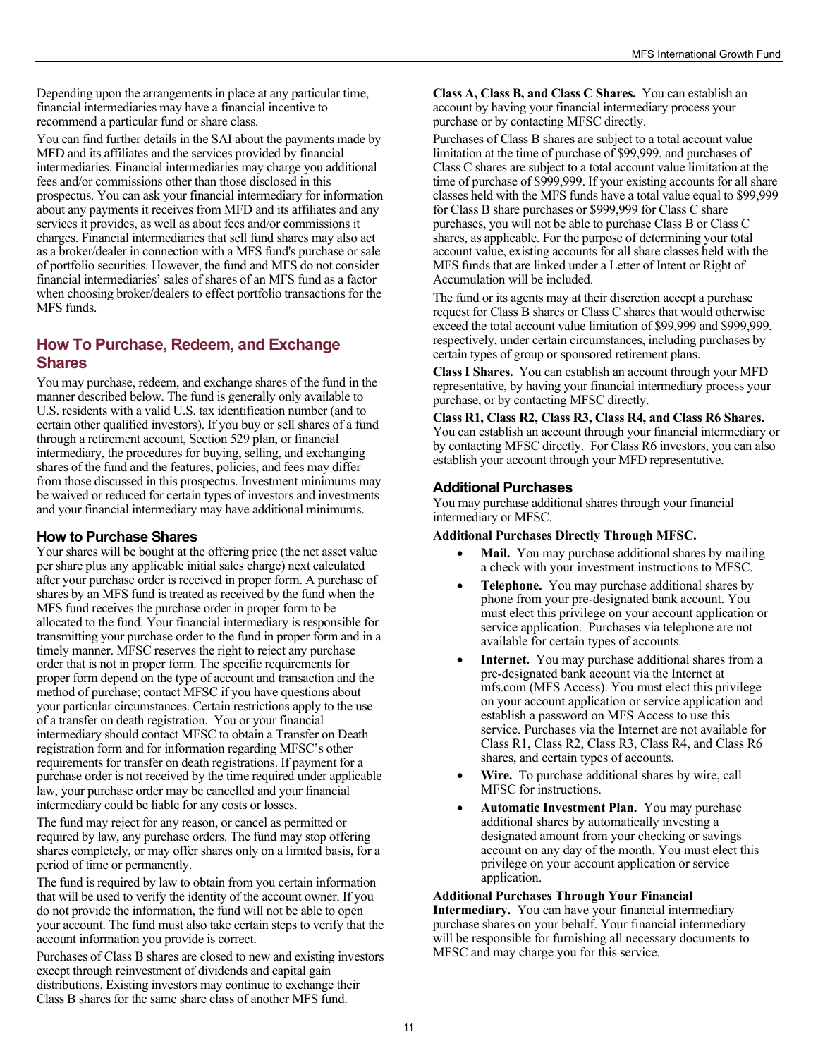<span id="page-11-0"></span>Depending upon the arrangements in place at any particular time, financial intermediaries may have a financial incentive to recommend a particular fund or share class.

You can find further details in the SAI about the payments made by MFD and its affiliates and the services provided by financial intermediaries. Financial intermediaries may charge you additional fees and/or commissions other than those disclosed in this prospectus. You can ask your financial intermediary for information about any payments it receives from MFD and its affiliates and any services it provides, as well as about fees and/or commissions it charges. Financial intermediaries that sell fund shares may also act as a broker/dealer in connection with a MFS fund's purchase or sale of portfolio securities. However, the fund and MFS do not consider financial intermediaries' sales of shares of an MFS fund as a factor when choosing broker/dealers to effect portfolio transactions for the MFS funds.

# **How To Purchase, Redeem, and Exchange Shares**

You may purchase, redeem, and exchange shares of the fund in the manner described below. The fund is generally only available to U.S. residents with a valid U.S. tax identification number (and to certain other qualified investors). If you buy or sell shares of a fund through a retirement account, Section 529 plan, or financial intermediary, the procedures for buying, selling, and exchanging shares of the fund and the features, policies, and fees may differ from those discussed in this prospectus. Investment minimums may be waived or reduced for certain types of investors and investments and your financial intermediary may have additional minimums.

#### **How to Purchase Shares**

Your shares will be bought at the offering price (the net asset value per share plus any applicable initial sales charge) next calculated after your purchase order is received in proper form. A purchase of shares by an MFS fund is treated as received by the fund when the MFS fund receives the purchase order in proper form to be allocated to the fund. Your financial intermediary is responsible for transmitting your purchase order to the fund in proper form and in a timely manner. MFSC reserves the right to reject any purchase order that is not in proper form. The specific requirements for proper form depend on the type of account and transaction and the method of purchase; contact MFSC if you have questions about your particular circumstances. Certain restrictions apply to the use of a transfer on death registration. You or your financial intermediary should contact MFSC to obtain a Transfer on Death registration form and for information regarding MFSC's other requirements for transfer on death registrations. If payment for a purchase order is not received by the time required under applicable law, your purchase order may be cancelled and your financial intermediary could be liable for any costs or losses.

The fund may reject for any reason, or cancel as permitted or required by law, any purchase orders. The fund may stop offering shares completely, or may offer shares only on a limited basis, for a period of time or permanently.

The fund is required by law to obtain from you certain information that will be used to verify the identity of the account owner. If you do not provide the information, the fund will not be able to open your account. The fund must also take certain steps to verify that the account information you provide is correct.

Purchases of Class B shares are closed to new and existing investors except through reinvestment of dividends and capital gain distributions. Existing investors may continue to exchange their Class B shares for the same share class of another MFS fund.

**Class A, Class B, and Class C Shares.** You can establish an account by having your financial intermediary process your purchase or by contacting MFSC directly.

Purchases of Class B shares are subject to a total account value limitation at the time of purchase of \$99,999, and purchases of Class C shares are subject to a total account value limitation at the time of purchase of \$999,999. If your existing accounts for all share classes held with the MFS funds have a total value equal to \$99,999 for Class B share purchases or \$999,999 for Class C share purchases, you will not be able to purchase Class B or Class C shares, as applicable. For the purpose of determining your total account value, existing accounts for all share classes held with the MFS funds that are linked under a Letter of Intent or Right of Accumulation will be included.

The fund or its agents may at their discretion accept a purchase request for Class B shares or Class C shares that would otherwise exceed the total account value limitation of \$99,999 and \$999,999, respectively, under certain circumstances, including purchases by certain types of group or sponsored retirement plans.

**Class I Shares.** You can establish an account through your MFD representative, by having your financial intermediary process your purchase, or by contacting MFSC directly.

**Class R1, Class R2, Class R3, Class R4, and Class R6 Shares.**  You can establish an account through your financial intermediary or by contacting MFSC directly. For Class R6 investors, you can also establish your account through your MFD representative.

## **Additional Purchases**

You may purchase additional shares through your financial intermediary or MFSC.

#### **Additional Purchases Directly Through MFSC.**

- **Mail.** You may purchase additional shares by mailing a check with your investment instructions to MFSC.
- **Telephone.** You may purchase additional shares by phone from your pre-designated bank account. You must elect this privilege on your account application or service application. Purchases via telephone are not available for certain types of accounts.
- **Internet.** You may purchase additional shares from a pre-designated bank account via the Internet at [mfs.com](http://mfs.com) (MFS Access). You must elect this privilege on your account application or service application and establish a password on MFS Access to use this service. Purchases via the Internet are not available for Class R1, Class R2, Class R3, Class R4, and Class R6 shares, and certain types of accounts.
- **Wire.** To purchase additional shares by wire, call MFSC for instructions.
- **Automatic Investment Plan.** You may purchase additional shares by automatically investing a designated amount from your checking or savings account on any day of the month. You must elect this privilege on your account application or service application.

# **Additional Purchases Through Your Financial**

**Intermediary.** You can have your financial intermediary purchase shares on your behalf. Your financial intermediary will be responsible for furnishing all necessary documents to MFSC and may charge you for this service.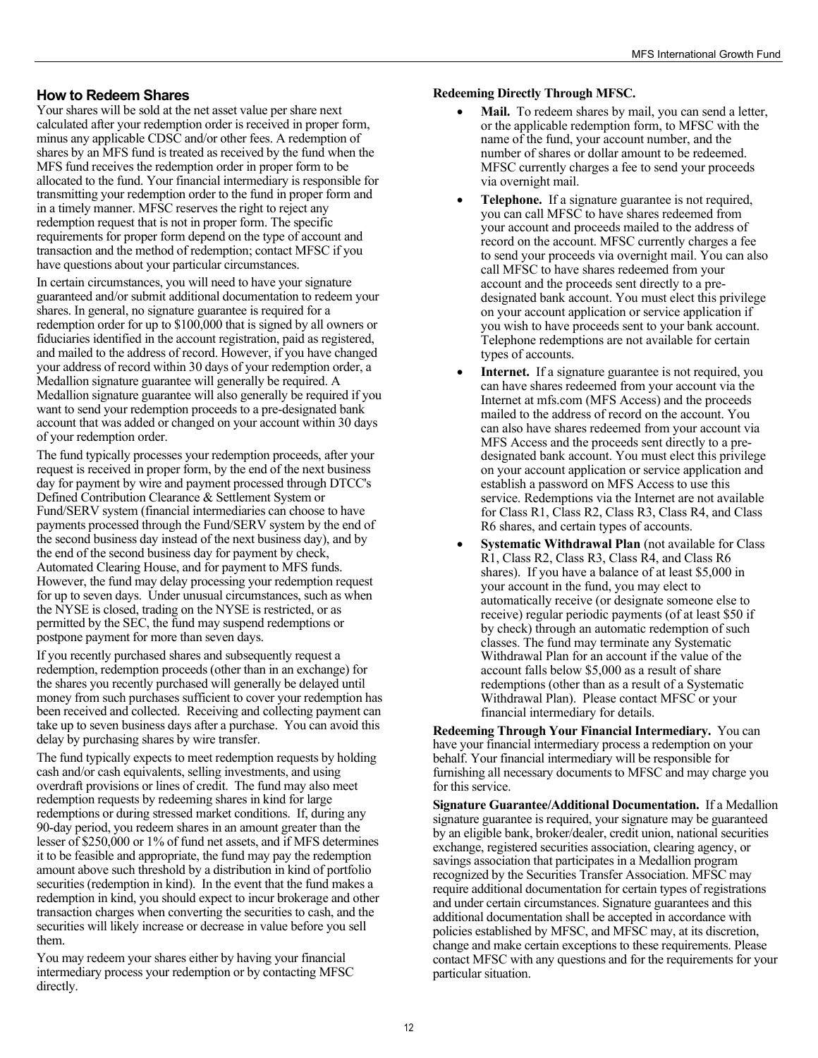#### **How to Redeem Shares**

Your shares will be sold at the net asset value per share next calculated after your redemption order is received in proper form, minus any applicable CDSC and/or other fees. A redemption of shares by an MFS fund is treated as received by the fund when the MFS fund receives the redemption order in proper form to be allocated to the fund. Your financial intermediary is responsible for transmitting your redemption order to the fund in proper form and in a timely manner. MFSC reserves the right to reject any redemption request that is not in proper form. The specific requirements for proper form depend on the type of account and transaction and the method of redemption; contact MFSC if you have questions about your particular circumstances.

In certain circumstances, you will need to have your signature guaranteed and/or submit additional documentation to redeem your shares. In general, no signature guarantee is required for a redemption order for up to \$100,000 that is signed by all owners or fiduciaries identified in the account registration, paid as registered, and mailed to the address of record. However, if you have changed your address of record within 30 days of your redemption order, a Medallion signature guarantee will generally be required. A Medallion signature guarantee will also generally be required if you want to send your redemption proceeds to a pre-designated bank account that was added or changed on your account within 30 days of your redemption order.

The fund typically processes your redemption proceeds, after your request is received in proper form, by the end of the next business day for payment by wire and payment processed through DTCC's Defined Contribution Clearance & Settlement System or Fund/SERV system (financial intermediaries can choose to have payments processed through the Fund/SERV system by the end of the second business day instead of the next business day), and by the end of the second business day for payment by check, Automated Clearing House, and for payment to MFS funds. However, the fund may delay processing your redemption request for up to seven days. Under unusual circumstances, such as when the NYSE is closed, trading on the NYSE is restricted, or as permitted by the SEC, the fund may suspend redemptions or postpone payment for more than seven days.

If you recently purchased shares and subsequently request a redemption, redemption proceeds (other than in an exchange) for the shares you recently purchased will generally be delayed until money from such purchases sufficient to cover your redemption has been received and collected. Receiving and collecting payment can take up to seven business days after a purchase. You can avoid this delay by purchasing shares by wire transfer.

The fund typically expects to meet redemption requests by holding cash and/or cash equivalents, selling investments, and using overdraft provisions or lines of credit. The fund may also meet redemption requests by redeeming shares in kind for large redemptions or during stressed market conditions. If, during any 90-day period, you redeem shares in an amount greater than the lesser of \$250,000 or 1% of fund net assets, and if MFS determines it to be feasible and appropriate, the fund may pay the redemption amount above such threshold by a distribution in kind of portfolio securities (redemption in kind). In the event that the fund makes a redemption in kind, you should expect to incur brokerage and other transaction charges when converting the securities to cash, and the securities will likely increase or decrease in value before you sell them.

You may redeem your shares either by having your financial intermediary process your redemption or by contacting MFSC directly.

**Redeeming Directly Through MFSC.** 

- **Mail.** To redeem shares by mail, you can send a letter, or the applicable redemption form, to MFSC with the name of the fund, your account number, and the number of shares or dollar amount to be redeemed. MFSC currently charges a fee to send your proceeds via overnight mail.
- **Telephone.** If a signature guarantee is not required, you can call MFSC to have shares redeemed from your account and proceeds mailed to the address of record on the account. MFSC currently charges a fee to send your proceeds via overnight mail. You can also call MFSC to have shares redeemed from your account and the proceeds sent directly to a predesignated bank account. You must elect this privilege on your account application or service application if you wish to have proceeds sent to your bank account. Telephone redemptions are not available for certain types of accounts.
- Internet. If a signature guarantee is not required, you can have shares redeemed from your account via the Internet at [mfs.com](http://mfs.com) (MFS Access) and the proceeds mailed to the address of record on the account. You can also have shares redeemed from your account via MFS Access and the proceeds sent directly to a predesignated bank account. You must elect this privilege on your account application or service application and establish a password on MFS Access to use this service. Redemptions via the Internet are not available for Class R1, Class R2, Class R3, Class R4, and Class R6 shares, and certain types of accounts.
- **Systematic Withdrawal Plan** (not available for Class R1, Class R2, Class R3, Class R4, and Class R6 shares). If you have a balance of at least \$5,000 in your account in the fund, you may elect to automatically receive (or designate someone else to receive) regular periodic payments (of at least \$50 if by check) through an automatic redemption of such classes. The fund may terminate any Systematic Withdrawal Plan for an account if the value of the account falls below \$5,000 as a result of share redemptions (other than as a result of a Systematic Withdrawal Plan). Please contact MFSC or your financial intermediary for details.

**Redeeming Through Your Financial Intermediary.** You can have your financial intermediary process a redemption on your behalf. Your financial intermediary will be responsible for furnishing all necessary documents to MFSC and may charge you for this service.

**Signature Guarantee/Additional Documentation.** If a Medallion signature guarantee is required, your signature may be guaranteed by an eligible bank, broker/dealer, credit union, national securities exchange, registered securities association, clearing agency, or savings association that participates in a Medallion program recognized by the Securities Transfer Association. MFSC may require additional documentation for certain types of registrations and under certain circumstances. Signature guarantees and this additional documentation shall be accepted in accordance with policies established by MFSC, and MFSC may, at its discretion, change and make certain exceptions to these requirements. Please contact MFSC with any questions and for the requirements for your particular situation.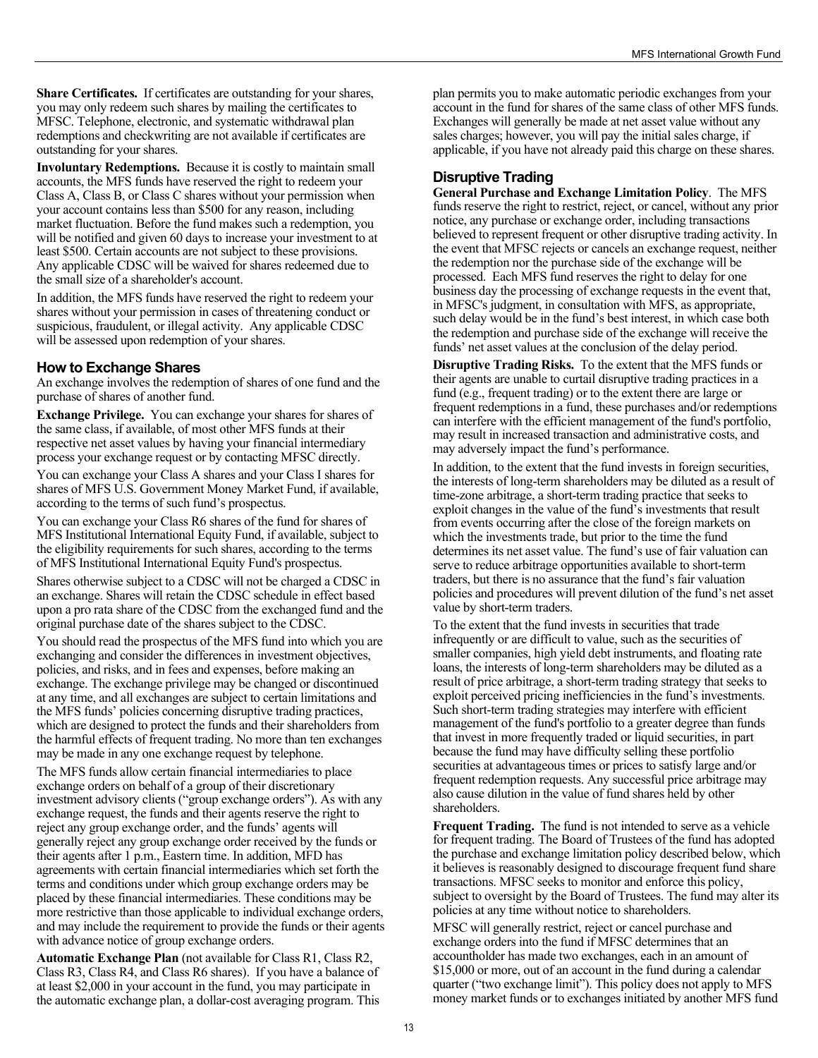**Share Certificates.** If certificates are outstanding for your shares, you may only redeem such shares by mailing the certificates to MFSC. Telephone, electronic, and systematic withdrawal plan redemptions and checkwriting are not available if certificates are outstanding for your shares.

**Involuntary Redemptions.** Because it is costly to maintain small accounts, the MFS funds have reserved the right to redeem your Class A, Class B, or Class C shares without your permission when your account contains less than \$500 for any reason, including market fluctuation. Before the fund makes such a redemption, you will be notified and given 60 days to increase your investment to at least \$500. Certain accounts are not subject to these provisions. Any applicable CDSC will be waived for shares redeemed due to the small size of a shareholder's account.

In addition, the MFS funds have reserved the right to redeem your shares without your permission in cases of threatening conduct or suspicious, fraudulent, or illegal activity. Any applicable CDSC will be assessed upon redemption of your shares.

## **How to Exchange Shares**

An exchange involves the redemption of shares of one fund and the purchase of shares of another fund.

**Exchange Privilege.** You can exchange your shares for shares of the same class, if available, of most other MFS funds at their respective net asset values by having your financial intermediary process your exchange request or by contacting MFSC directly. You can exchange your Class A shares and your Class I shares for shares of MFS U.S. Government Money Market Fund, if available, according to the terms of such fund's prospectus.

You can exchange your Class R6 shares of the fund for shares of MFS Institutional International Equity Fund, if available, subject to the eligibility requirements for such shares, according to the terms of MFS Institutional International Equity Fund's prospectus.

Shares otherwise subject to a CDSC will not be charged a CDSC in an exchange. Shares will retain the CDSC schedule in effect based upon a pro rata share of the CDSC from the exchanged fund and the original purchase date of the shares subject to the CDSC.

You should read the prospectus of the MFS fund into which you are exchanging and consider the differences in investment objectives, policies, and risks, and in fees and expenses, before making an exchange. The exchange privilege may be changed or discontinued at any time, and all exchanges are subject to certain limitations and the MFS funds' policies concerning disruptive trading practices, which are designed to protect the funds and their shareholders from the harmful effects of frequent trading. No more than ten exchanges may be made in any one exchange request by telephone.

The MFS funds allow certain financial intermediaries to place exchange orders on behalf of a group of their discretionary investment advisory clients ("group exchange orders"). As with any exchange request, the funds and their agents reserve the right to reject any group exchange order, and the funds' agents will generally reject any group exchange order received by the funds or their agents after 1 p.m., Eastern time. In addition, MFD has agreements with certain financial intermediaries which set forth the terms and conditions under which group exchange orders may be placed by these financial intermediaries. These conditions may be more restrictive than those applicable to individual exchange orders, and may include the requirement to provide the funds or their agents with advance notice of group exchange orders.

**Automatic Exchange Plan** (not available for Class R1, Class R2, Class R3, Class R4, and Class R6 shares). If you have a balance of at least \$2,000 in your account in the fund, you may participate in the automatic exchange plan, a dollar-cost averaging program. This plan permits you to make automatic periodic exchanges from your account in the fund for shares of the same class of other MFS funds. Exchanges will generally be made at net asset value without any sales charges; however, you will pay the initial sales charge, if applicable, if you have not already paid this charge on these shares.

## **Disruptive Trading**

**General Purchase and Exchange Limitation Policy**. The MFS funds reserve the right to restrict, reject, or cancel, without any prior notice, any purchase or exchange order, including transactions believed to represent frequent or other disruptive trading activity. In the event that MFSC rejects or cancels an exchange request, neither the redemption nor the purchase side of the exchange will be processed. Each MFS fund reserves the right to delay for one business day the processing of exchange requests in the event that, in MFSC's judgment, in consultation with MFS, as appropriate, such delay would be in the fund's best interest, in which case both the redemption and purchase side of the exchange will receive the funds' net asset values at the conclusion of the delay period.

**Disruptive Trading Risks.** To the extent that the MFS funds or their agents are unable to curtail disruptive trading practices in a fund (e.g., frequent trading) or to the extent there are large or frequent redemptions in a fund, these purchases and/or redemptions can interfere with the efficient management of the fund's portfolio, may result in increased transaction and administrative costs, and may adversely impact the fund's performance.

In addition, to the extent that the fund invests in foreign securities, the interests of long-term shareholders may be diluted as a result of time-zone arbitrage, a short-term trading practice that seeks to exploit changes in the value of the fund's investments that result from events occurring after the close of the foreign markets on which the investments trade, but prior to the time the fund determines its net asset value. The fund's use of fair valuation can serve to reduce arbitrage opportunities available to short-term traders, but there is no assurance that the fund's fair valuation policies and procedures will prevent dilution of the fund's net asset value by short-term traders.

To the extent that the fund invests in securities that trade infrequently or are difficult to value, such as the securities of smaller companies, high yield debt instruments, and floating rate loans, the interests of long-term shareholders may be diluted as a result of price arbitrage, a short-term trading strategy that seeks to exploit perceived pricing inefficiencies in the fund's investments. Such short-term trading strategies may interfere with efficient management of the fund's portfolio to a greater degree than funds that invest in more frequently traded or liquid securities, in part because the fund may have difficulty selling these portfolio securities at advantageous times or prices to satisfy large and/or frequent redemption requests. Any successful price arbitrage may also cause dilution in the value of fund shares held by other shareholders.

**Frequent Trading.** The fund is not intended to serve as a vehicle for frequent trading. The Board of Trustees of the fund has adopted the purchase and exchange limitation policy described below, which it believes is reasonably designed to discourage frequent fund share transactions. MFSC seeks to monitor and enforce this policy, subject to oversight by the Board of Trustees. The fund may alter its policies at any time without notice to shareholders.

MFSC will generally restrict, reject or cancel purchase and exchange orders into the fund if MFSC determines that an accountholder has made two exchanges, each in an amount of \$15,000 or more, out of an account in the fund during a calendar quarter ("two exchange limit"). This policy does not apply to MFS money market funds or to exchanges initiated by another MFS fund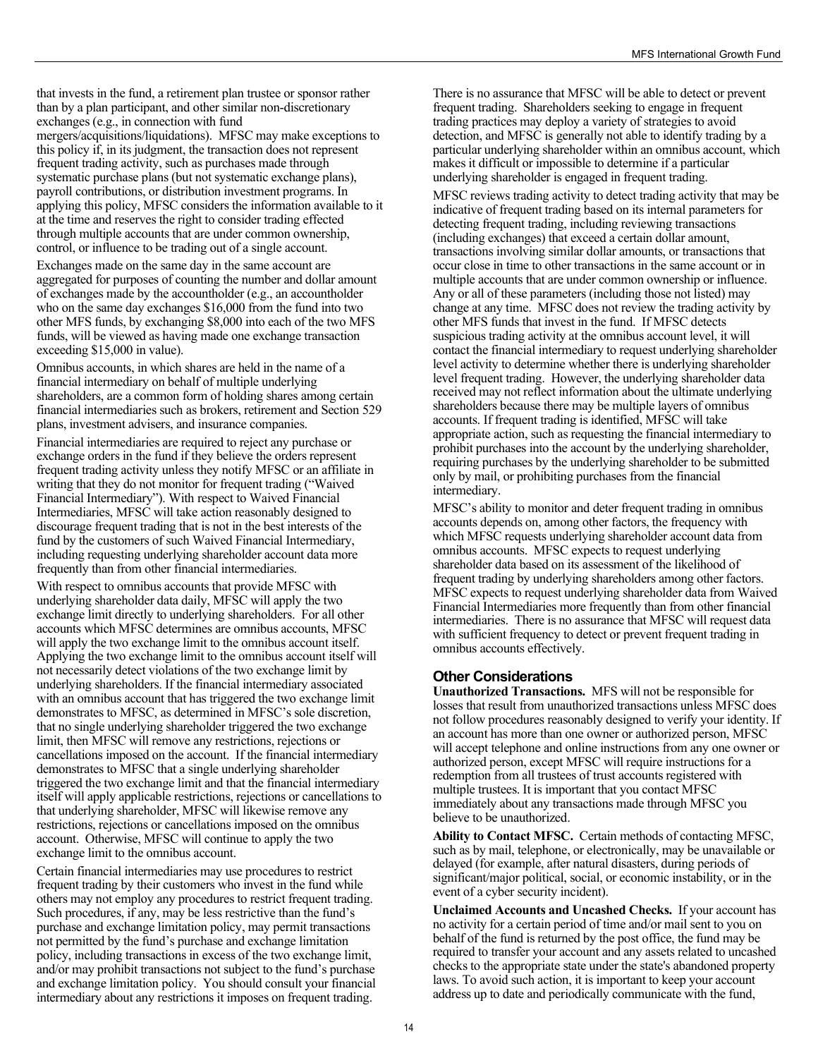that invests in the fund, a retirement plan trustee or sponsor rather than by a plan participant, and other similar non-discretionary exchanges (e.g., in connection with fund

mergers/acquisitions/liquidations). MFSC may make exceptions to this policy if, in its judgment, the transaction does not represent frequent trading activity, such as purchases made through systematic purchase plans (but not systematic exchange plans), payroll contributions, or distribution investment programs. In applying this policy, MFSC considers the information available to it at the time and reserves the right to consider trading effected through multiple accounts that are under common ownership, control, or influence to be trading out of a single account.

Exchanges made on the same day in the same account are aggregated for purposes of counting the number and dollar amount of exchanges made by the accountholder (e.g., an accountholder who on the same day exchanges \$16,000 from the fund into two other MFS funds, by exchanging \$8,000 into each of the two MFS funds, will be viewed as having made one exchange transaction exceeding \$15,000 in value).

Omnibus accounts, in which shares are held in the name of a financial intermediary on behalf of multiple underlying shareholders, are a common form of holding shares among certain financial intermediaries such as brokers, retirement and Section 529 plans, investment advisers, and insurance companies.

Financial intermediaries are required to reject any purchase or exchange orders in the fund if they believe the orders represent frequent trading activity unless they notify MFSC or an affiliate in writing that they do not monitor for frequent trading ("Waived Financial Intermediary"). With respect to Waived Financial Intermediaries, MFSC will take action reasonably designed to discourage frequent trading that is not in the best interests of the fund by the customers of such Waived Financial Intermediary, including requesting underlying shareholder account data more frequently than from other financial intermediaries.

With respect to omnibus accounts that provide MFSC with underlying shareholder data daily, MFSC will apply the two exchange limit directly to underlying shareholders. For all other accounts which MFSC determines are omnibus accounts, MFSC will apply the two exchange limit to the omnibus account itself. Applying the two exchange limit to the omnibus account itself will not necessarily detect violations of the two exchange limit by underlying shareholders. If the financial intermediary associated with an omnibus account that has triggered the two exchange limit demonstrates to MFSC, as determined in MFSC's sole discretion, that no single underlying shareholder triggered the two exchange limit, then MFSC will remove any restrictions, rejections or cancellations imposed on the account. If the financial intermediary demonstrates to MFSC that a single underlying shareholder triggered the two exchange limit and that the financial intermediary itself will apply applicable restrictions, rejections or cancellations to that underlying shareholder, MFSC will likewise remove any restrictions, rejections or cancellations imposed on the omnibus account. Otherwise, MFSC will continue to apply the two exchange limit to the omnibus account.

Certain financial intermediaries may use procedures to restrict frequent trading by their customers who invest in the fund while others may not employ any procedures to restrict frequent trading. Such procedures, if any, may be less restrictive than the fund's purchase and exchange limitation policy, may permit transactions not permitted by the fund's purchase and exchange limitation policy, including transactions in excess of the two exchange limit, and/or may prohibit transactions not subject to the fund's purchase and exchange limitation policy. You should consult your financial intermediary about any restrictions it imposes on frequent trading.

There is no assurance that MFSC will be able to detect or prevent frequent trading. Shareholders seeking to engage in frequent trading practices may deploy a variety of strategies to avoid detection, and MFSC is generally not able to identify trading by a particular underlying shareholder within an omnibus account, which makes it difficult or impossible to determine if a particular underlying shareholder is engaged in frequent trading.

MFSC reviews trading activity to detect trading activity that may be indicative of frequent trading based on its internal parameters for detecting frequent trading, including reviewing transactions (including exchanges) that exceed a certain dollar amount, transactions involving similar dollar amounts, or transactions that occur close in time to other transactions in the same account or in multiple accounts that are under common ownership or influence. Any or all of these parameters (including those not listed) may change at any time. MFSC does not review the trading activity by other MFS funds that invest in the fund. If MFSC detects suspicious trading activity at the omnibus account level, it will contact the financial intermediary to request underlying shareholder level activity to determine whether there is underlying shareholder level frequent trading. However, the underlying shareholder data received may not reflect information about the ultimate underlying shareholders because there may be multiple layers of omnibus accounts. If frequent trading is identified, MFSC will take appropriate action, such as requesting the financial intermediary to prohibit purchases into the account by the underlying shareholder, requiring purchases by the underlying shareholder to be submitted only by mail, or prohibiting purchases from the financial intermediary.

MFSC's ability to monitor and deter frequent trading in omnibus accounts depends on, among other factors, the frequency with which MFSC requests underlying shareholder account data from omnibus accounts. MFSC expects to request underlying shareholder data based on its assessment of the likelihood of frequent trading by underlying shareholders among other factors. MFSC expects to request underlying shareholder data from Waived Financial Intermediaries more frequently than from other financial intermediaries. There is no assurance that MFSC will request data with sufficient frequency to detect or prevent frequent trading in omnibus accounts effectively.

#### **Other Considerations**

**Unauthorized Transactions.** MFS will not be responsible for losses that result from unauthorized transactions unless MFSC does not follow procedures reasonably designed to verify your identity. If an account has more than one owner or authorized person, MFSC will accept telephone and online instructions from any one owner or authorized person, except MFSC will require instructions for a redemption from all trustees of trust accounts registered with multiple trustees. It is important that you contact MFSC immediately about any transactions made through MFSC you believe to be unauthorized.

**Ability to Contact MFSC.** Certain methods of contacting MFSC, such as by mail, telephone, or electronically, may be unavailable or delayed (for example, after natural disasters, during periods of significant/major political, social, or economic instability, or in the event of a cyber security incident).

**Unclaimed Accounts and Uncashed Checks.** If your account has no activity for a certain period of time and/or mail sent to you on behalf of the fund is returned by the post office, the fund may be required to transfer your account and any assets related to uncashed checks to the appropriate state under the state's abandoned property laws. To avoid such action, it is important to keep your account address up to date and periodically communicate with the fund,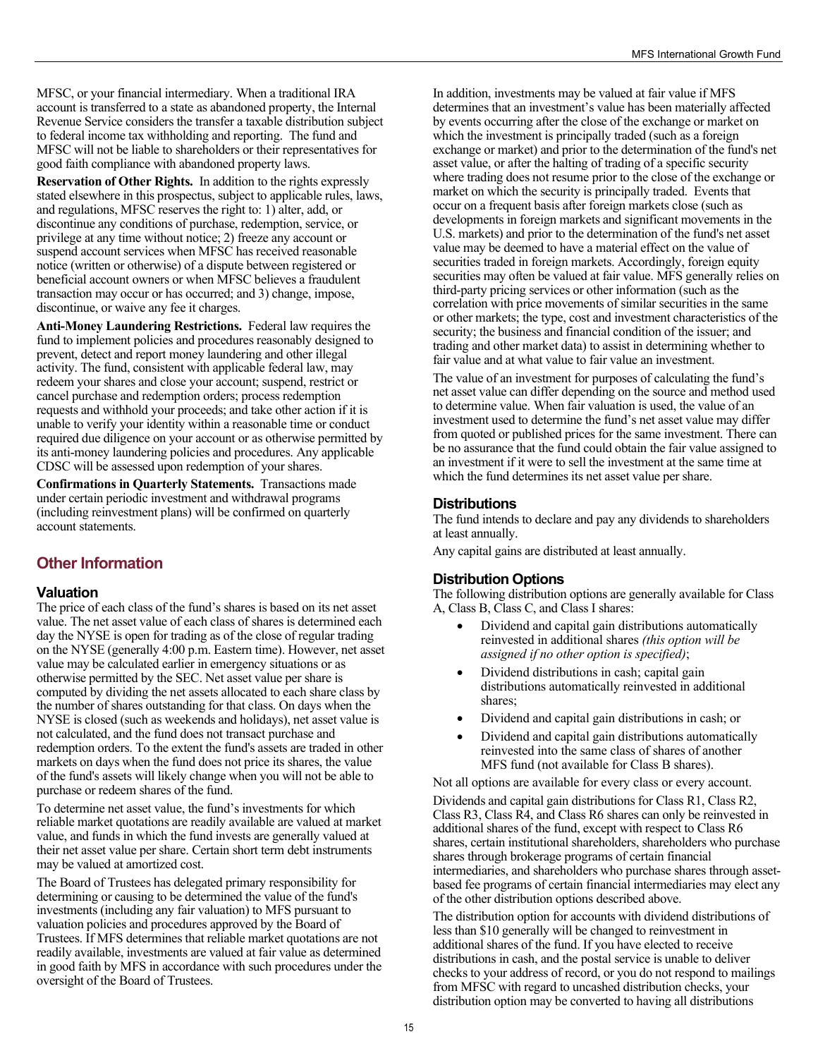<span id="page-15-0"></span>MFSC, or your financial intermediary. When a traditional IRA account is transferred to a state as abandoned property, the Internal Revenue Service considers the transfer a taxable distribution subject to federal income tax withholding and reporting. The fund and MFSC will not be liable to shareholders or their representatives for good faith compliance with abandoned property laws.

**Reservation of Other Rights.** In addition to the rights expressly stated elsewhere in this prospectus, subject to applicable rules, laws, and regulations, MFSC reserves the right to: 1) alter, add, or discontinue any conditions of purchase, redemption, service, or privilege at any time without notice; 2) freeze any account or suspend account services when MFSC has received reasonable notice (written or otherwise) of a dispute between registered or beneficial account owners or when MFSC believes a fraudulent transaction may occur or has occurred; and 3) change, impose, discontinue, or waive any fee it charges.

**Anti-Money Laundering Restrictions.** Federal law requires the fund to implement policies and procedures reasonably designed to prevent, detect and report money laundering and other illegal activity. The fund, consistent with applicable federal law, may redeem your shares and close your account; suspend, restrict or cancel purchase and redemption orders; process redemption requests and withhold your proceeds; and take other action if it is unable to verify your identity within a reasonable time or conduct required due diligence on your account or as otherwise permitted by its anti-money laundering policies and procedures. Any applicable CDSC will be assessed upon redemption of your shares.

**Confirmations in Quarterly Statements.** Transactions made under certain periodic investment and withdrawal programs (including reinvestment plans) will be confirmed on quarterly account statements.

# **Other Information**

#### **Valuation**

The price of each class of the fund's shares is based on its net asset value. The net asset value of each class of shares is determined each day the NYSE is open for trading as of the close of regular trading on the NYSE (generally 4:00 p.m. Eastern time). However, net asset value may be calculated earlier in emergency situations or as otherwise permitted by the SEC. Net asset value per share is computed by dividing the net assets allocated to each share class by the number of shares outstanding for that class. On days when the NYSE is closed (such as weekends and holidays), net asset value is not calculated, and the fund does not transact purchase and redemption orders. To the extent the fund's assets are traded in other markets on days when the fund does not price its shares, the value of the fund's assets will likely change when you will not be able to purchase or redeem shares of the fund.

To determine net asset value, the fund's investments for which reliable market quotations are readily available are valued at market value, and funds in which the fund invests are generally valued at their net asset value per share. Certain short term debt instruments may be valued at amortized cost.

The Board of Trustees has delegated primary responsibility for determining or causing to be determined the value of the fund's investments (including any fair valuation) to MFS pursuant to valuation policies and procedures approved by the Board of Trustees. If MFS determines that reliable market quotations are not readily available, investments are valued at fair value as determined in good faith by MFS in accordance with such procedures under the oversight of the Board of Trustees.

In addition, investments may be valued at fair value if MFS determines that an investment's value has been materially affected by events occurring after the close of the exchange or market on which the investment is principally traded (such as a foreign exchange or market) and prior to the determination of the fund's net asset value, or after the halting of trading of a specific security where trading does not resume prior to the close of the exchange or market on which the security is principally traded. Events that occur on a frequent basis after foreign markets close (such as developments in foreign markets and significant movements in the U.S. markets) and prior to the determination of the fund's net asset value may be deemed to have a material effect on the value of securities traded in foreign markets. Accordingly, foreign equity securities may often be valued at fair value. MFS generally relies on third-party pricing services or other information (such as the correlation with price movements of similar securities in the same or other markets; the type, cost and investment characteristics of the security; the business and financial condition of the issuer; and trading and other market data) to assist in determining whether to fair value and at what value to fair value an investment.

The value of an investment for purposes of calculating the fund's net asset value can differ depending on the source and method used to determine value. When fair valuation is used, the value of an investment used to determine the fund's net asset value may differ from quoted or published prices for the same investment. There can be no assurance that the fund could obtain the fair value assigned to an investment if it were to sell the investment at the same time at which the fund determines its net asset value per share.

## **Distributions**

The fund intends to declare and pay any dividends to shareholders at least annually.

Any capital gains are distributed at least annually.

#### **Distribution Options**

The following distribution options are generally available for Class A, Class B, Class C, and Class I shares:

- Dividend and capital gain distributions automatically reinvested in additional shares *(this option will be assigned if no other option is specified)*;
- Dividend distributions in cash; capital gain distributions automatically reinvested in additional shares;
- Dividend and capital gain distributions in cash; or
- Dividend and capital gain distributions automatically reinvested into the same class of shares of another MFS fund (not available for Class B shares).

Not all options are available for every class or every account.

Dividends and capital gain distributions for Class R1, Class R2, Class R3, Class R4, and Class R6 shares can only be reinvested in additional shares of the fund, except with respect to Class R6 shares, certain institutional shareholders, shareholders who purchase shares through brokerage programs of certain financial intermediaries, and shareholders who purchase shares through assetbased fee programs of certain financial intermediaries may elect any of the other distribution options described above.

The distribution option for accounts with dividend distributions of less than \$10 generally will be changed to reinvestment in additional shares of the fund. If you have elected to receive distributions in cash, and the postal service is unable to deliver checks to your address of record, or you do not respond to mailings from MFSC with regard to uncashed distribution checks, your distribution option may be converted to having all distributions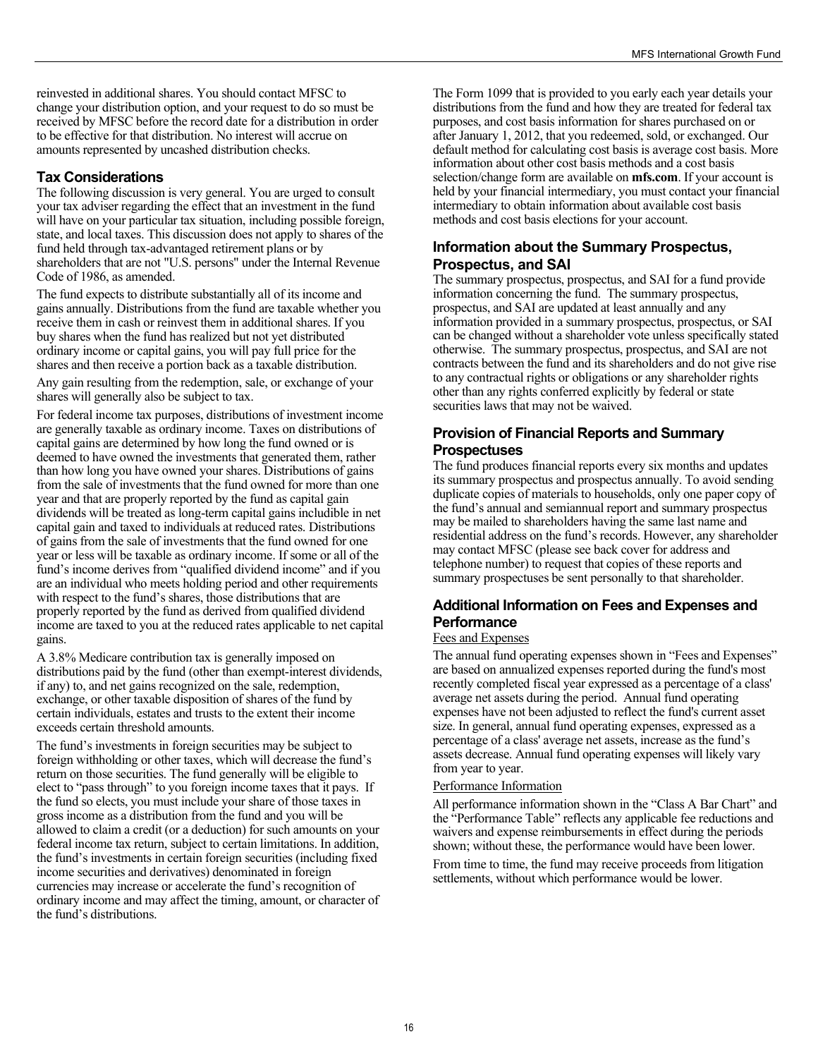reinvested in additional shares. You should contact MFSC to change your distribution option, and your request to do so must be received by MFSC before the record date for a distribution in order to be effective for that distribution. No interest will accrue on amounts represented by uncashed distribution checks.

#### **Tax Considerations**

The following discussion is very general. You are urged to consult your tax adviser regarding the effect that an investment in the fund will have on your particular tax situation, including possible foreign, state, and local taxes. This discussion does not apply to shares of the fund held through tax-advantaged retirement plans or by shareholders that are not "U.S. persons" under the Internal Revenue Code of 1986, as amended.

The fund expects to distribute substantially all of its income and gains annually. Distributions from the fund are taxable whether you receive them in cash or reinvest them in additional shares. If you buy shares when the fund has realized but not yet distributed ordinary income or capital gains, you will pay full price for the shares and then receive a portion back as a taxable distribution.

Any gain resulting from the redemption, sale, or exchange of your shares will generally also be subject to tax.

For federal income tax purposes, distributions of investment income are generally taxable as ordinary income. Taxes on distributions of capital gains are determined by how long the fund owned or is deemed to have owned the investments that generated them, rather than how long you have owned your shares. Distributions of gains from the sale of investments that the fund owned for more than one year and that are properly reported by the fund as capital gain dividends will be treated as long-term capital gains includible in net capital gain and taxed to individuals at reduced rates. Distributions of gains from the sale of investments that the fund owned for one year or less will be taxable as ordinary income. If some or all of the fund's income derives from "qualified dividend income" and if you are an individual who meets holding period and other requirements with respect to the fund's shares, those distributions that are properly reported by the fund as derived from qualified dividend income are taxed to you at the reduced rates applicable to net capital gains.

A 3.8% Medicare contribution tax is generally imposed on distributions paid by the fund (other than exempt-interest dividends, if any) to, and net gains recognized on the sale, redemption, exchange, or other taxable disposition of shares of the fund by certain individuals, estates and trusts to the extent their income exceeds certain threshold amounts.

The fund's investments in foreign securities may be subject to foreign withholding or other taxes, which will decrease the fund's return on those securities. The fund generally will be eligible to elect to "pass through" to you foreign income taxes that it pays. If the fund so elects, you must include your share of those taxes in gross income as a distribution from the fund and you will be allowed to claim a credit (or a deduction) for such amounts on your federal income tax return, subject to certain limitations. In addition, the fund's investments in certain foreign securities (including fixed income securities and derivatives) denominated in foreign currencies may increase or accelerate the fund's recognition of ordinary income and may affect the timing, amount, or character of the fund's distributions.

The Form 1099 that is provided to you early each year details your distributions from the fund and how they are treated for federal tax purposes, and cost basis information for shares purchased on or after January 1, 2012, that you redeemed, sold, or exchanged. Our default method for calculating cost basis is average cost basis. More information about other cost basis methods and a cost basis selection/change form are available on **[mfs.com](http://mfs.com)**. If your account is held by your financial intermediary, you must contact your financial intermediary to obtain information about available cost basis methods and cost basis elections for your account.

#### **Information about the Summary Prospectus, Prospectus, and SAI**

The summary prospectus, prospectus, and SAI for a fund provide information concerning the fund. The summary prospectus, prospectus, and SAI are updated at least annually and any information provided in a summary prospectus, prospectus, or SAI can be changed without a shareholder vote unless specifically stated otherwise. The summary prospectus, prospectus, and SAI are not contracts between the fund and its shareholders and do not give rise to any contractual rights or obligations or any shareholder rights other than any rights conferred explicitly by federal or state securities laws that may not be waived.

## **Provision of Financial Reports and Summary Prospectuses**

The fund produces financial reports every six months and updates its summary prospectus and prospectus annually. To avoid sending duplicate copies of materials to households, only one paper copy of the fund's annual and semiannual report and summary prospectus may be mailed to shareholders having the same last name and residential address on the fund's records. However, any shareholder may contact MFSC (please see back cover for address and telephone number) to request that copies of these reports and summary prospectuses be sent personally to that shareholder.

## **Additional Information on Fees and Expenses and Performance**

#### Fees and Expenses

The annual fund operating expenses shown in "Fees and Expenses" are based on annualized expenses reported during the fund's most recently completed fiscal year expressed as a percentage of a class' average net assets during the period. Annual fund operating expenses have not been adjusted to reflect the fund's current asset size. In general, annual fund operating expenses, expressed as a percentage of a class' average net assets, increase as the fund's assets decrease. Annual fund operating expenses will likely vary from year to year.

#### Performance Information

All performance information shown in the "Class A Bar Chart" and the "Performance Table" reflects any applicable fee reductions and waivers and expense reimbursements in effect during the periods shown; without these, the performance would have been lower.

From time to time, the fund may receive proceeds from litigation settlements, without which performance would be lower.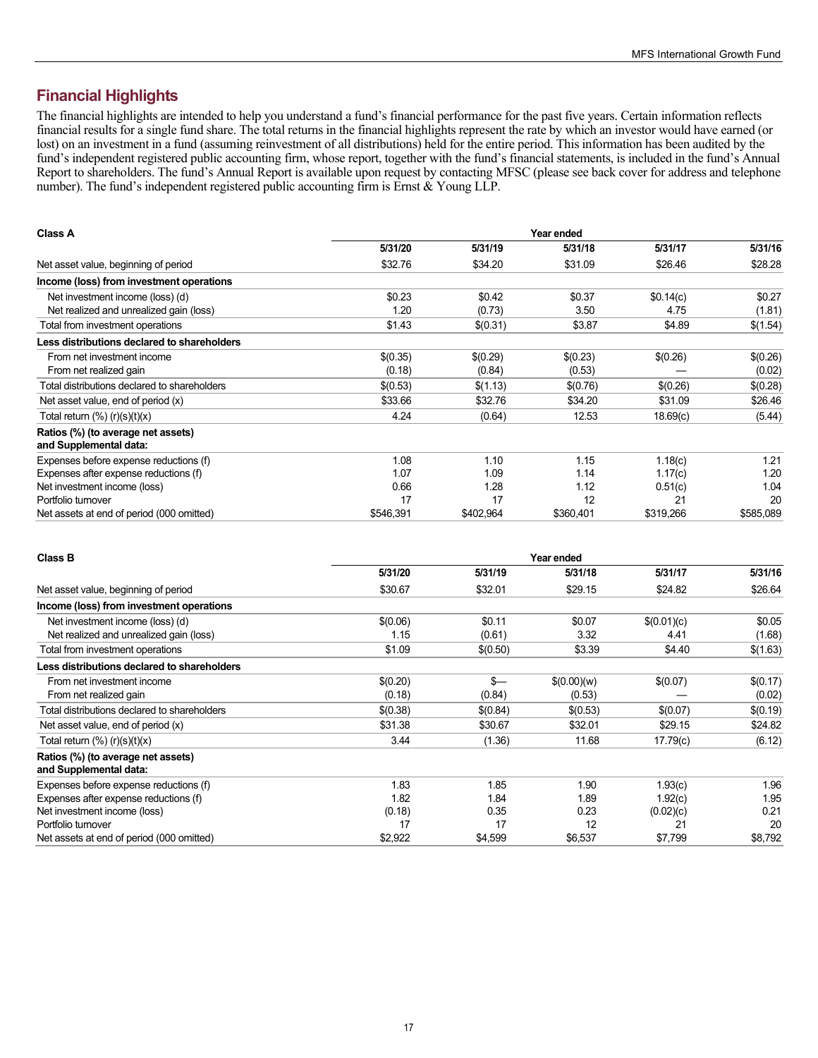# <span id="page-17-0"></span>**Financial Highlights**

The financial highlights are intended to help you understand a fund's financial performance for the past five years. Certain information reflects financial results for a single fund share. The total returns in the financial highlights represent the rate by which an investor would have earned (or lost) on an investment in a fund (assuming reinvestment of all distributions) held for the entire period. This information has been audited by the fund's independent registered public accounting firm, whose report, together with the fund's financial statements, is included in the fund's Annual Report to shareholders. The fund's Annual Report is available upon request by contacting MFSC (please see back cover for address and telephone number). The fund's independent registered public accounting firm is Ernst  $\&$  Young LLP.

| <b>Class A</b>                                               | Year ended |           |           |           |           |  |
|--------------------------------------------------------------|------------|-----------|-----------|-----------|-----------|--|
|                                                              | 5/31/20    | 5/31/19   | 5/31/18   | 5/31/17   | 5/31/16   |  |
| Net asset value, beginning of period                         | \$32.76    | \$34.20   | \$31.09   | \$26.46   | \$28.28   |  |
| Income (loss) from investment operations                     |            |           |           |           |           |  |
| Net investment income (loss) (d)                             | \$0.23     | \$0.42    | \$0.37    | \$0.14(c) | \$0.27    |  |
| Net realized and unrealized gain (loss)                      | 1.20       | (0.73)    | 3.50      | 4.75      | (1.81)    |  |
| Total from investment operations                             | \$1.43     | \$(0.31)  | \$3.87    | \$4.89    | \$(1.54)  |  |
| Less distributions declared to shareholders                  |            |           |           |           |           |  |
| From net investment income                                   | \$(0.35)   | \$(0.29)  | \$(0.23)  | \$(0.26)  | \$(0.26)  |  |
| From net realized gain                                       | (0.18)     | (0.84)    | (0.53)    |           | (0.02)    |  |
| Total distributions declared to shareholders                 | \$(0.53)   | \$(1.13)  | \$(0.76)  | \$(0.26)  | \$(0.28)  |  |
| Net asset value, end of period (x)                           | \$33.66    | \$32.76   | \$34.20   | \$31.09   | \$26.46   |  |
| Total return $(\%)$ (r) $(s)(t)(x)$                          | 4.24       | (0.64)    | 12.53     | 18.69(c)  | (5.44)    |  |
| Ratios (%) (to average net assets)<br>and Supplemental data: |            |           |           |           |           |  |
| Expenses before expense reductions (f)                       | 1.08       | 1.10      | 1.15      | 1.18(c)   | 1.21      |  |
| Expenses after expense reductions (f)                        | 1.07       | 1.09      | 1.14      | 1.17(c)   | 1.20      |  |
| Net investment income (loss)                                 | 0.66       | 1.28      | 1.12      | 0.51(c)   | 1.04      |  |
| Portfolio turnover                                           | 17         | 17        | 12        | 21        | 20        |  |
| Net assets at end of period (000 omitted)                    | \$546,391  | \$402,964 | \$360,401 | \$319,266 | \$585,089 |  |

| <b>Class B</b>                                               | Year ended |          |             |             |          |  |
|--------------------------------------------------------------|------------|----------|-------------|-------------|----------|--|
|                                                              | 5/31/20    | 5/31/19  | 5/31/18     | 5/31/17     | 5/31/16  |  |
| Net asset value, beginning of period                         | \$30.67    | \$32.01  | \$29.15     | \$24.82     | \$26.64  |  |
| Income (loss) from investment operations                     |            |          |             |             |          |  |
| Net investment income (loss) (d)                             | \$(0.06)   | \$0.11   | \$0.07      | \$(0.01)(c) | \$0.05   |  |
| Net realized and unrealized gain (loss)                      | 1.15       | (0.61)   | 3.32        | 4.41        | (1.68)   |  |
| Total from investment operations                             | \$1.09     | \$(0.50) | \$3.39      | \$4.40      | \$(1.63) |  |
| Less distributions declared to shareholders                  |            |          |             |             |          |  |
| From net investment income                                   | \$(0.20)   | \$—      | \$(0.00)(w) | \$(0.07)    | \$(0.17) |  |
| From net realized gain                                       | (0.18)     | (0.84)   | (0.53)      |             | (0.02)   |  |
| Total distributions declared to shareholders                 | \$(0.38)   | \$(0.84) | \$(0.53)    | \$(0.07)    | \$(0.19) |  |
| Net asset value, end of period $(x)$                         | \$31.38    | \$30.67  | \$32.01     | \$29.15     | \$24.82  |  |
| Total return $(\%)$ (r)(s)(t)(x)                             | 3.44       | (1.36)   | 11.68       | 17.79(c)    | (6.12)   |  |
| Ratios (%) (to average net assets)<br>and Supplemental data: |            |          |             |             |          |  |
| Expenses before expense reductions (f)                       | 1.83       | 1.85     | 1.90        | 1.93(c)     | 1.96     |  |
| Expenses after expense reductions (f)                        | 1.82       | 1.84     | 1.89        | 1.92(c)     | 1.95     |  |
| Net investment income (loss)                                 | (0.18)     | 0.35     | 0.23        | (0.02)(c)   | 0.21     |  |
| Portfolio turnover                                           | 17         | 17       | 12          | 21          | 20       |  |
| Net assets at end of period (000 omitted)                    | \$2,922    | \$4,599  | \$6,537     | \$7,799     | \$8,792  |  |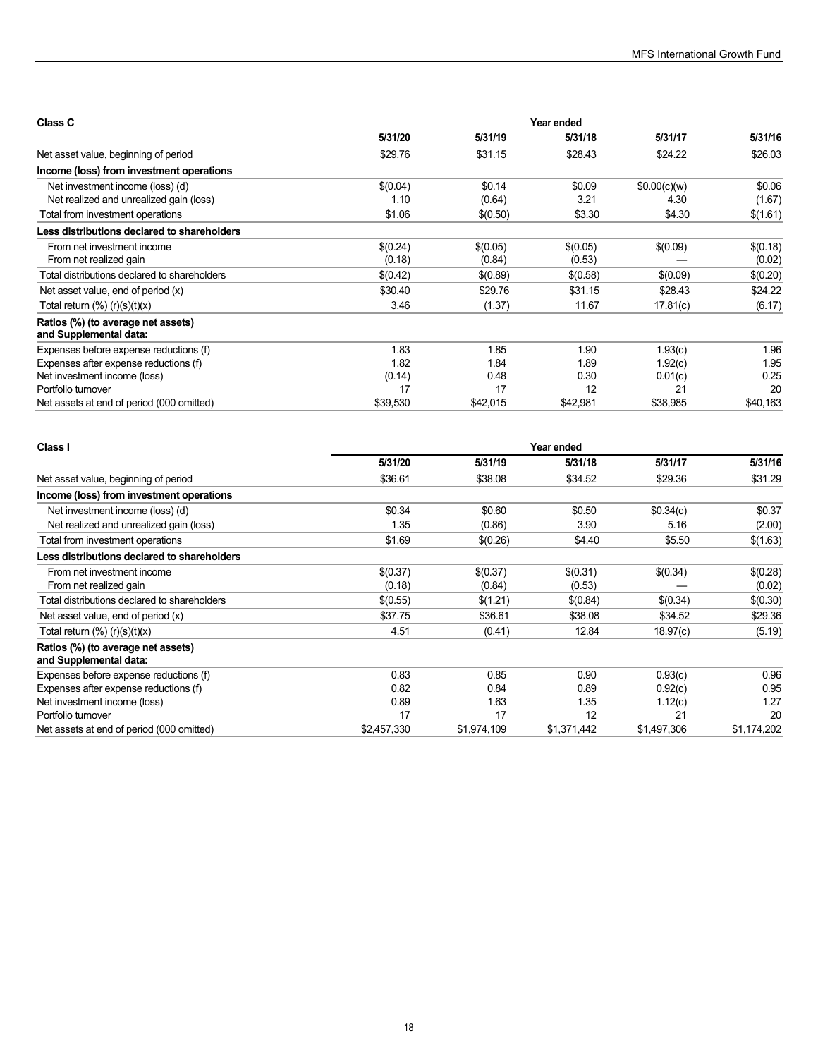| Class C                                                      | Year ended |          |          |              |          |  |
|--------------------------------------------------------------|------------|----------|----------|--------------|----------|--|
|                                                              | 5/31/20    | 5/31/19  | 5/31/18  | 5/31/17      | 5/31/16  |  |
| Net asset value, beginning of period                         | \$29.76    | \$31.15  | \$28.43  | \$24.22      | \$26.03  |  |
| Income (loss) from investment operations                     |            |          |          |              |          |  |
| Net investment income (loss) (d)                             | \$(0.04)   | \$0.14   | \$0.09   | \$0.00(c)(w) | \$0.06   |  |
| Net realized and unrealized gain (loss)                      | 1.10       | (0.64)   | 3.21     | 4.30         | (1.67)   |  |
| Total from investment operations                             | \$1.06     | \$(0.50) | \$3.30   | \$4.30       | \$(1.61) |  |
| Less distributions declared to shareholders                  |            |          |          |              |          |  |
| From net investment income                                   | \$(0.24)   | \$(0.05) | \$(0.05) | \$(0.09)     | \$(0.18) |  |
| From net realized gain                                       | (0.18)     | (0.84)   | (0.53)   |              | (0.02)   |  |
| Total distributions declared to shareholders                 | \$(0.42)   | \$(0.89) | \$(0.58) | \$(0.09)     | \$(0.20) |  |
| Net asset value, end of period $(x)$                         | \$30.40    | \$29.76  | \$31.15  | \$28.43      | \$24.22  |  |
| Total return $(\%)$ (r) $(s)(t)(x)$                          | 3.46       | (1.37)   | 11.67    | 17.81(c)     | (6.17)   |  |
| Ratios (%) (to average net assets)<br>and Supplemental data: |            |          |          |              |          |  |
| Expenses before expense reductions (f)                       | 1.83       | 1.85     | 1.90     | 1.93(c)      | 1.96     |  |
| Expenses after expense reductions (f)                        | 1.82       | 1.84     | 1.89     | 1.92(c)      | 1.95     |  |
| Net investment income (loss)                                 | (0.14)     | 0.48     | 0.30     | 0.01(c)      | 0.25     |  |
| Portfolio turnover                                           | 17         | 17       | 12       | 21           | 20       |  |
| Net assets at end of period (000 omitted)                    | \$39,530   | \$42,015 | \$42,981 | \$38,985     | \$40,163 |  |

| Class I                                                      | Year ended  |             |             |             |             |  |
|--------------------------------------------------------------|-------------|-------------|-------------|-------------|-------------|--|
|                                                              | 5/31/20     | 5/31/19     | 5/31/18     | 5/31/17     | 5/31/16     |  |
| Net asset value, beginning of period                         | \$36.61     | \$38.08     | \$34.52     | \$29.36     | \$31.29     |  |
| Income (loss) from investment operations                     |             |             |             |             |             |  |
| Net investment income (loss) (d)                             | \$0.34      | \$0.60      | \$0.50      | \$0.34(c)   | \$0.37      |  |
| Net realized and unrealized gain (loss)                      | 1.35        | (0.86)      | 3.90        | 5.16        | (2.00)      |  |
| Total from investment operations                             | \$1.69      | \$(0.26)    | \$4.40      | \$5.50      | \$(1.63)    |  |
| Less distributions declared to shareholders                  |             |             |             |             |             |  |
| From net investment income                                   | \$(0.37)    | \$(0.37)    | \$(0.31)    | \$(0.34)    | \$(0.28)    |  |
| From net realized gain                                       | (0.18)      | (0.84)      | (0.53)      |             | (0.02)      |  |
| Total distributions declared to shareholders                 | \$(0.55)    | \$(1.21)    | \$(0.84)    | \$(0.34)    | \$(0.30)    |  |
| Net asset value, end of period (x)                           | \$37.75     | \$36.61     | \$38.08     | \$34.52     | \$29.36     |  |
| Total return $(\%)$ (r) $(s)(t)(x)$                          | 4.51        | (0.41)      | 12.84       | 18.97(c)    | (5.19)      |  |
| Ratios (%) (to average net assets)<br>and Supplemental data: |             |             |             |             |             |  |
| Expenses before expense reductions (f)                       | 0.83        | 0.85        | 0.90        | 0.93(c)     | 0.96        |  |
| Expenses after expense reductions (f)                        | 0.82        | 0.84        | 0.89        | 0.92(c)     | 0.95        |  |
| Net investment income (loss)                                 | 0.89        | 1.63        | 1.35        | 1.12(c)     | 1.27        |  |
| Portfolio turnover                                           | 17          | 17          | 12          | 21          | 20          |  |
| Net assets at end of period (000 omitted)                    | \$2,457,330 | \$1,974,109 | \$1,371,442 | \$1,497,306 | \$1,174,202 |  |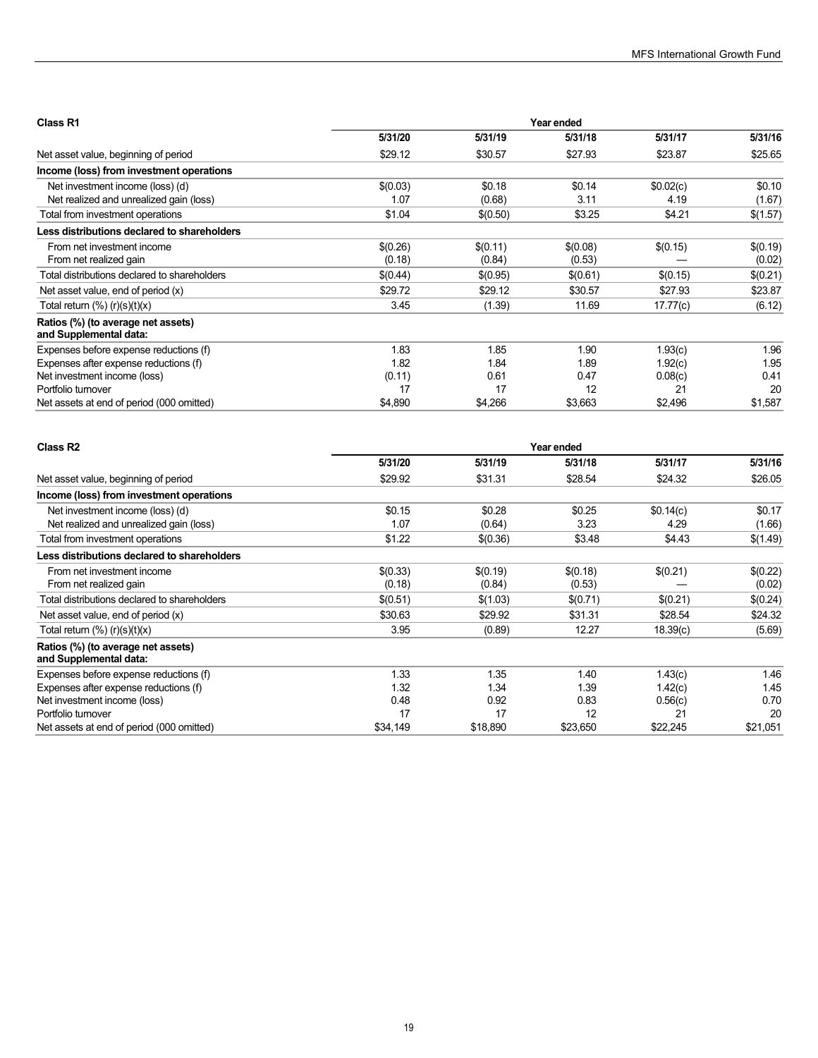| Class R1                                                     | Year ended |          |          |           |          |  |
|--------------------------------------------------------------|------------|----------|----------|-----------|----------|--|
|                                                              | 5/31/20    | 5/31/19  | 5/31/18  | 5/31/17   | 5/31/16  |  |
| Net asset value, beginning of period                         | \$29.12    | \$30.57  | \$27.93  | \$23.87   | \$25.65  |  |
| Income (loss) from investment operations                     |            |          |          |           |          |  |
| Net investment income (loss) (d)                             | \$(0.03)   | \$0.18   | \$0.14   | \$0.02(c) | \$0.10   |  |
| Net realized and unrealized gain (loss)                      | 1.07       | (0.68)   | 3.11     | 4.19      | (1.67)   |  |
| Total from investment operations                             | \$1.04     | \$(0.50) | \$3.25   | \$4.21    | \$(1.57) |  |
| Less distributions declared to shareholders                  |            |          |          |           |          |  |
| From net investment income                                   | \$(0.26)   | \$(0.11) | \$(0.08) | \$(0.15)  | \$(0.19) |  |
| From net realized gain                                       | (0.18)     | (0.84)   | (0.53)   |           | (0.02)   |  |
| Total distributions declared to shareholders                 | \$(0.44)   | \$(0.95) | \$(0.61) | \$(0.15)  | \$(0.21) |  |
| Net asset value, end of period $(x)$                         | \$29.72    | \$29.12  | \$30.57  | \$27.93   | \$23.87  |  |
| Total return $(\%)$ (r) $(s)(t)(x)$                          | 3.45       | (1.39)   | 11.69    | 17.77(c)  | (6.12)   |  |
| Ratios (%) (to average net assets)<br>and Supplemental data: |            |          |          |           |          |  |
| Expenses before expense reductions (f)                       | 1.83       | 1.85     | 1.90     | 1.93(c)   | 1.96     |  |
| Expenses after expense reductions (f)                        | 1.82       | 1.84     | 1.89     | 1.92(c)   | 1.95     |  |
| Net investment income (loss)                                 | (0.11)     | 0.61     | 0.47     | 0.08(c)   | 0.41     |  |
| Portfolio turnover                                           | 17         | 17       | 12       | 21        | 20       |  |
| Net assets at end of period (000 omitted)                    | \$4,890    | \$4,266  | \$3,663  | \$2,496   | \$1,587  |  |

| Class R <sub>2</sub>                                         | Year ended |          |          |           |          |  |
|--------------------------------------------------------------|------------|----------|----------|-----------|----------|--|
|                                                              | 5/31/20    | 5/31/19  | 5/31/18  | 5/31/17   | 5/31/16  |  |
| Net asset value, beginning of period                         | \$29.92    | \$31.31  | \$28.54  | \$24.32   | \$26.05  |  |
| Income (loss) from investment operations                     |            |          |          |           |          |  |
| Net investment income (loss) (d)                             | \$0.15     | \$0.28   | \$0.25   | \$0.14(c) | \$0.17   |  |
| Net realized and unrealized gain (loss)                      | 1.07       | (0.64)   | 3.23     | 4.29      | (1.66)   |  |
| Total from investment operations                             | \$1.22     | \$(0.36) | \$3.48   | \$4.43    | \$(1.49) |  |
| Less distributions declared to shareholders                  |            |          |          |           |          |  |
| From net investment income                                   | \$(0.33)   | \$(0.19) | \$(0.18) | \$(0.21)  | \$(0.22) |  |
| From net realized gain                                       | (0.18)     | (0.84)   | (0.53)   |           | (0.02)   |  |
| Total distributions declared to shareholders                 | \$(0.51)   | \$(1.03) | \$(0.71) | \$(0.21)  | \$(0.24) |  |
| Net asset value, end of period (x)                           | \$30.63    | \$29.92  | \$31.31  | \$28.54   | \$24.32  |  |
| Total return $(\%)$ (r) $(s)(t)(x)$                          | 3.95       | (0.89)   | 12.27    | 18.39(c)  | (5.69)   |  |
| Ratios (%) (to average net assets)<br>and Supplemental data: |            |          |          |           |          |  |
| Expenses before expense reductions (f)                       | 1.33       | 1.35     | 1.40     | 1.43(c)   | 1.46     |  |
| Expenses after expense reductions (f)                        | 1.32       | 1.34     | 1.39     | 1.42(c)   | 1.45     |  |
| Net investment income (loss)                                 | 0.48       | 0.92     | 0.83     | 0.56(c)   | 0.70     |  |
| Portfolio turnover                                           | 17         | 17       | 12       | 21        | 20       |  |
| Net assets at end of period (000 omitted)                    | \$34,149   | \$18,890 | \$23,650 | \$22,245  | \$21,051 |  |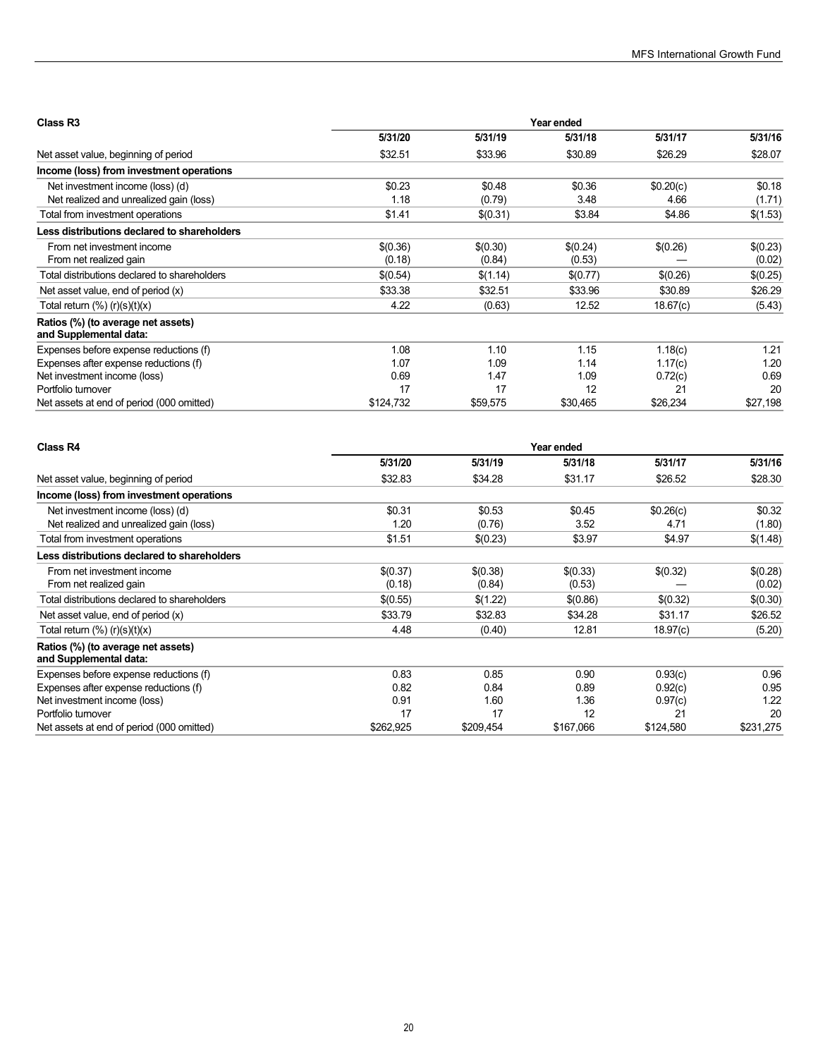| Class R <sub>3</sub>                                         | Year ended |          |          |           |          |  |
|--------------------------------------------------------------|------------|----------|----------|-----------|----------|--|
|                                                              | 5/31/20    | 5/31/19  | 5/31/18  | 5/31/17   | 5/31/16  |  |
| Net asset value, beginning of period                         | \$32.51    | \$33.96  | \$30.89  | \$26.29   | \$28.07  |  |
| Income (loss) from investment operations                     |            |          |          |           |          |  |
| Net investment income (loss) (d)                             | \$0.23     | \$0.48   | \$0.36   | \$0.20(c) | \$0.18   |  |
| Net realized and unrealized gain (loss)                      | 1.18       | (0.79)   | 3.48     | 4.66      | (1.71)   |  |
| Total from investment operations                             | \$1.41     | \$(0.31) | \$3.84   | \$4.86    | \$(1.53) |  |
| Less distributions declared to shareholders                  |            |          |          |           |          |  |
| From net investment income                                   | \$(0.36)   | \$(0.30) | \$(0.24) | \$(0.26)  | \$(0.23) |  |
| From net realized gain                                       | (0.18)     | (0.84)   | (0.53)   |           | (0.02)   |  |
| Total distributions declared to shareholders                 | \$(0.54)   | \$(1.14) | \$(0.77) | \$(0.26)  | \$(0.25) |  |
| Net asset value, end of period $(x)$                         | \$33.38    | \$32.51  | \$33.96  | \$30.89   | \$26.29  |  |
| Total return $(\%)$ (r) $(s)(t)(x)$                          | 4.22       | (0.63)   | 12.52    | 18.67(c)  | (5.43)   |  |
| Ratios (%) (to average net assets)<br>and Supplemental data: |            |          |          |           |          |  |
| Expenses before expense reductions (f)                       | 1.08       | 1.10     | 1.15     | 1.18(c)   | 1.21     |  |
| Expenses after expense reductions (f)                        | 1.07       | 1.09     | 1.14     | 1.17(c)   | 1.20     |  |
| Net investment income (loss)                                 | 0.69       | 1.47     | 1.09     | 0.72(c)   | 0.69     |  |
| Portfolio turnover                                           | 17         | 17       | 12       | 21        | 20       |  |
| Net assets at end of period (000 omitted)                    | \$124,732  | \$59,575 | \$30,465 | \$26,234  | \$27,198 |  |

| <b>Class R4</b>                                              | Year ended |           |           |           |           |  |
|--------------------------------------------------------------|------------|-----------|-----------|-----------|-----------|--|
|                                                              | 5/31/20    | 5/31/19   | 5/31/18   | 5/31/17   | 5/31/16   |  |
| Net asset value, beginning of period                         | \$32.83    | \$34.28   | \$31.17   | \$26.52   | \$28.30   |  |
| Income (loss) from investment operations                     |            |           |           |           |           |  |
| Net investment income (loss) (d)                             | \$0.31     | \$0.53    | \$0.45    | \$0.26(c) | \$0.32    |  |
| Net realized and unrealized gain (loss)                      | 1.20       | (0.76)    | 3.52      | 4.71      | (1.80)    |  |
| Total from investment operations                             | \$1.51     | \$(0.23)  | \$3.97    | \$4.97    | \$(1.48)  |  |
| Less distributions declared to shareholders                  |            |           |           |           |           |  |
| From net investment income                                   | \$(0.37)   | \$(0.38)  | \$(0.33)  | \$(0.32)  | \$(0.28)  |  |
| From net realized gain                                       | (0.18)     | (0.84)    | (0.53)    |           | (0.02)    |  |
| Total distributions declared to shareholders                 | \$(0.55)   | \$(1.22)  | \$(0.86)  | \$(0.32)  | \$(0.30)  |  |
| Net asset value, end of period $(x)$                         | \$33.79    | \$32.83   | \$34.28   | \$31.17   | \$26.52   |  |
| Total return $(\%)$ (r) $(s)(t)(x)$                          | 4.48       | (0.40)    | 12.81     | 18.97(c)  | (5.20)    |  |
| Ratios (%) (to average net assets)<br>and Supplemental data: |            |           |           |           |           |  |
| Expenses before expense reductions (f)                       | 0.83       | 0.85      | 0.90      | 0.93(c)   | 0.96      |  |
| Expenses after expense reductions (f)                        | 0.82       | 0.84      | 0.89      | 0.92(c)   | 0.95      |  |
| Net investment income (loss)                                 | 0.91       | 1.60      | 1.36      | 0.97(c)   | 1.22      |  |
| Portfolio turnover                                           | 17         | 17        | 12        | 21        | 20        |  |
| Net assets at end of period (000 omitted)                    | \$262,925  | \$209,454 | \$167,066 | \$124,580 | \$231,275 |  |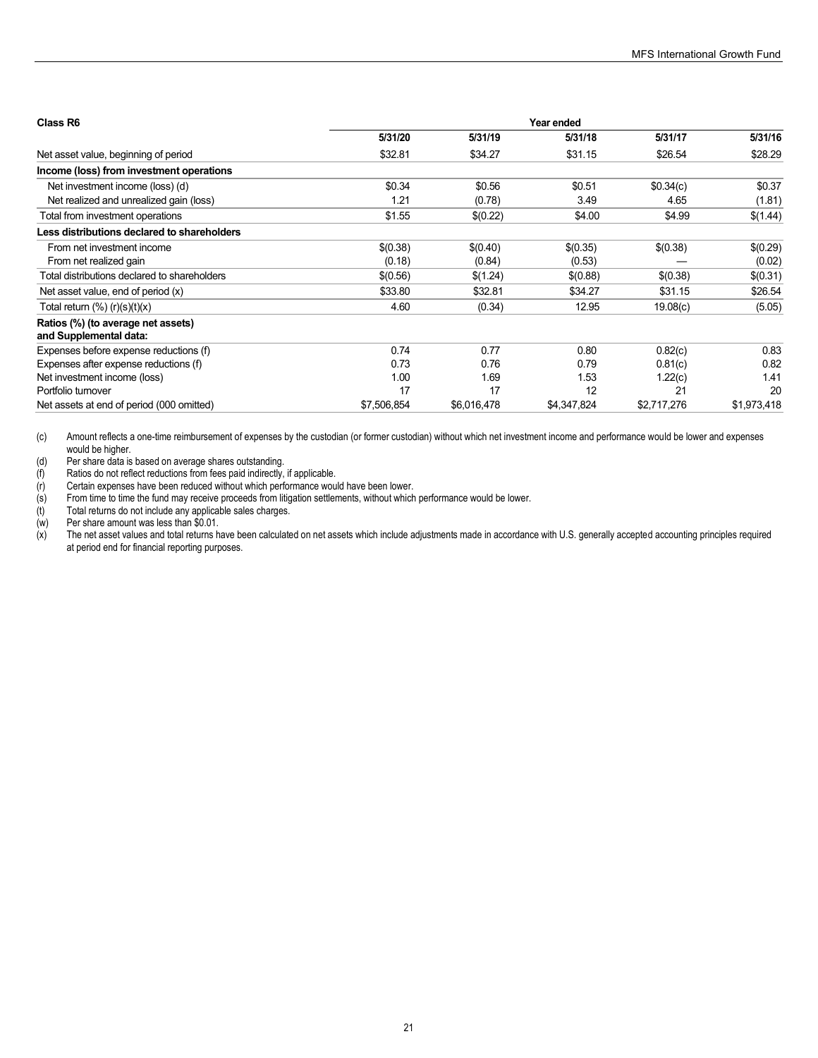| Class R6                                                     | Year ended  |             |             |             |             |  |
|--------------------------------------------------------------|-------------|-------------|-------------|-------------|-------------|--|
|                                                              | 5/31/20     | 5/31/19     | 5/31/18     | 5/31/17     | 5/31/16     |  |
| Net asset value, beginning of period                         | \$32.81     | \$34.27     | \$31.15     | \$26.54     | \$28.29     |  |
| Income (loss) from investment operations                     |             |             |             |             |             |  |
| Net investment income (loss) (d)                             | \$0.34      | \$0.56      | \$0.51      | \$0.34(c)   | \$0.37      |  |
| Net realized and unrealized gain (loss)                      | 1.21        | (0.78)      | 3.49        | 4.65        | (1.81)      |  |
| Total from investment operations                             | \$1.55      | \$(0.22)    | \$4.00      | \$4.99      | \$(1.44)    |  |
| Less distributions declared to shareholders                  |             |             |             |             |             |  |
| From net investment income                                   | \$(0.38)    | \$(0.40)    | \$(0.35)    | \$(0.38)    | \$(0.29)    |  |
| From net realized gain                                       | (0.18)      | (0.84)      | (0.53)      |             | (0.02)      |  |
| Total distributions declared to shareholders                 | \$(0.56)    | \$(1.24)    | \$(0.88)    | \$(0.38)    | \$(0.31)    |  |
| Net asset value, end of period $(x)$                         | \$33.80     | \$32.81     | \$34.27     | \$31.15     | \$26.54     |  |
| Total return $(\%)$ (r) $(s)(t)(x)$                          | 4.60        | (0.34)      | 12.95       | 19.08(c)    | (5.05)      |  |
| Ratios (%) (to average net assets)<br>and Supplemental data: |             |             |             |             |             |  |
| Expenses before expense reductions (f)                       | 0.74        | 0.77        | 0.80        | 0.82(c)     | 0.83        |  |
| Expenses after expense reductions (f)                        | 0.73        | 0.76        | 0.79        | 0.81(c)     | 0.82        |  |
| Net investment income (loss)                                 | 1.00        | 1.69        | 1.53        | 1.22(c)     | 1.41        |  |
| Portfolio turnover                                           | 17          | 17          | 12          | 21          | 20          |  |
| Net assets at end of period (000 omitted)                    | \$7.506.854 | \$6,016,478 | \$4.347.824 | \$2.717.276 | \$1,973,418 |  |

(c) Amount reflects a one-time reimbursement of expenses by the custodian (or former custodian) without which net investment income and performance would be lower and expenses would be higher.

(d) Per share data is based on average shares outstanding.

Certain expenses have been reduced without which performance would have been lower.

(f) Ratios do not reflect reductions from fees paid indirectly, if applicable.<br>
(r) Certain expenses have been reduced without which performance wou<br>
(s) From time to time the fund may receive proceeds from litigation set From time to time the fund may receive proceeds from litigation settlements, without which performance would be lower.

Total returns do not include any applicable sales charges.

Per share amount was less than \$0.01.

The net asset values and total returns have been calculated on net assets which include adjustments made in accordance with U.S. generally accepted accounting principles required at period end for financial reporting purposes.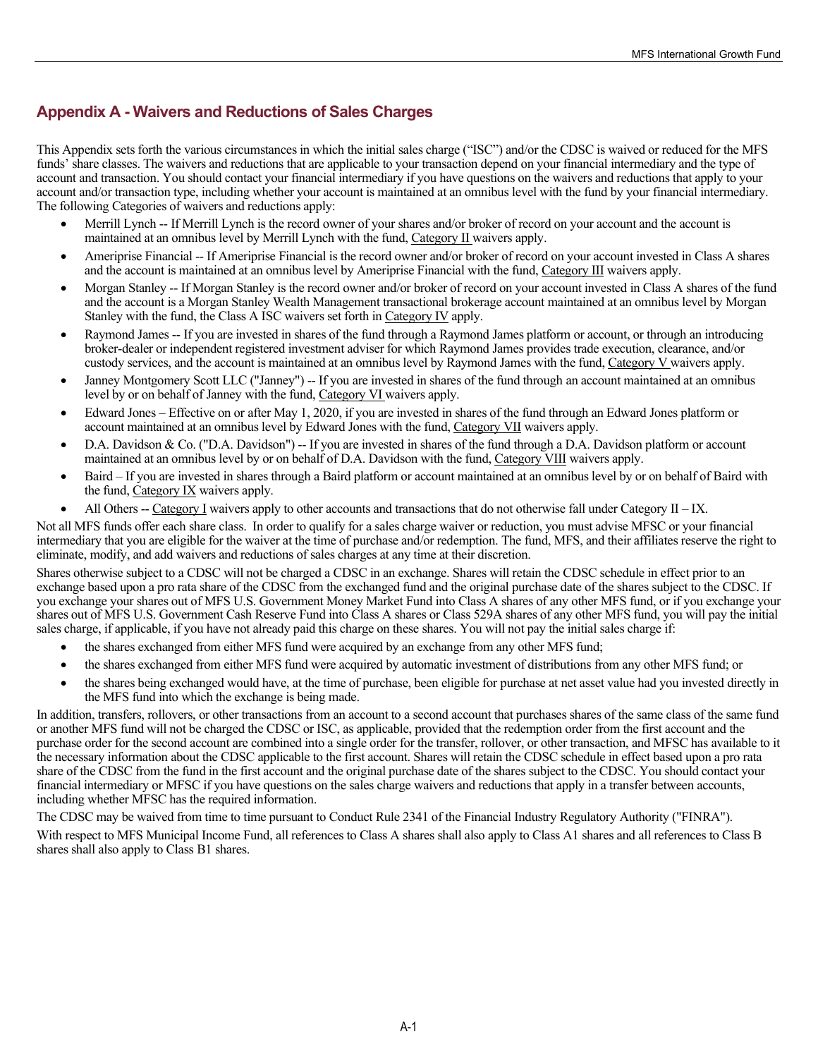# <span id="page-22-0"></span>**Appendix A - Waivers and Reductions of Sales Charges**

This Appendix sets forth the various circumstances in which the initial sales charge ("ISC") and/or the CDSC is waived or reduced for the MFS funds' share classes. The waivers and reductions that are applicable to your transaction depend on your financial intermediary and the type of account and transaction. You should contact your financial intermediary if you have questions on the waivers and reductions that apply to your account and/or transaction type, including whether your account is maintained at an omnibus level with the fund by your financial intermediary. The following Categories of waivers and reductions apply:

- Merrill Lynch -- If Merrill Lynch is the record owner of your shares and/or broker of record on your account and the account is maintained at an omnibus level by Merrill Lynch with the fund, Category II waivers apply.
- Ameriprise Financial -- If Ameriprise Financial is the record owner and/or broker of record on your account invested in Class A shares and the account is maintained at an omnibus level by Ameriprise Financial with the fund, Category III waivers apply.
- Morgan Stanley -- If Morgan Stanley is the record owner and/or broker of record on your account invested in Class A shares of the fund and the account is a Morgan Stanley Wealth Management transactional brokerage account maintained at an omnibus level by Morgan Stanley with the fund, the Class A ISC waivers set forth in Category IV apply.
- Raymond James -- If you are invested in shares of the fund through a Raymond James platform or account, or through an introducing broker-dealer or independent registered investment adviser for which Raymond James provides trade execution, clearance, and/or custody services, and the account is maintained at an omnibus level by Raymond James with the fund, Category V waivers apply.
- Janney Montgomery Scott LLC ("Janney") -- If you are invested in shares of the fund through an account maintained at an omnibus level by or on behalf of Janney with the fund, Category VI waivers apply.
- Edward Jones Effective on or after May 1, 2020, if you are invested in shares of the fund through an Edward Jones platform or account maintained at an omnibus level by Edward Jones with the fund, Category VII waivers apply.
- D.A. Davidson & Co. ("D.A. Davidson") -- If you are invested in shares of the fund through a D.A. Davidson platform or account maintained at an omnibus level by or on behalf of D.A. Davidson with the fund, Category VIII waivers apply.
- Baird If you are invested in shares through a Baird platform or account maintained at an omnibus level by or on behalf of Baird with the fund, Category IX waivers apply.
- All Others -- Category I waivers apply to other accounts and transactions that do not otherwise fall under Category  $II IX$ .

Not all MFS funds offer each share class. In order to qualify for a sales charge waiver or reduction, you must advise MFSC or your financial intermediary that you are eligible for the waiver at the time of purchase and/or redemption. The fund, MFS, and their affiliates reserve the right to eliminate, modify, and add waivers and reductions of sales charges at any time at their discretion.

Shares otherwise subject to a CDSC will not be charged a CDSC in an exchange. Shares will retain the CDSC schedule in effect prior to an exchange based upon a pro rata share of the CDSC from the exchanged fund and the original purchase date of the shares subject to the CDSC. If you exchange your shares out of MFS U.S. Government Money Market Fund into Class A shares of any other MFS fund, or if you exchange your shares out of MFS U.S. Government Cash Reserve Fund into Class A shares or Class 529A shares of any other MFS fund, you will pay the initial sales charge, if applicable, if you have not already paid this charge on these shares. You will not pay the initial sales charge if:

- the shares exchanged from either MFS fund were acquired by an exchange from any other MFS fund;
- the shares exchanged from either MFS fund were acquired by automatic investment of distributions from any other MFS fund; or
- the shares being exchanged would have, at the time of purchase, been eligible for purchase at net asset value had you invested directly in the MFS fund into which the exchange is being made.

In addition, transfers, rollovers, or other transactions from an account to a second account that purchases shares of the same class of the same fund or another MFS fund will not be charged the CDSC or ISC, as applicable, provided that the redemption order from the first account and the purchase order for the second account are combined into a single order for the transfer, rollover, or other transaction, and MFSC has available to it the necessary information about the CDSC applicable to the first account. Shares will retain the CDSC schedule in effect based upon a pro rata share of the CDSC from the fund in the first account and the original purchase date of the shares subject to the CDSC. You should contact your financial intermediary or MFSC if you have questions on the sales charge waivers and reductions that apply in a transfer between accounts, including whether MFSC has the required information.

The CDSC may be waived from time to time pursuant to Conduct Rule 2341 of the Financial Industry Regulatory Authority ("FINRA").

With respect to MFS Municipal Income Fund, all references to Class A shares shall also apply to Class A1 shares and all references to Class B shares shall also apply to Class B1 shares.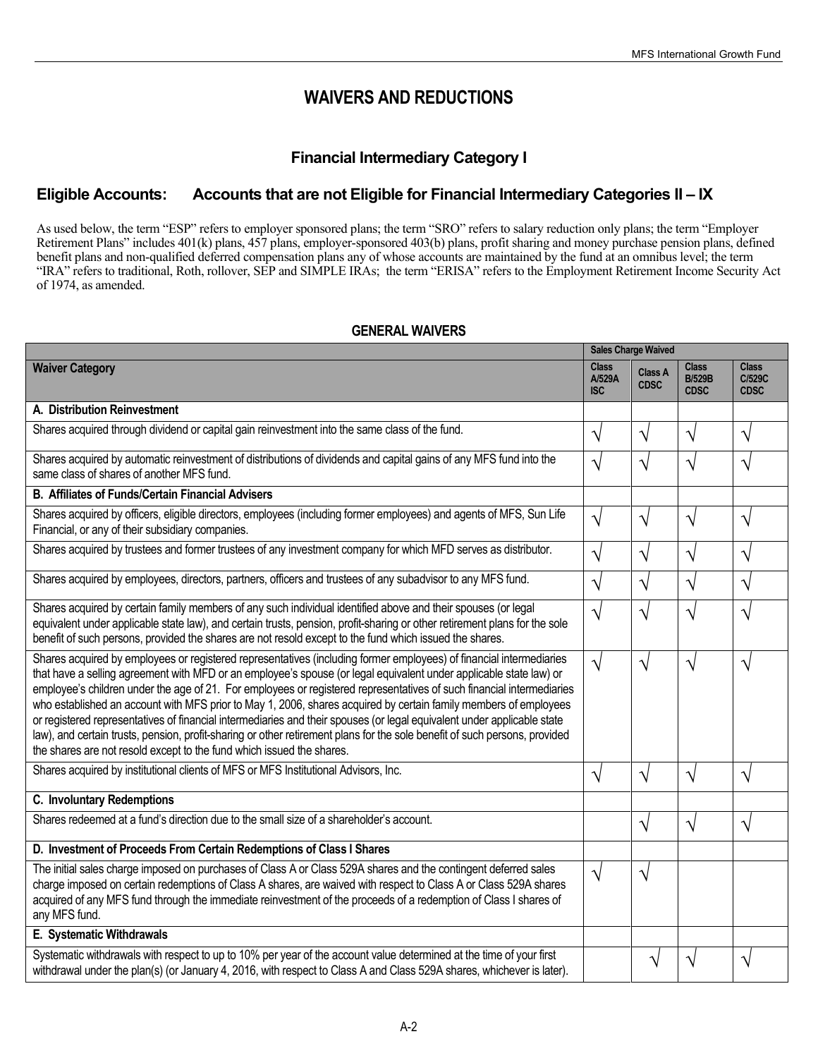**Sales Chaves Weight** 

# **WAIVERS AND REDUCTIONS**

# **Financial Intermediary Category I**

# **Eligible Accounts: Accounts that are not Eligible for Financial Intermediary Categories II – IX**

As used below, the term "ESP" refers to employer sponsored plans; the term "SRO" refers to salary reduction only plans; the term "Employer Retirement Plans" includes 401(k) plans, 457 plans, employer-sponsored 403(b) plans, profit sharing and money purchase pension plans, defined benefit plans and non-qualified deferred compensation plans any of whose accounts are maintained by the fund at an omnibus level; the term "IRA" refers to traditional, Roth, rollover, SEP and SIMPLE IRAs; the term "ERISA" refers to the Employment Retirement Income Security Act of 1974, as amended.

## **GENERAL WAIVERS**

|                                                                                                                                                                                                                                                                                                                                                                                                                                                                                                                                                                                                                                                                                                                                                                                                                          | Jales Unarge Walveu                  |                               |                                              |                                       |
|--------------------------------------------------------------------------------------------------------------------------------------------------------------------------------------------------------------------------------------------------------------------------------------------------------------------------------------------------------------------------------------------------------------------------------------------------------------------------------------------------------------------------------------------------------------------------------------------------------------------------------------------------------------------------------------------------------------------------------------------------------------------------------------------------------------------------|--------------------------------------|-------------------------------|----------------------------------------------|---------------------------------------|
| <b>Waiver Category</b>                                                                                                                                                                                                                                                                                                                                                                                                                                                                                                                                                                                                                                                                                                                                                                                                   | <b>Class</b><br>A/529A<br><b>ISC</b> | <b>Class A</b><br><b>CDSC</b> | <b>Class</b><br><b>B/529B</b><br><b>CDSC</b> | <b>Class</b><br>C/529C<br><b>CDSC</b> |
| A. Distribution Reinvestment                                                                                                                                                                                                                                                                                                                                                                                                                                                                                                                                                                                                                                                                                                                                                                                             |                                      |                               |                                              |                                       |
| Shares acquired through dividend or capital gain reinvestment into the same class of the fund.                                                                                                                                                                                                                                                                                                                                                                                                                                                                                                                                                                                                                                                                                                                           | $\sqrt{}$                            | $\sqrt{}$                     | V                                            | $\sqrt{}$                             |
| Shares acquired by automatic reinvestment of distributions of dividends and capital gains of any MFS fund into the<br>same class of shares of another MFS fund.                                                                                                                                                                                                                                                                                                                                                                                                                                                                                                                                                                                                                                                          | $\sqrt{}$                            | $\sqrt{}$                     | V                                            | N                                     |
| <b>B. Affiliates of Funds/Certain Financial Advisers</b>                                                                                                                                                                                                                                                                                                                                                                                                                                                                                                                                                                                                                                                                                                                                                                 |                                      |                               |                                              |                                       |
| Shares acquired by officers, eligible directors, employees (including former employees) and agents of MFS, Sun Life<br>Financial, or any of their subsidiary companies.                                                                                                                                                                                                                                                                                                                                                                                                                                                                                                                                                                                                                                                  | $\sqrt{}$                            | $\sqrt{}$                     | V                                            | $\boldsymbol{\gamma}$                 |
| Shares acquired by trustees and former trustees of any investment company for which MFD serves as distributor.                                                                                                                                                                                                                                                                                                                                                                                                                                                                                                                                                                                                                                                                                                           | $\sqrt{ }$                           | $\sqrt{}$                     | V                                            | $\sqrt{}$                             |
| Shares acquired by employees, directors, partners, officers and trustees of any subadvisor to any MFS fund.                                                                                                                                                                                                                                                                                                                                                                                                                                                                                                                                                                                                                                                                                                              | $\sqrt{}$                            | $\sqrt{}$                     | $\sqrt{}$                                    | $\sqrt{}$                             |
| Shares acquired by certain family members of any such individual identified above and their spouses (or legal<br>equivalent under applicable state law), and certain trusts, pension, profit-sharing or other retirement plans for the sole<br>benefit of such persons, provided the shares are not resold except to the fund which issued the shares.                                                                                                                                                                                                                                                                                                                                                                                                                                                                   | $\sqrt{}$                            | $\sqrt{2}$                    | N                                            | N                                     |
| Shares acquired by employees or registered representatives (including former employees) of financial intermediaries<br>that have a selling agreement with MFD or an employee's spouse (or legal equivalent under applicable state law) or<br>employee's children under the age of 21. For employees or registered representatives of such financial intermediaries<br>who established an account with MFS prior to May 1, 2006, shares acquired by certain family members of employees<br>or registered representatives of financial intermediaries and their spouses (or legal equivalent under applicable state<br>law), and certain trusts, pension, profit-sharing or other retirement plans for the sole benefit of such persons, provided<br>the shares are not resold except to the fund which issued the shares. | $\sqrt{}$                            | $\sqrt{}$                     | $\sqrt{}$                                    | N                                     |
| Shares acquired by institutional clients of MFS or MFS Institutional Advisors, Inc.                                                                                                                                                                                                                                                                                                                                                                                                                                                                                                                                                                                                                                                                                                                                      | $\sqrt{ }$                           | $\sqrt{}$                     | $\sqrt{ }$                                   | $\sqrt{}$                             |
| C. Involuntary Redemptions                                                                                                                                                                                                                                                                                                                                                                                                                                                                                                                                                                                                                                                                                                                                                                                               |                                      |                               |                                              |                                       |
| Shares redeemed at a fund's direction due to the small size of a shareholder's account.                                                                                                                                                                                                                                                                                                                                                                                                                                                                                                                                                                                                                                                                                                                                  |                                      | V                             | V                                            | N                                     |
| D. Investment of Proceeds From Certain Redemptions of Class I Shares                                                                                                                                                                                                                                                                                                                                                                                                                                                                                                                                                                                                                                                                                                                                                     |                                      |                               |                                              |                                       |
| The initial sales charge imposed on purchases of Class A or Class 529A shares and the contingent deferred sales<br>charge imposed on certain redemptions of Class A shares, are waived with respect to Class A or Class 529A shares<br>acquired of any MFS fund through the immediate reinvestment of the proceeds of a redemption of Class I shares of<br>any MFS fund.                                                                                                                                                                                                                                                                                                                                                                                                                                                 | $\sqrt{}$                            | V                             |                                              |                                       |
| E. Systematic Withdrawals                                                                                                                                                                                                                                                                                                                                                                                                                                                                                                                                                                                                                                                                                                                                                                                                |                                      |                               |                                              |                                       |
| Systematic withdrawals with respect to up to 10% per year of the account value determined at the time of your first<br>withdrawal under the plan(s) (or January 4, 2016, with respect to Class A and Class 529A shares, whichever is later).                                                                                                                                                                                                                                                                                                                                                                                                                                                                                                                                                                             |                                      |                               |                                              | ٦                                     |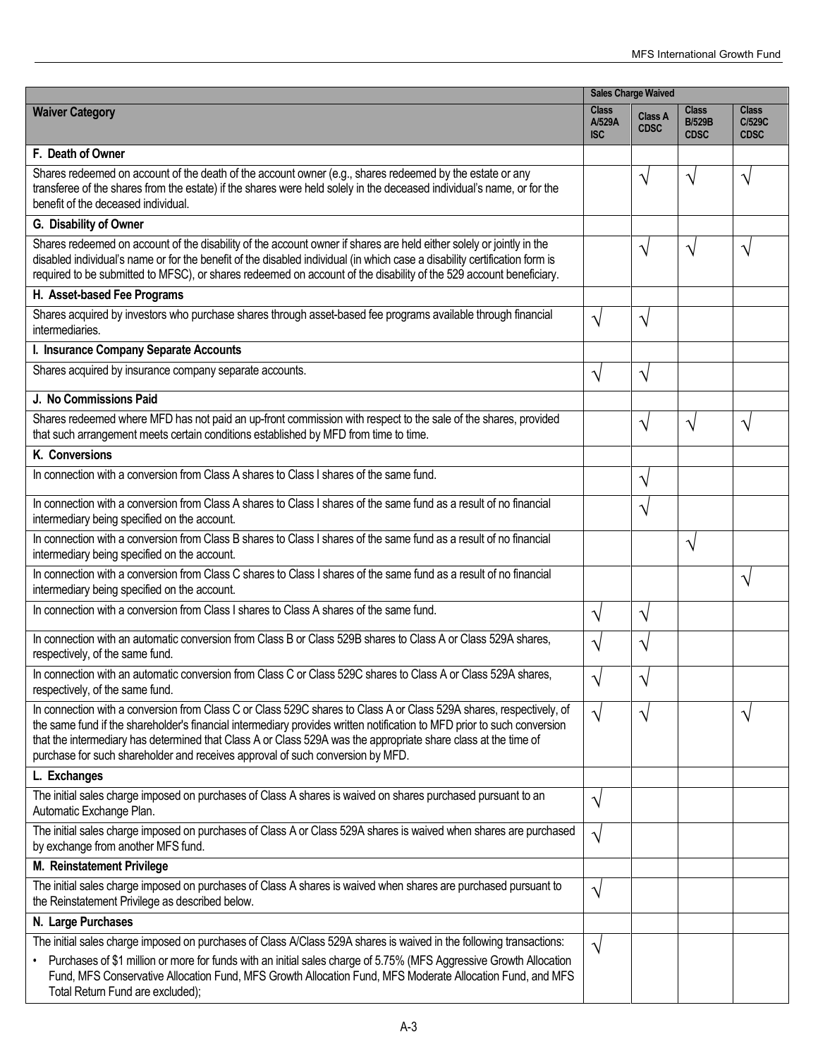|                                                                                                                                                                                                                                                                                                                                                                                                                                                    | <b>Sales Charge Waived</b>           |                               |                                              |                                       |
|----------------------------------------------------------------------------------------------------------------------------------------------------------------------------------------------------------------------------------------------------------------------------------------------------------------------------------------------------------------------------------------------------------------------------------------------------|--------------------------------------|-------------------------------|----------------------------------------------|---------------------------------------|
| <b>Waiver Category</b>                                                                                                                                                                                                                                                                                                                                                                                                                             | <b>Class</b><br>A/529A<br><b>ISC</b> | <b>Class A</b><br><b>CDSC</b> | <b>Class</b><br><b>B/529B</b><br><b>CDSC</b> | <b>Class</b><br>C/529C<br><b>CDSC</b> |
| F. Death of Owner                                                                                                                                                                                                                                                                                                                                                                                                                                  |                                      |                               |                                              |                                       |
| Shares redeemed on account of the death of the account owner (e.g., shares redeemed by the estate or any<br>transferee of the shares from the estate) if the shares were held solely in the deceased individual's name, or for the<br>benefit of the deceased individual.                                                                                                                                                                          |                                      | N                             | N                                            | J                                     |
| G. Disability of Owner                                                                                                                                                                                                                                                                                                                                                                                                                             |                                      |                               |                                              |                                       |
| Shares redeemed on account of the disability of the account owner if shares are held either solely or jointly in the<br>disabled individual's name or for the benefit of the disabled individual (in which case a disability certification form is<br>required to be submitted to MFSC), or shares redeemed on account of the disability of the 529 account beneficiary.                                                                           |                                      | V                             | N                                            | ٦                                     |
| H. Asset-based Fee Programs                                                                                                                                                                                                                                                                                                                                                                                                                        |                                      |                               |                                              |                                       |
| Shares acquired by investors who purchase shares through asset-based fee programs available through financial<br>intermediaries.                                                                                                                                                                                                                                                                                                                   | $\sqrt{}$                            | V                             |                                              |                                       |
| I. Insurance Company Separate Accounts                                                                                                                                                                                                                                                                                                                                                                                                             |                                      |                               |                                              |                                       |
| Shares acquired by insurance company separate accounts.                                                                                                                                                                                                                                                                                                                                                                                            | V                                    | $\gamma$                      |                                              |                                       |
| J. No Commissions Paid                                                                                                                                                                                                                                                                                                                                                                                                                             |                                      |                               |                                              |                                       |
| Shares redeemed where MFD has not paid an up-front commission with respect to the sale of the shares, provided<br>that such arrangement meets certain conditions established by MFD from time to time.                                                                                                                                                                                                                                             |                                      | V                             | N                                            | V                                     |
| K. Conversions                                                                                                                                                                                                                                                                                                                                                                                                                                     |                                      |                               |                                              |                                       |
| In connection with a conversion from Class A shares to Class I shares of the same fund.                                                                                                                                                                                                                                                                                                                                                            |                                      | V                             |                                              |                                       |
| In connection with a conversion from Class A shares to Class I shares of the same fund as a result of no financial<br>intermediary being specified on the account.                                                                                                                                                                                                                                                                                 |                                      | V                             |                                              |                                       |
| In connection with a conversion from Class B shares to Class I shares of the same fund as a result of no financial<br>intermediary being specified on the account.                                                                                                                                                                                                                                                                                 |                                      |                               | N                                            |                                       |
| In connection with a conversion from Class C shares to Class I shares of the same fund as a result of no financial<br>intermediary being specified on the account.                                                                                                                                                                                                                                                                                 |                                      |                               |                                              | V                                     |
| In connection with a conversion from Class I shares to Class A shares of the same fund.                                                                                                                                                                                                                                                                                                                                                            | V                                    | $\gamma$                      |                                              |                                       |
| In connection with an automatic conversion from Class B or Class 529B shares to Class A or Class 529A shares,<br>respectively, of the same fund.                                                                                                                                                                                                                                                                                                   | V                                    | V                             |                                              |                                       |
| In connection with an automatic conversion from Class C or Class 529C shares to Class A or Class 529A shares.<br>respectively, of the same fund.                                                                                                                                                                                                                                                                                                   | V                                    | V                             |                                              |                                       |
| In connection with a conversion from Class C or Class 529C shares to Class A or Class 529A shares, respectively, of<br>the same fund if the shareholder's financial intermediary provides written notification to MFD prior to such conversion<br>that the intermediary has determined that Class A or Class 529A was the appropriate share class at the time of<br>purchase for such shareholder and receives approval of such conversion by MFD. | $\sqrt{}$                            | V                             |                                              | V                                     |
| L. Exchanges                                                                                                                                                                                                                                                                                                                                                                                                                                       |                                      |                               |                                              |                                       |
| The initial sales charge imposed on purchases of Class A shares is waived on shares purchased pursuant to an<br>Automatic Exchange Plan.                                                                                                                                                                                                                                                                                                           | $\sqrt{}$                            |                               |                                              |                                       |
| The initial sales charge imposed on purchases of Class A or Class 529A shares is waived when shares are purchased<br>by exchange from another MFS fund.                                                                                                                                                                                                                                                                                            | V                                    |                               |                                              |                                       |
| M. Reinstatement Privilege                                                                                                                                                                                                                                                                                                                                                                                                                         |                                      |                               |                                              |                                       |
| The initial sales charge imposed on purchases of Class A shares is waived when shares are purchased pursuant to<br>the Reinstatement Privilege as described below.                                                                                                                                                                                                                                                                                 | V                                    |                               |                                              |                                       |
| N. Large Purchases                                                                                                                                                                                                                                                                                                                                                                                                                                 |                                      |                               |                                              |                                       |
| The initial sales charge imposed on purchases of Class A/Class 529A shares is waived in the following transactions:                                                                                                                                                                                                                                                                                                                                | V                                    |                               |                                              |                                       |
| • Purchases of \$1 million or more for funds with an initial sales charge of 5.75% (MFS Aggressive Growth Allocation<br>Fund, MFS Conservative Allocation Fund, MFS Growth Allocation Fund, MFS Moderate Allocation Fund, and MFS<br>Total Return Fund are excluded);                                                                                                                                                                              |                                      |                               |                                              |                                       |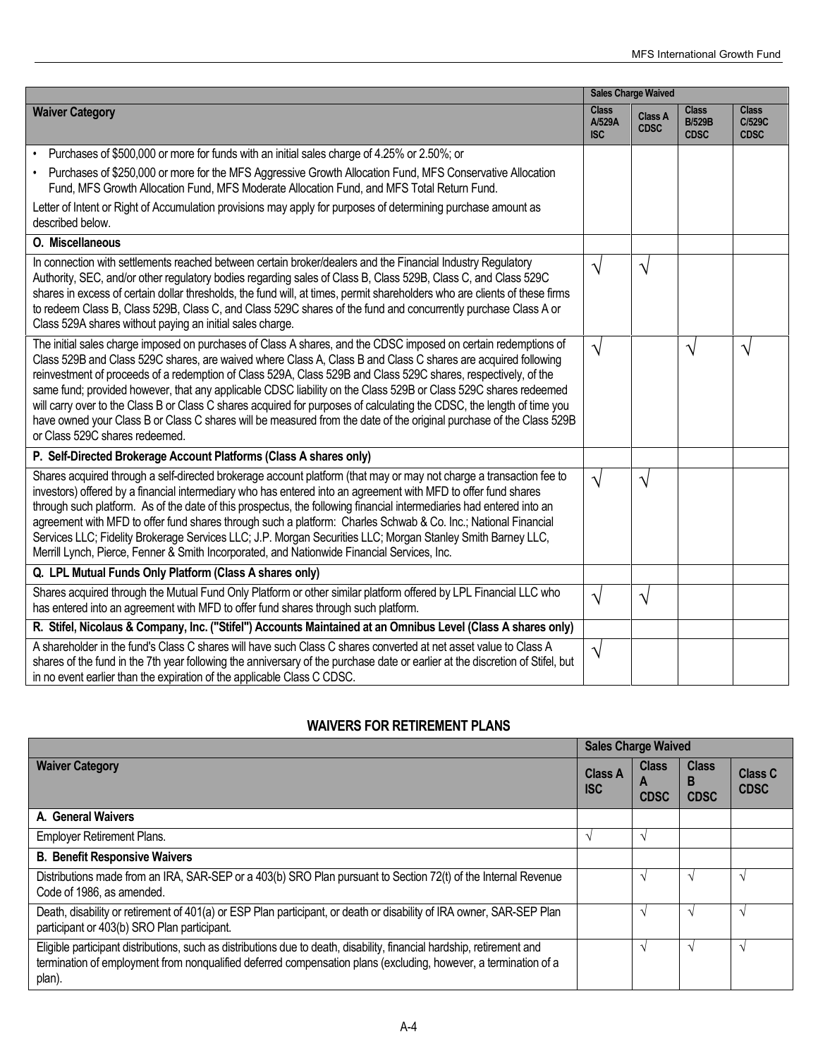|                                                                                                                                                                                                                                                                                                                                                                                                                                                                                                                                                                                                                                                                                                                                                          |                               | <b>Sales Charge Waived</b> |                                              |                                       |
|----------------------------------------------------------------------------------------------------------------------------------------------------------------------------------------------------------------------------------------------------------------------------------------------------------------------------------------------------------------------------------------------------------------------------------------------------------------------------------------------------------------------------------------------------------------------------------------------------------------------------------------------------------------------------------------------------------------------------------------------------------|-------------------------------|----------------------------|----------------------------------------------|---------------------------------------|
| <b>Waiver Category</b>                                                                                                                                                                                                                                                                                                                                                                                                                                                                                                                                                                                                                                                                                                                                   | <b>Class</b><br>A/529A<br>ISC | Class A<br><b>CDSC</b>     | <b>Class</b><br><b>B/529B</b><br><b>CDSC</b> | <b>Class</b><br>C/529C<br><b>CDSC</b> |
| Purchases of \$500,000 or more for funds with an initial sales charge of 4.25% or 2.50%; or<br>$\bullet$                                                                                                                                                                                                                                                                                                                                                                                                                                                                                                                                                                                                                                                 |                               |                            |                                              |                                       |
| Purchases of \$250,000 or more for the MFS Aggressive Growth Allocation Fund, MFS Conservative Allocation<br>$\bullet$<br>Fund, MFS Growth Allocation Fund, MFS Moderate Allocation Fund, and MFS Total Return Fund.                                                                                                                                                                                                                                                                                                                                                                                                                                                                                                                                     |                               |                            |                                              |                                       |
| Letter of Intent or Right of Accumulation provisions may apply for purposes of determining purchase amount as<br>described below.                                                                                                                                                                                                                                                                                                                                                                                                                                                                                                                                                                                                                        |                               |                            |                                              |                                       |
| O. Miscellaneous                                                                                                                                                                                                                                                                                                                                                                                                                                                                                                                                                                                                                                                                                                                                         |                               |                            |                                              |                                       |
| In connection with settlements reached between certain broker/dealers and the Financial Industry Regulatory<br>Authority, SEC, and/or other regulatory bodies regarding sales of Class B, Class 529B, Class C, and Class 529C<br>shares in excess of certain dollar thresholds, the fund will, at times, permit shareholders who are clients of these firms<br>to redeem Class B, Class 529B, Class C, and Class 529C shares of the fund and concurrently purchase Class A or<br>Class 529A shares without paying an initial sales charge.                                                                                                                                                                                                               | V                             | $\gamma$                   |                                              |                                       |
| The initial sales charge imposed on purchases of Class A shares, and the CDSC imposed on certain redemptions of<br>Class 529B and Class 529C shares, are waived where Class A, Class B and Class C shares are acquired following<br>reinvestment of proceeds of a redemption of Class 529A, Class 529B and Class 529C shares, respectively, of the<br>same fund; provided however, that any applicable CDSC liability on the Class 529B or Class 529C shares redeemed<br>will carry over to the Class B or Class C shares acquired for purposes of calculating the CDSC, the length of time you<br>have owned your Class B or Class C shares will be measured from the date of the original purchase of the Class 529B<br>or Class 529C shares redeemed. | $\sqrt{ }$                    |                            | V                                            | ٦                                     |
| P. Self-Directed Brokerage Account Platforms (Class A shares only)                                                                                                                                                                                                                                                                                                                                                                                                                                                                                                                                                                                                                                                                                       |                               |                            |                                              |                                       |
| Shares acquired through a self-directed brokerage account platform (that may or may not charge a transaction fee to<br>investors) offered by a financial intermediary who has entered into an agreement with MFD to offer fund shares<br>through such platform. As of the date of this prospectus, the following financial intermediaries had entered into an<br>agreement with MFD to offer fund shares through such a platform: Charles Schwab & Co. Inc.; National Financial<br>Services LLC; Fidelity Brokerage Services LLC; J.P. Morgan Securities LLC; Morgan Stanley Smith Barney LLC,<br>Merrill Lynch, Pierce, Fenner & Smith Incorporated, and Nationwide Financial Services, Inc.                                                            | $\sqrt{ }$                    | V                          |                                              |                                       |
| Q. LPL Mutual Funds Only Platform (Class A shares only)                                                                                                                                                                                                                                                                                                                                                                                                                                                                                                                                                                                                                                                                                                  |                               |                            |                                              |                                       |
| Shares acquired through the Mutual Fund Only Platform or other similar platform offered by LPL Financial LLC who<br>has entered into an agreement with MFD to offer fund shares through such platform.                                                                                                                                                                                                                                                                                                                                                                                                                                                                                                                                                   | V                             | V                          |                                              |                                       |
| R. Stifel, Nicolaus & Company, Inc. ("Stifel") Accounts Maintained at an Omnibus Level (Class A shares only)                                                                                                                                                                                                                                                                                                                                                                                                                                                                                                                                                                                                                                             |                               |                            |                                              |                                       |
| A shareholder in the fund's Class C shares will have such Class C shares converted at net asset value to Class A<br>shares of the fund in the 7th year following the anniversary of the purchase date or earlier at the discretion of Stifel, but<br>in no event earlier than the expiration of the applicable Class C CDSC.                                                                                                                                                                                                                                                                                                                                                                                                                             | $\sqrt{}$                     |                            |                                              |                                       |

## **WAIVERS FOR RETIREMENT PLANS**

|                                                                                                                                                                                                                                                     | <b>Sales Charge Waived</b>   |                             |                                  |                               |
|-----------------------------------------------------------------------------------------------------------------------------------------------------------------------------------------------------------------------------------------------------|------------------------------|-----------------------------|----------------------------------|-------------------------------|
| <b>Waiver Category</b>                                                                                                                                                                                                                              | <b>Class A</b><br><b>ISC</b> | <b>Class</b><br><b>CDSC</b> | <b>Class</b><br>B<br><b>CDSC</b> | <b>Class C</b><br><b>CDSC</b> |
| A. General Waivers                                                                                                                                                                                                                                  |                              |                             |                                  |                               |
| <b>Employer Retirement Plans.</b>                                                                                                                                                                                                                   | $\gamma$                     |                             |                                  |                               |
| <b>B. Benefit Responsive Waivers</b>                                                                                                                                                                                                                |                              |                             |                                  |                               |
| Distributions made from an IRA, SAR-SEP or a 403(b) SRO Plan pursuant to Section 72(t) of the Internal Revenue<br>Code of 1986, as amended.                                                                                                         |                              |                             |                                  | $\gamma$                      |
| Death, disability or retirement of 401(a) or ESP Plan participant, or death or disability of IRA owner, SAR-SEP Plan<br>participant or 403(b) SRO Plan participant.                                                                                 |                              |                             | $\mathbf{\hat{}}$                | $\gamma$                      |
| Eligible participant distributions, such as distributions due to death, disability, financial hardship, retirement and<br>termination of employment from nonqualified deferred compensation plans (excluding, however, a termination of a<br>plan). |                              |                             | $\mathbf{\hat{}}$                | $\mathcal{N}$                 |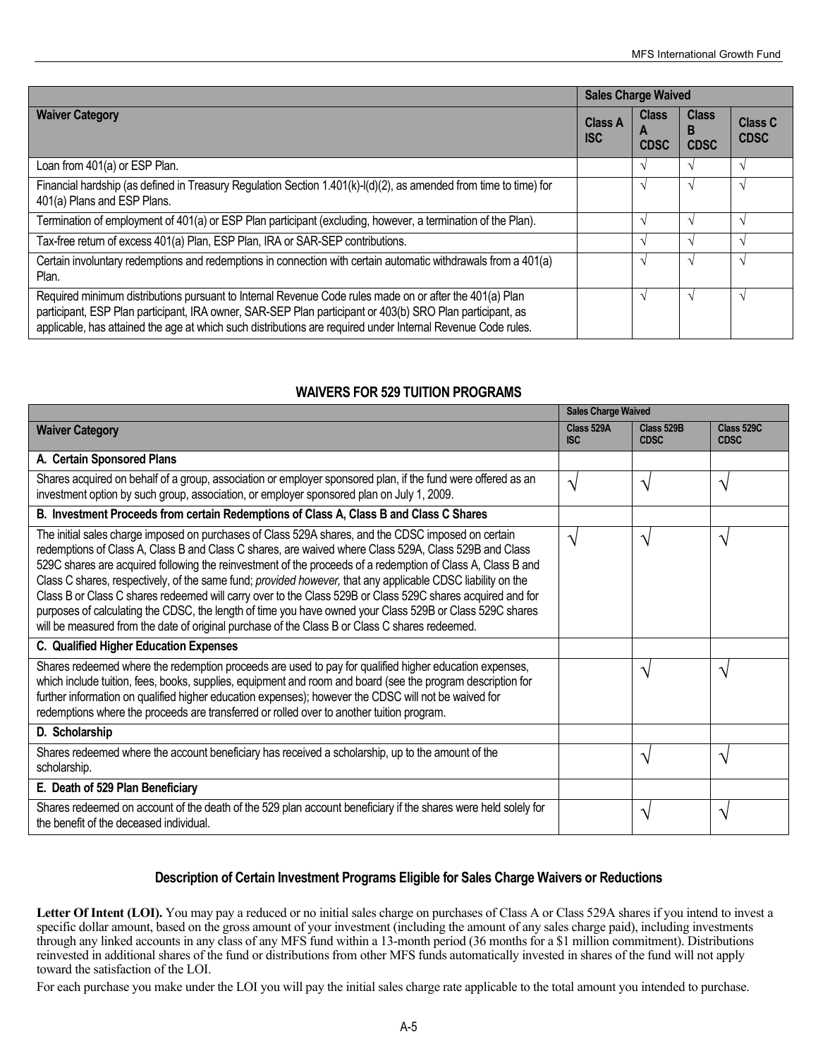|                                                                                                                                                                                                                                                                                                                                      | <b>Sales Charge Waived</b>   |                                  |                                  |                               |
|--------------------------------------------------------------------------------------------------------------------------------------------------------------------------------------------------------------------------------------------------------------------------------------------------------------------------------------|------------------------------|----------------------------------|----------------------------------|-------------------------------|
| <b>Waiver Category</b>                                                                                                                                                                                                                                                                                                               | <b>Class A</b><br><b>ISC</b> | <b>Class</b><br>A<br><b>CDSC</b> | <b>Class</b><br>B<br><b>CDSC</b> | <b>Class C</b><br><b>CDSC</b> |
| Loan from 401(a) or ESP Plan.                                                                                                                                                                                                                                                                                                        |                              |                                  |                                  | $\Delta$                      |
| Financial hardship (as defined in Treasury Regulation Section 1.401(k)-I(d)(2), as amended from time to time) for<br>401(a) Plans and ESP Plans.                                                                                                                                                                                     |                              |                                  | $\Delta$                         |                               |
| Termination of employment of 401(a) or ESP Plan participant (excluding, however, a termination of the Plan).                                                                                                                                                                                                                         |                              |                                  |                                  |                               |
| Tax-free return of excess 401(a) Plan, ESP Plan, IRA or SAR-SEP contributions.                                                                                                                                                                                                                                                       |                              |                                  |                                  |                               |
| Certain involuntary redemptions and redemptions in connection with certain automatic withdrawals from a 401(a)<br>Plan.                                                                                                                                                                                                              |                              |                                  |                                  | $\Delta$                      |
| Required minimum distributions pursuant to Internal Revenue Code rules made on or after the 401(a) Plan<br>participant, ESP Plan participant, IRA owner, SAR-SEP Plan participant or 403(b) SRO Plan participant, as<br>applicable, has attained the age at which such distributions are required under Internal Revenue Code rules. |                              |                                  | $\Delta$                         | $\Delta$                      |

## **WAIVERS FOR 529 TUITION PROGRAMS**

|                                                                                                                                                                                                                                                                                                                                                                                                                                                                                                                                                                                                                                                                                                                                                                        | <b>Sales Charge Waived</b> |                           |                           |  |
|------------------------------------------------------------------------------------------------------------------------------------------------------------------------------------------------------------------------------------------------------------------------------------------------------------------------------------------------------------------------------------------------------------------------------------------------------------------------------------------------------------------------------------------------------------------------------------------------------------------------------------------------------------------------------------------------------------------------------------------------------------------------|----------------------------|---------------------------|---------------------------|--|
| <b>Waiver Category</b>                                                                                                                                                                                                                                                                                                                                                                                                                                                                                                                                                                                                                                                                                                                                                 | Class 529A<br><b>ISC</b>   | Class 529B<br><b>CDSC</b> | Class 529C<br><b>CDSC</b> |  |
| A. Certain Sponsored Plans                                                                                                                                                                                                                                                                                                                                                                                                                                                                                                                                                                                                                                                                                                                                             |                            |                           |                           |  |
| Shares acquired on behalf of a group, association or employer sponsored plan, if the fund were offered as an<br>investment option by such group, association, or employer sponsored plan on July 1, 2009.                                                                                                                                                                                                                                                                                                                                                                                                                                                                                                                                                              | ٦                          | V                         | V                         |  |
| B. Investment Proceeds from certain Redemptions of Class A, Class B and Class C Shares                                                                                                                                                                                                                                                                                                                                                                                                                                                                                                                                                                                                                                                                                 |                            |                           |                           |  |
| The initial sales charge imposed on purchases of Class 529A shares, and the CDSC imposed on certain<br>redemptions of Class A, Class B and Class C shares, are waived where Class 529A, Class 529B and Class<br>529C shares are acquired following the reinvestment of the proceeds of a redemption of Class A, Class B and<br>Class C shares, respectively, of the same fund; provided however, that any applicable CDSC liability on the<br>Class B or Class C shares redeemed will carry over to the Class 529B or Class 529C shares acquired and for<br>purposes of calculating the CDSC, the length of time you have owned your Class 529B or Class 529C shares<br>will be measured from the date of original purchase of the Class B or Class C shares redeemed. | $\mathcal{L}$              | V                         | N                         |  |
| C. Qualified Higher Education Expenses                                                                                                                                                                                                                                                                                                                                                                                                                                                                                                                                                                                                                                                                                                                                 |                            |                           |                           |  |
| Shares redeemed where the redemption proceeds are used to pay for qualified higher education expenses,<br>which include tuition, fees, books, supplies, equipment and room and board (see the program description for<br>further information on qualified higher education expenses); however the CDSC will not be waived for<br>redemptions where the proceeds are transferred or rolled over to another tuition program.                                                                                                                                                                                                                                                                                                                                             |                            | $\mathcal N$              | N                         |  |
| D. Scholarship                                                                                                                                                                                                                                                                                                                                                                                                                                                                                                                                                                                                                                                                                                                                                         |                            |                           |                           |  |
| Shares redeemed where the account beneficiary has received a scholarship, up to the amount of the<br>scholarship.                                                                                                                                                                                                                                                                                                                                                                                                                                                                                                                                                                                                                                                      |                            | ٦                         | ٦                         |  |
| E. Death of 529 Plan Beneficiary                                                                                                                                                                                                                                                                                                                                                                                                                                                                                                                                                                                                                                                                                                                                       |                            |                           |                           |  |
| Shares redeemed on account of the death of the 529 plan account beneficiary if the shares were held solely for<br>the benefit of the deceased individual.                                                                                                                                                                                                                                                                                                                                                                                                                                                                                                                                                                                                              |                            | N                         | V                         |  |

## **Description of Certain Investment Programs Eligible for Sales Charge Waivers or Reductions**

Letter Of Intent (LOI). You may pay a reduced or no initial sales charge on purchases of Class A or Class 529A shares if you intend to invest a specific dollar amount, based on the gross amount of your investment (including the amount of any sales charge paid), including investments through any linked accounts in any class of any MFS fund within a 13-month period (36 months for a \$1 million commitment). Distributions reinvested in additional shares of the fund or distributions from other MFS funds automatically invested in shares of the fund will not apply toward the satisfaction of the LOI.

For each purchase you make under the LOI you will pay the initial sales charge rate applicable to the total amount you intended to purchase.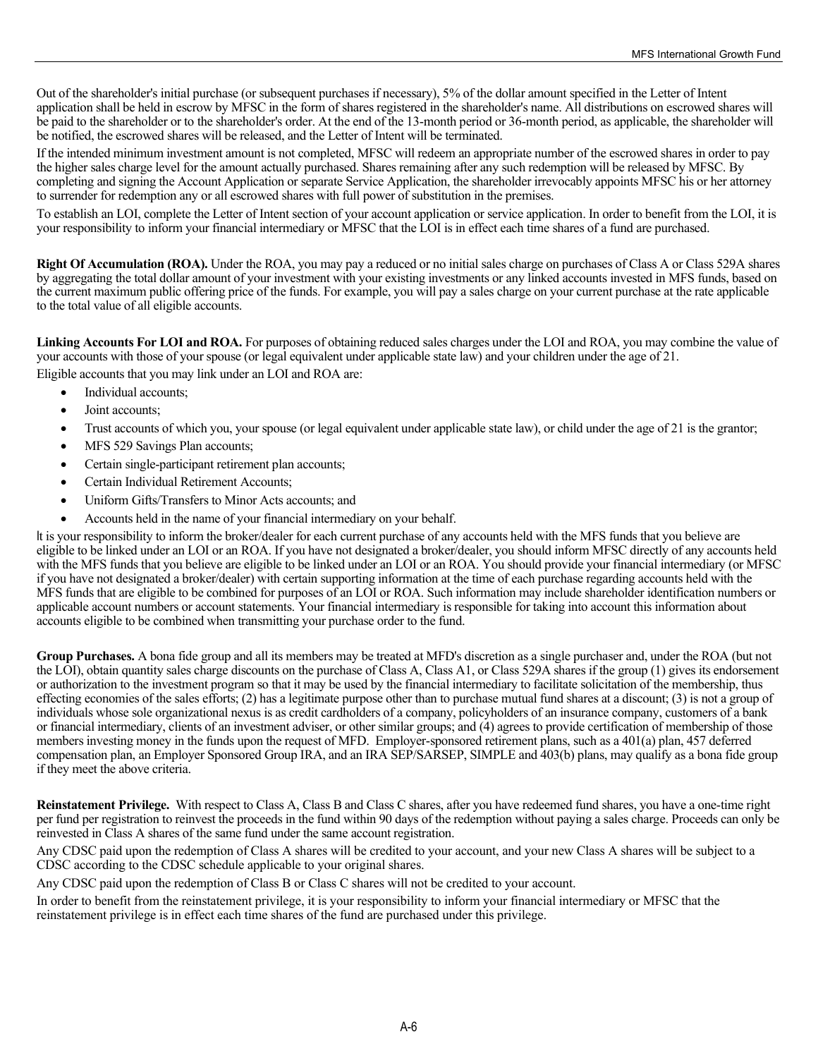Out of the shareholder's initial purchase (or subsequent purchases if necessary), 5% of the dollar amount specified in the Letter of Intent application shall be held in escrow by MFSC in the form of shares registered in the shareholder's name. All distributions on escrowed shares will be paid to the shareholder or to the shareholder's order. At the end of the 13-month period or 36-month period, as applicable, the shareholder will be notified, the escrowed shares will be released, and the Letter of Intent will be terminated.

If the intended minimum investment amount is not completed, MFSC will redeem an appropriate number of the escrowed shares in order to pay the higher sales charge level for the amount actually purchased. Shares remaining after any such redemption will be released by MFSC. By completing and signing the Account Application or separate Service Application, the shareholder irrevocably appoints MFSC his or her attorney to surrender for redemption any or all escrowed shares with full power of substitution in the premises.

To establish an LOI, complete the Letter of Intent section of your account application or service application. In order to benefit from the LOI, it is your responsibility to inform your financial intermediary or MFSC that the LOI is in effect each time shares of a fund are purchased.

**Right Of Accumulation (ROA).** Under the ROA, you may pay a reduced or no initial sales charge on purchases of Class A or Class 529A shares by aggregating the total dollar amount of your investment with your existing investments or any linked accounts invested in MFS funds, based on the current maximum public offering price of the funds. For example, you will pay a sales charge on your current purchase at the rate applicable to the total value of all eligible accounts.

Linking Accounts For LOI and ROA. For purposes of obtaining reduced sales charges under the LOI and ROA, you may combine the value of your accounts with those of your spouse (or legal equivalent under applicable state law) and your children under the age of 21.

Eligible accounts that you may link under an LOI and ROA are:

- Individual accounts;
- Joint accounts;
- Trust accounts of which you, your spouse (or legal equivalent under applicable state law), or child under the age of 21 is the grantor;
- MFS 529 Savings Plan accounts;
- Certain single-participant retirement plan accounts;
- Certain Individual Retirement Accounts;
- Uniform Gifts/Transfers to Minor Acts accounts; and
- Accounts held in the name of your financial intermediary on your behalf.

It is your responsibility to inform the broker/dealer for each current purchase of any accounts held with the MFS funds that you believe are eligible to be linked under an LOI or an ROA. If you have not designated a broker/dealer, you should inform MFSC directly of any accounts held with the MFS funds that you believe are eligible to be linked under an LOI or an ROA. You should provide your financial intermediary (or MFSC if you have not designated a broker/dealer) with certain supporting information at the time of each purchase regarding accounts held with the MFS funds that are eligible to be combined for purposes of an LOI or ROA. Such information may include shareholder identification numbers or applicable account numbers or account statements. Your financial intermediary is responsible for taking into account this information about accounts eligible to be combined when transmitting your purchase order to the fund.

**Group Purchases.** A bona fide group and all its members may be treated at MFD's discretion as a single purchaser and, under the ROA (but not the LOI), obtain quantity sales charge discounts on the purchase of Class A, Class A1, or Class 529A shares if the group (1) gives its endorsement or authorization to the investment program so that it may be used by the financial intermediary to facilitate solicitation of the membership, thus effecting economies of the sales efforts; (2) has a legitimate purpose other than to purchase mutual fund shares at a discount; (3) is not a group of individuals whose sole organizational nexus is as credit cardholders of a company, policyholders of an insurance company, customers of a bank or financial intermediary, clients of an investment adviser, or other similar groups; and (4) agrees to provide certification of membership of those members investing money in the funds upon the request of MFD. Employer-sponsored retirement plans, such as a 401(a) plan, 457 deferred compensation plan, an Employer Sponsored Group IRA, and an IRA SEP/SARSEP, SIMPLE and 403(b) plans, may qualify as a bona fide group if they meet the above criteria.

**Reinstatement Privilege.** With respect to Class A, Class B and Class C shares, after you have redeemed fund shares, you have a one-time right per fund per registration to reinvest the proceeds in the fund within 90 days of the redemption without paying a sales charge. Proceeds can only be reinvested in Class A shares of the same fund under the same account registration.

Any CDSC paid upon the redemption of Class A shares will be credited to your account, and your new Class A shares will be subject to a CDSC according to the CDSC schedule applicable to your original shares.

Any CDSC paid upon the redemption of Class B or Class C shares will not be credited to your account.

In order to benefit from the reinstatement privilege, it is your responsibility to inform your financial intermediary or MFSC that the reinstatement privilege is in effect each time shares of the fund are purchased under this privilege.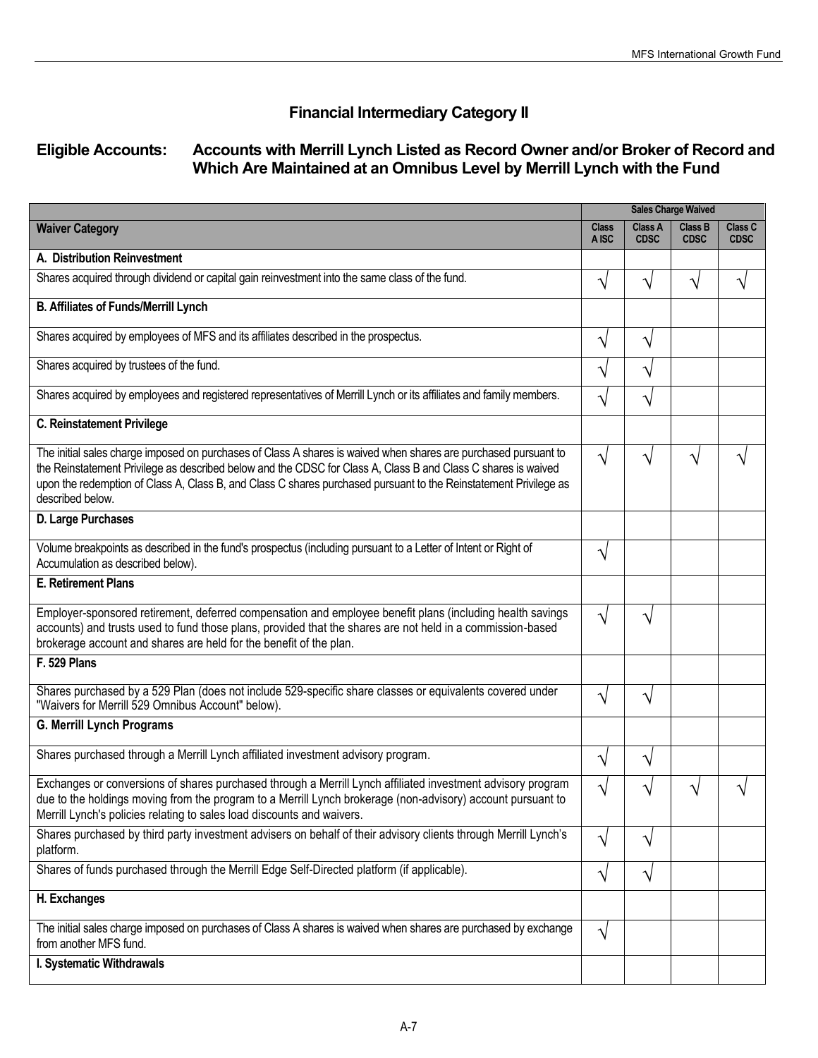# **Financial Intermediary Category II**

# **Eligible Accounts: Accounts with Merrill Lynch Listed as Record Owner and/or Broker of Record and Which Are Maintained at an Omnibus Level by Merrill Lynch with the Fund**

|                                                                                                                                                                                                                                                                                                                                                                          | <b>Sales Charge Waived</b> |                        |                        |                        |
|--------------------------------------------------------------------------------------------------------------------------------------------------------------------------------------------------------------------------------------------------------------------------------------------------------------------------------------------------------------------------|----------------------------|------------------------|------------------------|------------------------|
| <b>Waiver Category</b>                                                                                                                                                                                                                                                                                                                                                   | <b>Class</b><br>A ISC      | Class A<br><b>CDSC</b> | Class B<br><b>CDSC</b> | Class C<br><b>CDSC</b> |
| A. Distribution Reinvestment                                                                                                                                                                                                                                                                                                                                             |                            |                        |                        |                        |
| Shares acquired through dividend or capital gain reinvestment into the same class of the fund.                                                                                                                                                                                                                                                                           | $\mathcal{N}$              | N                      | V                      | V                      |
| <b>B. Affiliates of Funds/Merrill Lynch</b>                                                                                                                                                                                                                                                                                                                              |                            |                        |                        |                        |
| Shares acquired by employees of MFS and its affiliates described in the prospectus.                                                                                                                                                                                                                                                                                      | V                          | V                      |                        |                        |
| Shares acquired by trustees of the fund.                                                                                                                                                                                                                                                                                                                                 | V                          | V                      |                        |                        |
| Shares acquired by employees and registered representatives of Merrill Lynch or its affiliates and family members.                                                                                                                                                                                                                                                       | V                          | V                      |                        |                        |
| <b>C. Reinstatement Privilege</b>                                                                                                                                                                                                                                                                                                                                        |                            |                        |                        |                        |
| The initial sales charge imposed on purchases of Class A shares is waived when shares are purchased pursuant to<br>the Reinstatement Privilege as described below and the CDSC for Class A, Class B and Class C shares is waived<br>upon the redemption of Class A, Class B, and Class C shares purchased pursuant to the Reinstatement Privilege as<br>described below. | $\sqrt{}$                  | V                      | V                      |                        |
| D. Large Purchases                                                                                                                                                                                                                                                                                                                                                       |                            |                        |                        |                        |
| Volume breakpoints as described in the fund's prospectus (including pursuant to a Letter of Intent or Right of<br>Accumulation as described below).                                                                                                                                                                                                                      | V                          |                        |                        |                        |
| <b>E. Retirement Plans</b>                                                                                                                                                                                                                                                                                                                                               |                            |                        |                        |                        |
| Employer-sponsored retirement, deferred compensation and employee benefit plans (including health savings<br>accounts) and trusts used to fund those plans, provided that the shares are not held in a commission-based<br>brokerage account and shares are held for the benefit of the plan.                                                                            | V                          | V                      |                        |                        |
| F. 529 Plans                                                                                                                                                                                                                                                                                                                                                             |                            |                        |                        |                        |
| Shares purchased by a 529 Plan (does not include 529-specific share classes or equivalents covered under<br>"Waivers for Merrill 529 Omnibus Account" below).                                                                                                                                                                                                            | V                          | V                      |                        |                        |
| <b>G. Merrill Lynch Programs</b>                                                                                                                                                                                                                                                                                                                                         |                            |                        |                        |                        |
| Shares purchased through a Merrill Lynch affiliated investment advisory program.                                                                                                                                                                                                                                                                                         | $\sqrt{}$                  | V                      |                        |                        |
| Exchanges or conversions of shares purchased through a Merrill Lynch affiliated investment advisory program<br>due to the holdings moving from the program to a Merrill Lynch brokerage (non-advisory) account pursuant to<br>Merrill Lynch's policies relating to sales load discounts and waivers.                                                                     | V                          | ٦                      |                        |                        |
| Shares purchased by third party investment advisers on behalf of their advisory clients through Merrill Lynch's<br>platform.                                                                                                                                                                                                                                             | V                          | V                      |                        |                        |
| Shares of funds purchased through the Merrill Edge Self-Directed platform (if applicable).                                                                                                                                                                                                                                                                               | $\sqrt{}$                  | $\sqrt{ }$             |                        |                        |
| H. Exchanges                                                                                                                                                                                                                                                                                                                                                             |                            |                        |                        |                        |
| The initial sales charge imposed on purchases of Class A shares is waived when shares are purchased by exchange<br>from another MFS fund.                                                                                                                                                                                                                                | $\sqrt{}$                  |                        |                        |                        |
| I. Systematic Withdrawals                                                                                                                                                                                                                                                                                                                                                |                            |                        |                        |                        |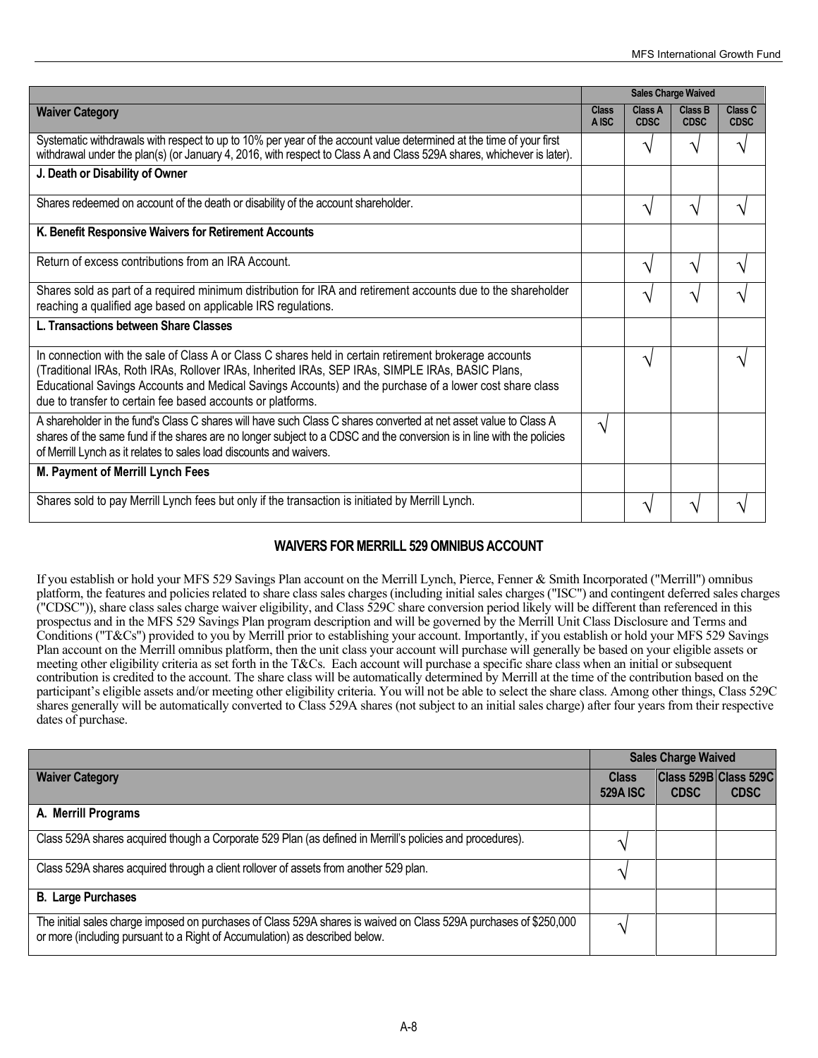|                                                                                                                                                                                                                                                                                                                                                                                      | <b>Sales Charge Waived</b> |                        |                               |                        |
|--------------------------------------------------------------------------------------------------------------------------------------------------------------------------------------------------------------------------------------------------------------------------------------------------------------------------------------------------------------------------------------|----------------------------|------------------------|-------------------------------|------------------------|
| <b>Waiver Category</b>                                                                                                                                                                                                                                                                                                                                                               | Class<br>A ISC             | Class A<br><b>CDSC</b> | <b>Class B</b><br><b>CDSC</b> | Class C<br><b>CDSC</b> |
| Systematic withdrawals with respect to up to 10% per year of the account value determined at the time of your first<br>withdrawal under the plan(s) (or January 4, 2016, with respect to Class A and Class 529A shares, whichever is later).                                                                                                                                         |                            | ٦                      | ٦                             | ٦                      |
| J. Death or Disability of Owner                                                                                                                                                                                                                                                                                                                                                      |                            |                        |                               |                        |
| Shares redeemed on account of the death or disability of the account shareholder.                                                                                                                                                                                                                                                                                                    |                            | ٦                      | V                             |                        |
| K. Benefit Responsive Waivers for Retirement Accounts                                                                                                                                                                                                                                                                                                                                |                            |                        |                               |                        |
| Return of excess contributions from an IRA Account.                                                                                                                                                                                                                                                                                                                                  |                            | ٦                      | ٦                             |                        |
| Shares sold as part of a required minimum distribution for IRA and retirement accounts due to the shareholder<br>reaching a qualified age based on applicable IRS regulations.                                                                                                                                                                                                       |                            | ٦                      | ٦                             |                        |
| L. Transactions between Share Classes                                                                                                                                                                                                                                                                                                                                                |                            |                        |                               |                        |
| In connection with the sale of Class A or Class C shares held in certain retirement brokerage accounts<br>(Traditional IRAs, Roth IRAs, Rollover IRAs, Inherited IRAs, SEP IRAs, SIMPLE IRAs, BASIC Plans,<br>Educational Savings Accounts and Medical Savings Accounts) and the purchase of a lower cost share class<br>due to transfer to certain fee based accounts or platforms. |                            | ٦                      |                               |                        |
| A shareholder in the fund's Class C shares will have such Class C shares converted at net asset value to Class A<br>shares of the same fund if the shares are no longer subject to a CDSC and the conversion is in line with the policies<br>of Merrill Lynch as it relates to sales load discounts and waivers.                                                                     | ٦                          |                        |                               |                        |
| M. Payment of Merrill Lynch Fees                                                                                                                                                                                                                                                                                                                                                     |                            |                        |                               |                        |
| Shares sold to pay Merrill Lynch fees but only if the transaction is initiated by Merrill Lynch.                                                                                                                                                                                                                                                                                     |                            |                        |                               |                        |

## **WAIVERS FOR MERRILL 529 OMNIBUS ACCOUNT**

If you establish or hold your MFS 529 Savings Plan account on the Merrill Lynch, Pierce, Fenner & Smith Incorporated ("Merrill") omnibus platform, the features and policies related to share class sales charges (including initial sales charges ("ISC") and contingent deferred sales charges ("CDSC")), share class sales charge waiver eligibility, and Class 529C share conversion period likely will be different than referenced in this prospectus and in the MFS 529 Savings Plan program description and will be governed by the Merrill Unit Class Disclosure and Terms and Conditions ("T&Cs") provided to you by Merrill prior to establishing your account. Importantly, if you establish or hold your MFS 529 Savings Plan account on the Merrill omnibus platform, then the unit class your account will purchase will generally be based on your eligible assets or meeting other eligibility criteria as set forth in the T&Cs. Each account will purchase a specific share class when an initial or subsequent contribution is credited to the account. The share class will be automatically determined by Merrill at the time of the contribution based on the participant's eligible assets and/or meeting other eligibility criteria. You will not be able to select the share class. Among other things, Class 529C shares generally will be automatically converted to Class 529A shares (not subject to an initial sales charge) after four years from their respective dates of purchase.

|                                                                                                                                                                                                  | <b>Sales Charge Waived</b>      |                                      |             |  |
|--------------------------------------------------------------------------------------------------------------------------------------------------------------------------------------------------|---------------------------------|--------------------------------------|-------------|--|
| <b>Waiver Category</b>                                                                                                                                                                           | <b>Class</b><br><b>529A ISC</b> | Class 529B Class 529C<br><b>CDSC</b> | <b>CDSC</b> |  |
| A. Merrill Programs                                                                                                                                                                              |                                 |                                      |             |  |
| Class 529A shares acquired though a Corporate 529 Plan (as defined in Merrill's policies and procedures).                                                                                        |                                 |                                      |             |  |
| Class 529A shares acquired through a client rollover of assets from another 529 plan.                                                                                                            |                                 |                                      |             |  |
| <b>B.</b> Large Purchases                                                                                                                                                                        |                                 |                                      |             |  |
| The initial sales charge imposed on purchases of Class 529A shares is waived on Class 529A purchases of \$250,000<br>or more (including pursuant to a Right of Accumulation) as described below. |                                 |                                      |             |  |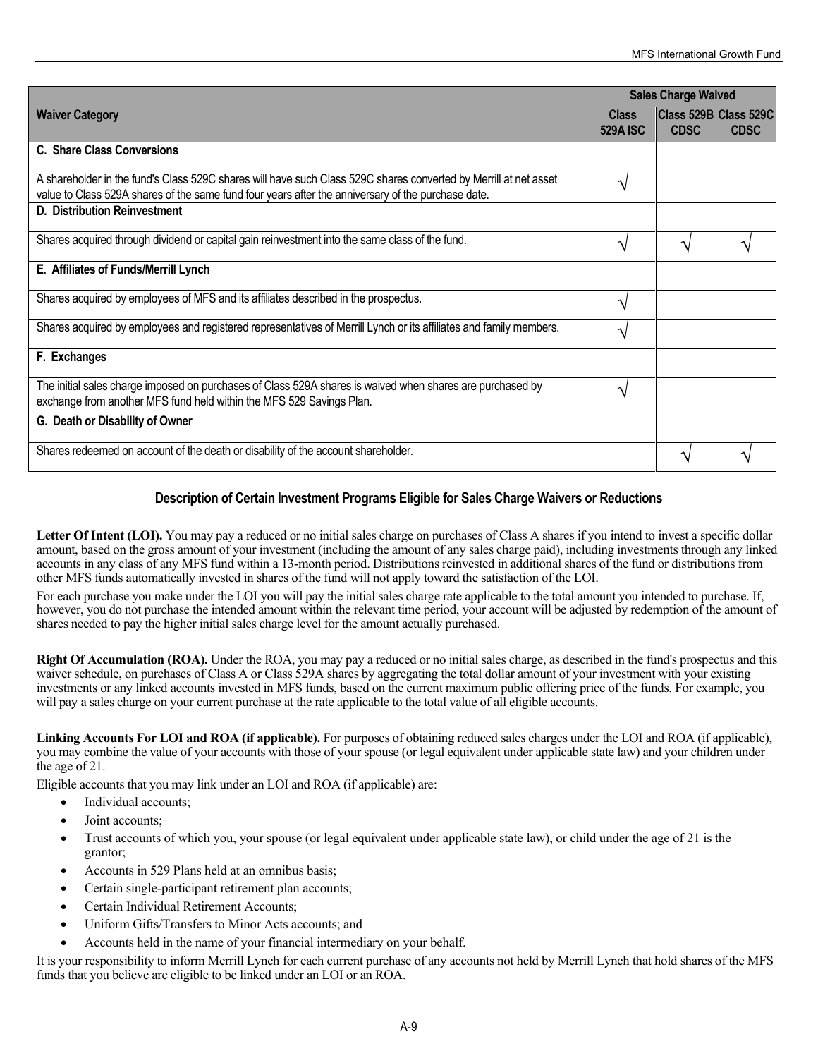|                                                                                                                                                                                                                        | <b>Sales Charge Waived</b>      |             |                                      |
|------------------------------------------------------------------------------------------------------------------------------------------------------------------------------------------------------------------------|---------------------------------|-------------|--------------------------------------|
| <b>Waiver Category</b>                                                                                                                                                                                                 | <b>Class</b><br><b>529A ISC</b> | <b>CDSC</b> | Class 529B Class 529C<br><b>CDSC</b> |
| C. Share Class Conversions                                                                                                                                                                                             |                                 |             |                                      |
| A shareholder in the fund's Class 529C shares will have such Class 529C shares converted by Merrill at net asset<br>value to Class 529A shares of the same fund four years after the anniversary of the purchase date. | ٦                               |             |                                      |
| D. Distribution Reinvestment                                                                                                                                                                                           |                                 |             |                                      |
| Shares acquired through dividend or capital gain reinvestment into the same class of the fund.                                                                                                                         | ٦                               | ٦           |                                      |
| E. Affiliates of Funds/Merrill Lynch                                                                                                                                                                                   |                                 |             |                                      |
| Shares acquired by employees of MFS and its affiliates described in the prospectus.                                                                                                                                    | ٦١                              |             |                                      |
| Shares acquired by employees and registered representatives of Merrill Lynch or its affiliates and family members.                                                                                                     | ٦                               |             |                                      |
| F. Exchanges                                                                                                                                                                                                           |                                 |             |                                      |
| The initial sales charge imposed on purchases of Class 529A shares is waived when shares are purchased by<br>exchange from another MFS fund held within the MFS 529 Savings Plan.                                      | ٦                               |             |                                      |
| G. Death or Disability of Owner                                                                                                                                                                                        |                                 |             |                                      |
| Shares redeemed on account of the death or disability of the account shareholder.                                                                                                                                      |                                 | ٦           |                                      |

## **Description of Certain Investment Programs Eligible for Sales Charge Waivers or Reductions**

Letter Of Intent (LOI). You may pay a reduced or no initial sales charge on purchases of Class A shares if you intend to invest a specific dollar amount, based on the gross amount of your investment (including the amount of any sales charge paid), including investments through any linked accounts in any class of any MFS fund within a 13-month period. Distributions reinvested in additional shares of the fund or distributions from other MFS funds automatically invested in shares of the fund will not apply toward the satisfaction of the LOI.

For each purchase you make under the LOI you will pay the initial sales charge rate applicable to the total amount you intended to purchase. If, however, you do not purchase the intended amount within the relevant time period, your account will be adjusted by redemption of the amount of shares needed to pay the higher initial sales charge level for the amount actually purchased.

**Right Of Accumulation (ROA).** Under the ROA, you may pay a reduced or no initial sales charge, as described in the fund's prospectus and this waiver schedule, on purchases of Class A or Class 529A shares by aggregating the total dollar amount of your investment with your existing investments or any linked accounts invested in MFS funds, based on the current maximum public offering price of the funds. For example, you will pay a sales charge on your current purchase at the rate applicable to the total value of all eligible accounts.

**Linking Accounts For LOI and ROA (if applicable).** For purposes of obtaining reduced sales charges under the LOI and ROA (if applicable), you may combine the value of your accounts with those of your spouse (or legal equivalent under applicable state law) and your children under the age of 21.

Eligible accounts that you may link under an LOI and ROA (if applicable) are:

- Individual accounts;
- Joint accounts;
- Trust accounts of which you, your spouse (or legal equivalent under applicable state law), or child under the age of 21 is the grantor;
- Accounts in 529 Plans held at an omnibus basis;
- Certain single-participant retirement plan accounts;
- Certain Individual Retirement Accounts;
- Uniform Gifts/Transfers to Minor Acts accounts; and
- Accounts held in the name of your financial intermediary on your behalf.

It is your responsibility to inform Merrill Lynch for each current purchase of any accounts not held by Merrill Lynch that hold shares of the MFS funds that you believe are eligible to be linked under an LOI or an ROA.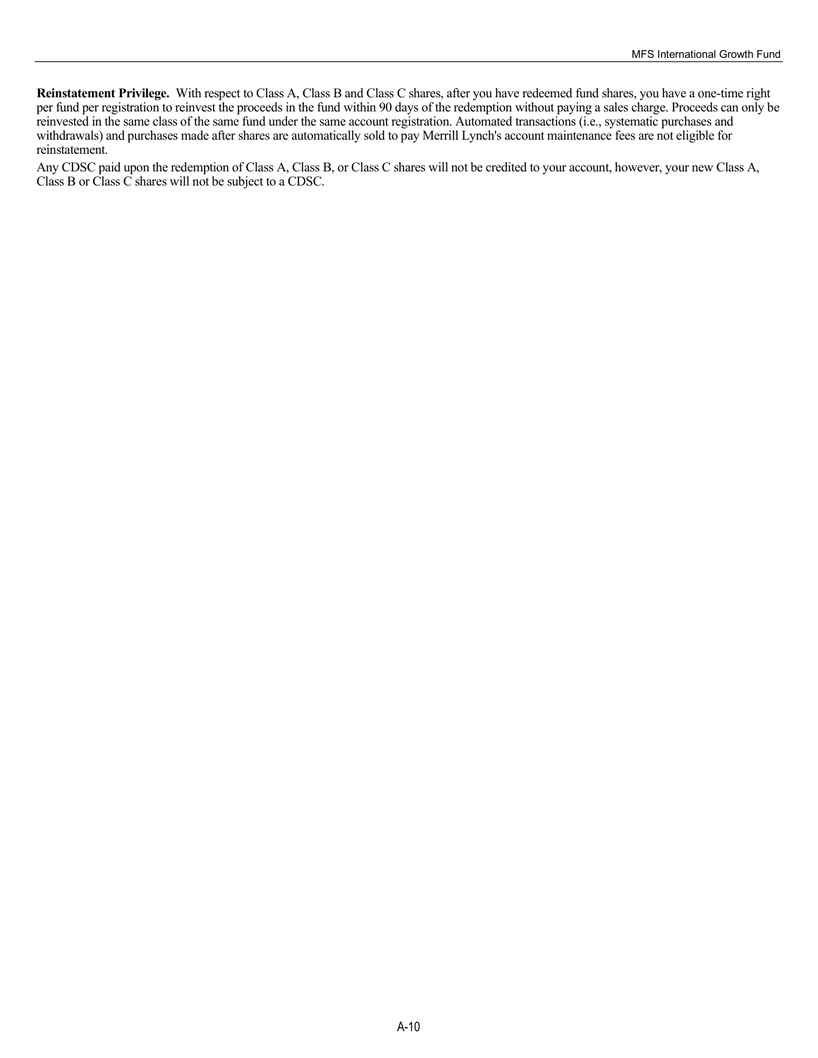**Reinstatement Privilege.** With respect to Class A, Class B and Class C shares, after you have redeemed fund shares, you have a one-time right per fund per registration to reinvest the proceeds in the fund within 90 days of the redemption without paying a sales charge. Proceeds can only be reinvested in the same class of the same fund under the same account registration. Automated transactions (i.e., systematic purchases and withdrawals) and purchases made after shares are automatically sold to pay Merrill Lynch's account maintenance fees are not eligible for reinstatement.

Any CDSC paid upon the redemption of Class A, Class B, or Class C shares will not be credited to your account, however, your new Class A, Class B or Class C shares will not be subject to a CDSC.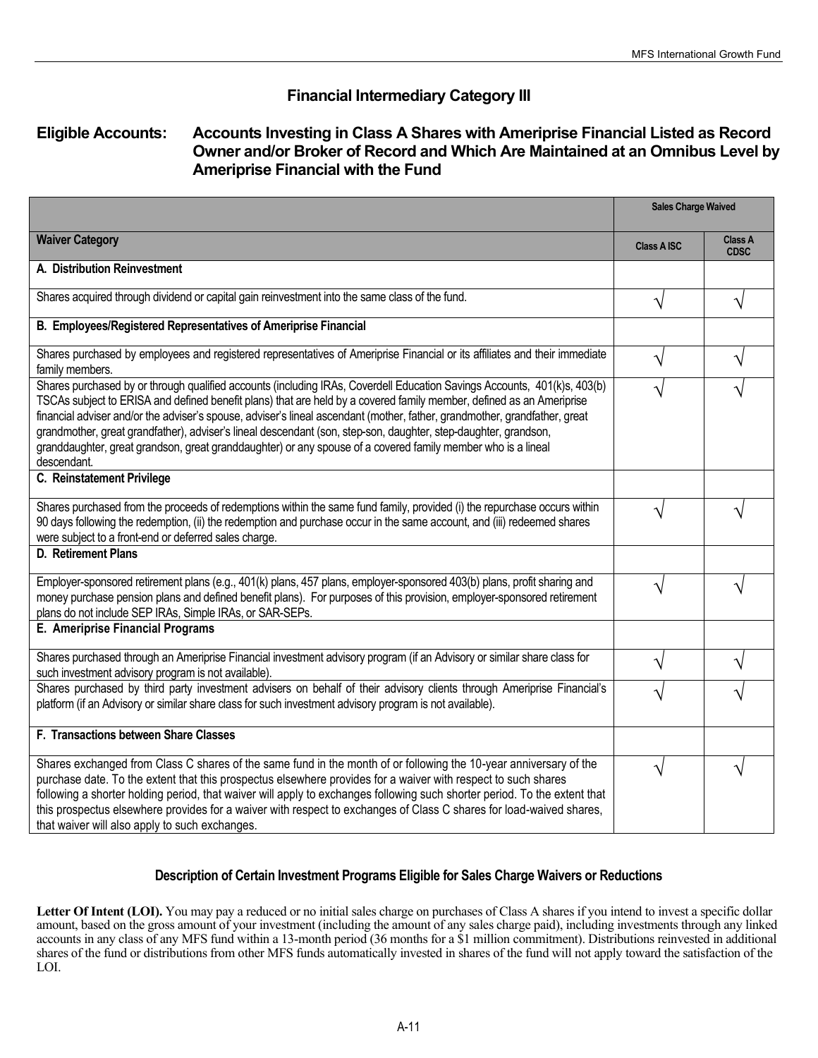# **Financial Intermediary Category III**

# **Eligible Accounts: Accounts Investing in Class A Shares with Ameriprise Financial Listed as Record Owner and/or Broker of Record and Which Are Maintained at an Omnibus Level by Ameriprise Financial with the Fund**

|                                                                                                                                                                                                                                                                                                                                                                                                                                                                                                                                                                                                                                  | <b>Sales Charge Waived</b> |                        |
|----------------------------------------------------------------------------------------------------------------------------------------------------------------------------------------------------------------------------------------------------------------------------------------------------------------------------------------------------------------------------------------------------------------------------------------------------------------------------------------------------------------------------------------------------------------------------------------------------------------------------------|----------------------------|------------------------|
| <b>Waiver Category</b>                                                                                                                                                                                                                                                                                                                                                                                                                                                                                                                                                                                                           | <b>Class A ISC</b>         | Class A<br><b>CDSC</b> |
| A. Distribution Reinvestment                                                                                                                                                                                                                                                                                                                                                                                                                                                                                                                                                                                                     |                            |                        |
| Shares acquired through dividend or capital gain reinvestment into the same class of the fund.                                                                                                                                                                                                                                                                                                                                                                                                                                                                                                                                   |                            |                        |
| B. Employees/Registered Representatives of Ameriprise Financial                                                                                                                                                                                                                                                                                                                                                                                                                                                                                                                                                                  |                            |                        |
| Shares purchased by employees and registered representatives of Ameriprise Financial or its affiliates and their immediate<br>family members.                                                                                                                                                                                                                                                                                                                                                                                                                                                                                    |                            |                        |
| Shares purchased by or through qualified accounts (including IRAs, Coverdell Education Savings Accounts, 401(k)s, 403(b)<br>TSCAs subject to ERISA and defined benefit plans) that are held by a covered family member, defined as an Ameriprise<br>financial adviser and/or the adviser's spouse, adviser's lineal ascendant (mother, father, grandmother, grandfather, great<br>grandmother, great grandfather), adviser's lineal descendant (son, step-son, daughter, step-daughter, grandson,<br>granddaughter, great grandson, great granddaughter) or any spouse of a covered family member who is a lineal<br>descendant. |                            |                        |
| C. Reinstatement Privilege                                                                                                                                                                                                                                                                                                                                                                                                                                                                                                                                                                                                       |                            |                        |
| Shares purchased from the proceeds of redemptions within the same fund family, provided (i) the repurchase occurs within<br>90 days following the redemption, (ii) the redemption and purchase occur in the same account, and (iii) redeemed shares<br>were subject to a front-end or deferred sales charge.                                                                                                                                                                                                                                                                                                                     |                            |                        |
| D. Retirement Plans                                                                                                                                                                                                                                                                                                                                                                                                                                                                                                                                                                                                              |                            |                        |
| Employer-sponsored retirement plans (e.g., 401(k) plans, 457 plans, employer-sponsored 403(b) plans, profit sharing and<br>money purchase pension plans and defined benefit plans). For purposes of this provision, employer-sponsored retirement<br>plans do not include SEP IRAs, Simple IRAs, or SAR-SEPs.                                                                                                                                                                                                                                                                                                                    |                            |                        |
| E. Ameriprise Financial Programs                                                                                                                                                                                                                                                                                                                                                                                                                                                                                                                                                                                                 |                            |                        |
| Shares purchased through an Ameriprise Financial investment advisory program (if an Advisory or similar share class for<br>such investment advisory program is not available).                                                                                                                                                                                                                                                                                                                                                                                                                                                   | V                          |                        |
| Shares purchased by third party investment advisers on behalf of their advisory clients through Ameriprise Financial's<br>platform (if an Advisory or similar share class for such investment advisory program is not available).                                                                                                                                                                                                                                                                                                                                                                                                |                            |                        |
| F. Transactions between Share Classes                                                                                                                                                                                                                                                                                                                                                                                                                                                                                                                                                                                            |                            |                        |
| Shares exchanged from Class C shares of the same fund in the month of or following the 10-year anniversary of the<br>purchase date. To the extent that this prospectus elsewhere provides for a waiver with respect to such shares<br>following a shorter holding period, that waiver will apply to exchanges following such shorter period. To the extent that<br>this prospectus elsewhere provides for a waiver with respect to exchanges of Class C shares for load-waived shares,<br>that waiver will also apply to such exchanges.                                                                                         |                            |                        |

## **Description of Certain Investment Programs Eligible for Sales Charge Waivers or Reductions**

Letter Of Intent (LOI). You may pay a reduced or no initial sales charge on purchases of Class A shares if you intend to invest a specific dollar amount, based on the gross amount of your investment (including the amount of any sales charge paid), including investments through any linked accounts in any class of any MFS fund within a 13-month period (36 months for a \$1 million commitment). Distributions reinvested in additional shares of the fund or distributions from other MFS funds automatically invested in shares of the fund will not apply toward the satisfaction of the LOI.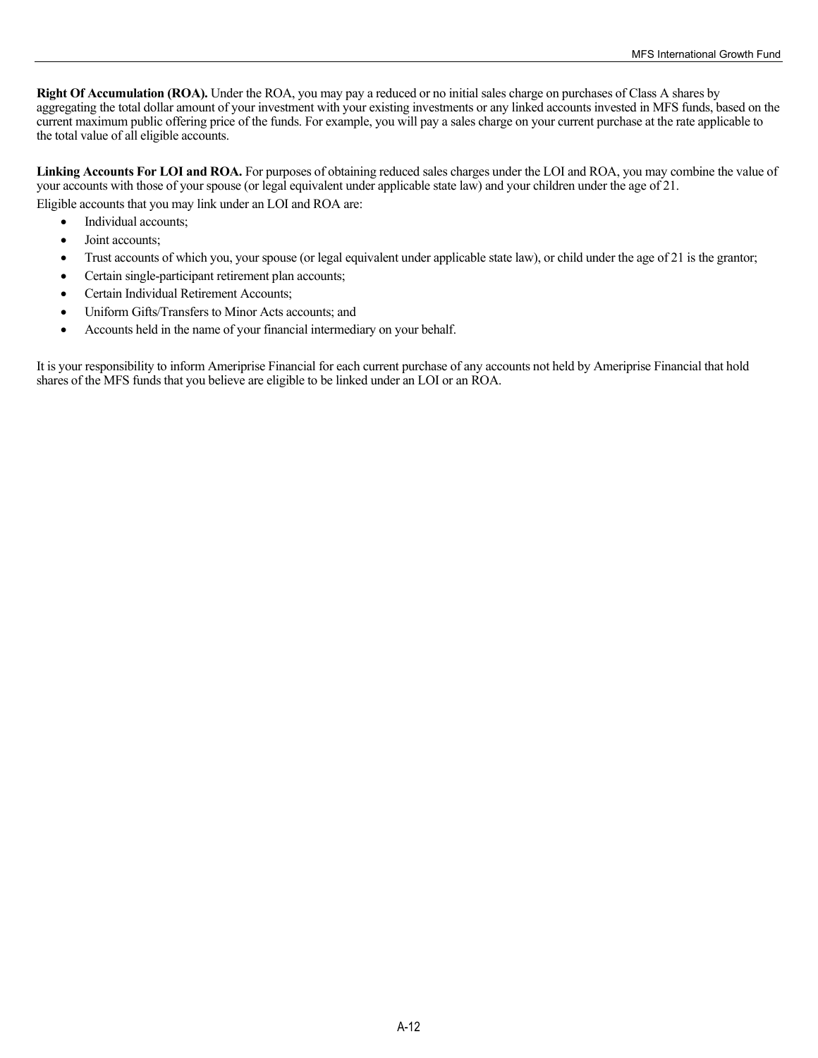**Right Of Accumulation (ROA).** Under the ROA, you may pay a reduced or no initial sales charge on purchases of Class A shares by aggregating the total dollar amount of your investment with your existing investments or any linked accounts invested in MFS funds, based on the current maximum public offering price of the funds. For example, you will pay a sales charge on your current purchase at the rate applicable to the total value of all eligible accounts.

Linking Accounts For LOI and ROA. For purposes of obtaining reduced sales charges under the LOI and ROA, you may combine the value of your accounts with those of your spouse (or legal equivalent under applicable state law) and your children under the age of 21.

Eligible accounts that you may link under an LOI and ROA are:

- Individual accounts;
- Joint accounts;
- Trust accounts of which you, your spouse (or legal equivalent under applicable state law), or child under the age of 21 is the grantor;
- Certain single-participant retirement plan accounts;
- Certain Individual Retirement Accounts;
- Uniform Gifts/Transfers to Minor Acts accounts; and
- Accounts held in the name of your financial intermediary on your behalf.

It is your responsibility to inform Ameriprise Financial for each current purchase of any accounts not held by Ameriprise Financial that hold shares of the MFS funds that you believe are eligible to be linked under an LOI or an ROA.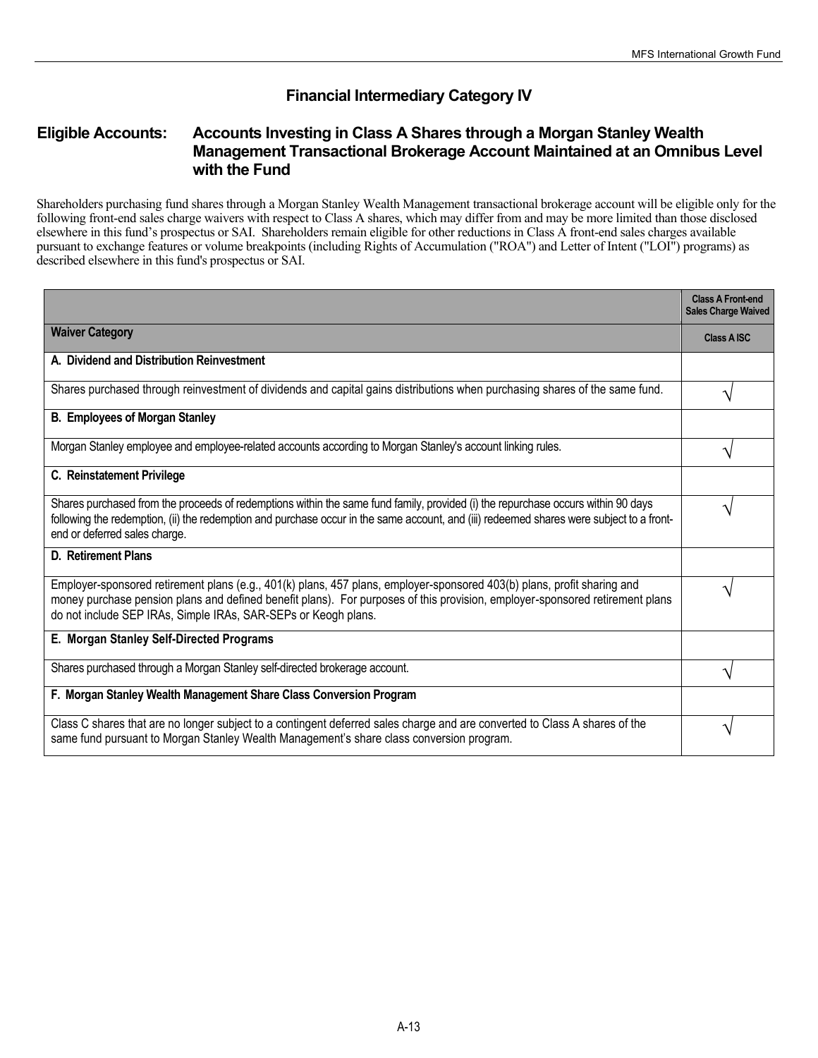# **Financial Intermediary Category IV**

# **Eligible Accounts: Accounts Investing in Class A Shares through a Morgan Stanley Wealth Management Transactional Brokerage Account Maintained at an Omnibus Level with the Fund**

Shareholders purchasing fund shares through a Morgan Stanley Wealth Management transactional brokerage account will be eligible only for the following front-end sales charge waivers with respect to Class A shares, which may differ from and may be more limited than those disclosed elsewhere in this fund's prospectus or SAI. Shareholders remain eligible for other reductions in Class A front-end sales charges available pursuant to exchange features or volume breakpoints (including Rights of Accumulation ("ROA") and Letter of Intent ("LOI") programs) as described elsewhere in this fund's prospectus or SAI.

|                                                                                                                                                                                                                                                                                                                           | <b>Class A Front-end</b><br><b>Sales Charge Waived</b> |
|---------------------------------------------------------------------------------------------------------------------------------------------------------------------------------------------------------------------------------------------------------------------------------------------------------------------------|--------------------------------------------------------|
| <b>Waiver Category</b>                                                                                                                                                                                                                                                                                                    | <b>Class A ISC</b>                                     |
| A. Dividend and Distribution Reinvestment                                                                                                                                                                                                                                                                                 |                                                        |
| Shares purchased through reinvestment of dividends and capital gains distributions when purchasing shares of the same fund.                                                                                                                                                                                               |                                                        |
| <b>B. Employees of Morgan Stanley</b>                                                                                                                                                                                                                                                                                     |                                                        |
| Morgan Stanley employee and employee-related accounts according to Morgan Stanley's account linking rules.                                                                                                                                                                                                                |                                                        |
| C. Reinstatement Privilege                                                                                                                                                                                                                                                                                                |                                                        |
| Shares purchased from the proceeds of redemptions within the same fund family, provided (i) the repurchase occurs within 90 days<br>following the redemption, (ii) the redemption and purchase occur in the same account, and (iii) redeemed shares were subject to a front-<br>end or deferred sales charge.             |                                                        |
| <b>D.</b> Retirement Plans                                                                                                                                                                                                                                                                                                |                                                        |
| Employer-sponsored retirement plans (e.g., 401(k) plans, 457 plans, employer-sponsored 403(b) plans, profit sharing and<br>money purchase pension plans and defined benefit plans). For purposes of this provision, employer-sponsored retirement plans<br>do not include SEP IRAs, Simple IRAs, SAR-SEPs or Keogh plans. |                                                        |
| E. Morgan Stanley Self-Directed Programs                                                                                                                                                                                                                                                                                  |                                                        |
| Shares purchased through a Morgan Stanley self-directed brokerage account.                                                                                                                                                                                                                                                |                                                        |
| F. Morgan Stanley Wealth Management Share Class Conversion Program                                                                                                                                                                                                                                                        |                                                        |
| Class C shares that are no longer subject to a contingent deferred sales charge and are converted to Class A shares of the<br>same fund pursuant to Morgan Stanley Wealth Management's share class conversion program.                                                                                                    |                                                        |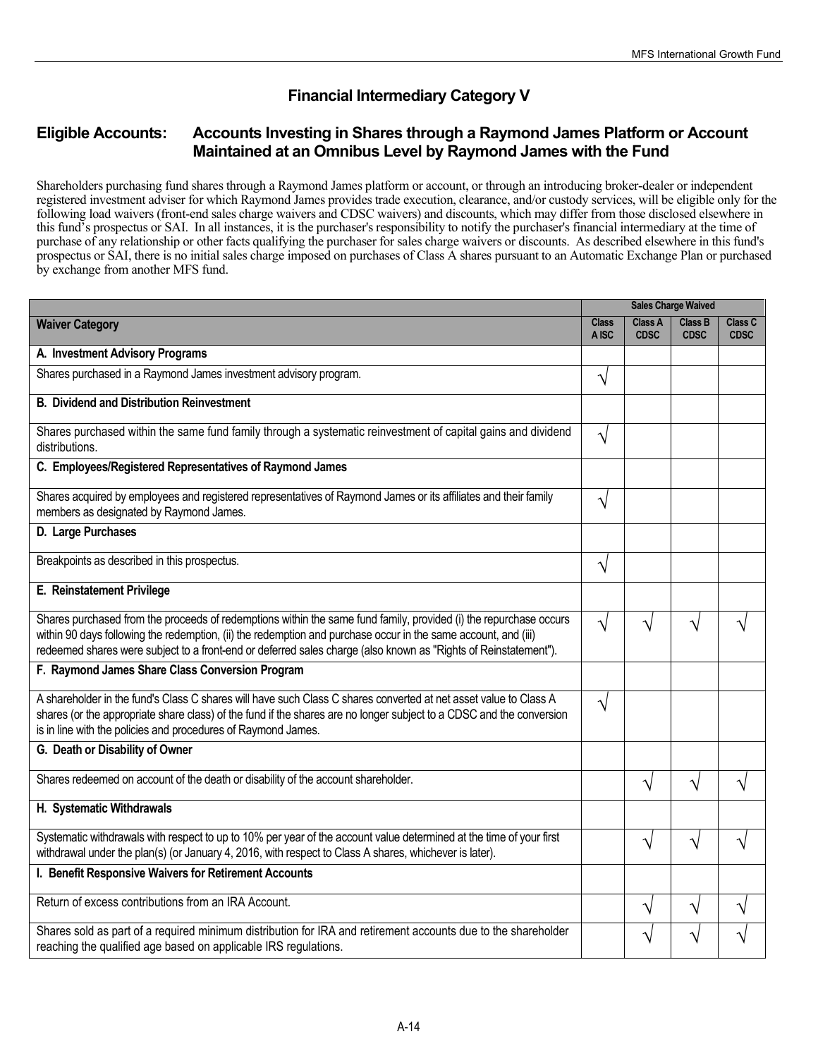# **Financial Intermediary Category V**

# **Eligible Accounts: Accounts Investing in Shares through a Raymond James Platform or Account Maintained at an Omnibus Level by Raymond James with the Fund**

Shareholders purchasing fund shares through a Raymond James platform or account, or through an introducing broker-dealer or independent registered investment adviser for which Raymond James provides trade execution, clearance, and/or custody services, will be eligible only for the following load waivers (front-end sales charge waivers and CDSC waivers) and discounts, which may differ from those disclosed elsewhere in this fund's prospectus or SAI. In all instances, it is the purchaser's responsibility to notify the purchaser's financial intermediary at the time of purchase of any relationship or other facts qualifying the purchaser for sales charge waivers or discounts. As described elsewhere in this fund's prospectus or SAI, there is no initial sales charge imposed on purchases of Class A shares pursuant to an Automatic Exchange Plan or purchased by exchange from another MFS fund.

|                                                                                                                                                                                                                                                                                                                                                        | <b>Sales Charge Waived</b> |                               |                               |                        |
|--------------------------------------------------------------------------------------------------------------------------------------------------------------------------------------------------------------------------------------------------------------------------------------------------------------------------------------------------------|----------------------------|-------------------------------|-------------------------------|------------------------|
| <b>Waiver Category</b>                                                                                                                                                                                                                                                                                                                                 | <b>Class</b><br>A ISC      | <b>Class A</b><br><b>CDSC</b> | <b>Class B</b><br><b>CDSC</b> | Class C<br><b>CDSC</b> |
| A. Investment Advisory Programs                                                                                                                                                                                                                                                                                                                        |                            |                               |                               |                        |
| Shares purchased in a Raymond James investment advisory program.                                                                                                                                                                                                                                                                                       | $\sqrt{}$                  |                               |                               |                        |
| <b>B. Dividend and Distribution Reinvestment</b>                                                                                                                                                                                                                                                                                                       |                            |                               |                               |                        |
| Shares purchased within the same fund family through a systematic reinvestment of capital gains and dividend<br>distributions.                                                                                                                                                                                                                         | V                          |                               |                               |                        |
| C. Employees/Registered Representatives of Raymond James                                                                                                                                                                                                                                                                                               |                            |                               |                               |                        |
| Shares acquired by employees and registered representatives of Raymond James or its affiliates and their family<br>members as designated by Raymond James.                                                                                                                                                                                             | $\sqrt{}$                  |                               |                               |                        |
| D. Large Purchases                                                                                                                                                                                                                                                                                                                                     |                            |                               |                               |                        |
| Breakpoints as described in this prospectus.                                                                                                                                                                                                                                                                                                           | $\sqrt{}$                  |                               |                               |                        |
| E. Reinstatement Privilege                                                                                                                                                                                                                                                                                                                             |                            |                               |                               |                        |
| Shares purchased from the proceeds of redemptions within the same fund family, provided (i) the repurchase occurs<br>within 90 days following the redemption, (ii) the redemption and purchase occur in the same account, and (iii)<br>redeemed shares were subject to a front-end or deferred sales charge (also known as "Rights of Reinstatement"). | $\sqrt{}$                  | ٦                             | V                             |                        |
| F. Raymond James Share Class Conversion Program                                                                                                                                                                                                                                                                                                        |                            |                               |                               |                        |
| A shareholder in the fund's Class C shares will have such Class C shares converted at net asset value to Class A<br>shares (or the appropriate share class) of the fund if the shares are no longer subject to a CDSC and the conversion<br>is in line with the policies and procedures of Raymond James.                                              | $\sqrt{}$                  |                               |                               |                        |
| G. Death or Disability of Owner                                                                                                                                                                                                                                                                                                                        |                            |                               |                               |                        |
| Shares redeemed on account of the death or disability of the account shareholder.                                                                                                                                                                                                                                                                      |                            | N                             | $\sqrt{}$                     | ٦                      |
| H. Systematic Withdrawals                                                                                                                                                                                                                                                                                                                              |                            |                               |                               |                        |
| Systematic withdrawals with respect to up to 10% per year of the account value determined at the time of your first<br>withdrawal under the plan(s) (or January 4, 2016, with respect to Class A shares, whichever is later).                                                                                                                          |                            | N                             | $\sqrt{}$                     | ٦1                     |
| I. Benefit Responsive Waivers for Retirement Accounts                                                                                                                                                                                                                                                                                                  |                            |                               |                               |                        |
| Return of excess contributions from an IRA Account.                                                                                                                                                                                                                                                                                                    |                            | N                             | $\boldsymbol{\gamma}$         | ٦                      |
| Shares sold as part of a required minimum distribution for IRA and retirement accounts due to the shareholder<br>reaching the qualified age based on applicable IRS regulations.                                                                                                                                                                       |                            | ٦                             |                               |                        |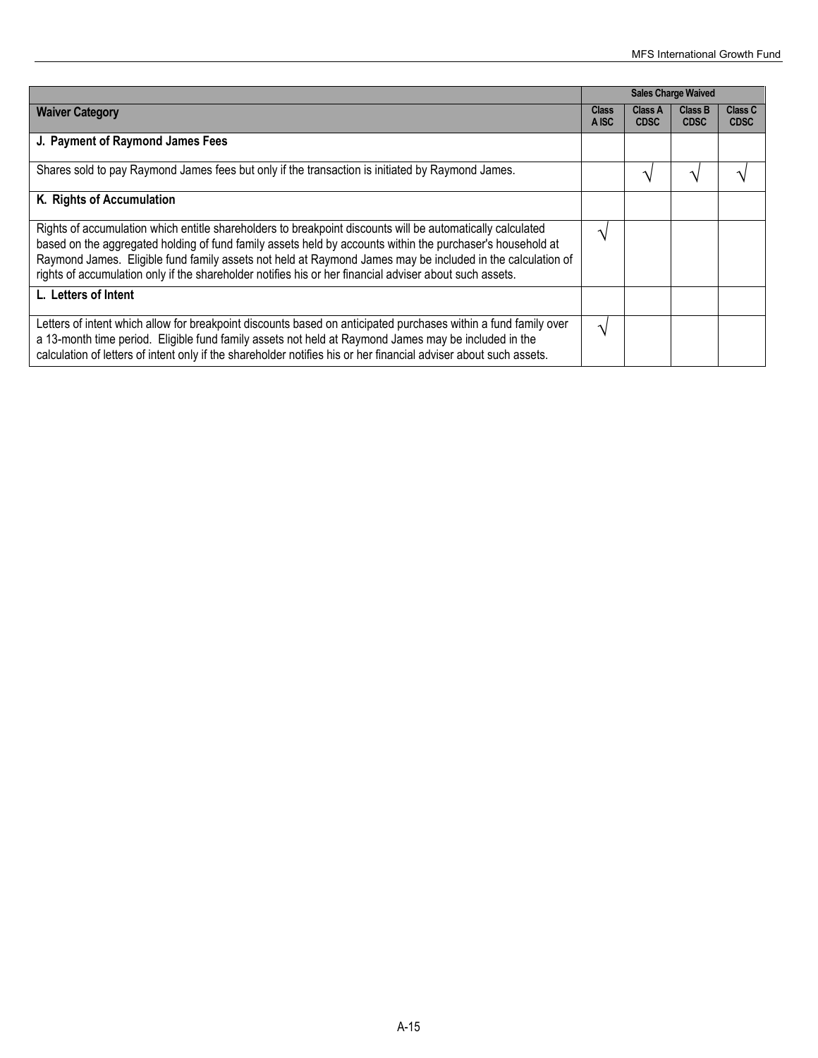|                                                                                                                                                                                                                                                                                                                                                                                                                                                   | <b>Sales Charge Waived</b> |                        |                               |                        |
|---------------------------------------------------------------------------------------------------------------------------------------------------------------------------------------------------------------------------------------------------------------------------------------------------------------------------------------------------------------------------------------------------------------------------------------------------|----------------------------|------------------------|-------------------------------|------------------------|
| <b>Waiver Category</b>                                                                                                                                                                                                                                                                                                                                                                                                                            | <b>Class</b><br>A ISC      | Class A<br><b>CDSC</b> | <b>Class B</b><br><b>CDSC</b> | Class C<br><b>CDSC</b> |
| J. Payment of Raymond James Fees                                                                                                                                                                                                                                                                                                                                                                                                                  |                            |                        |                               |                        |
| Shares sold to pay Raymond James fees but only if the transaction is initiated by Raymond James.                                                                                                                                                                                                                                                                                                                                                  |                            | ٦                      |                               |                        |
| K. Rights of Accumulation                                                                                                                                                                                                                                                                                                                                                                                                                         |                            |                        |                               |                        |
| Rights of accumulation which entitle shareholders to breakpoint discounts will be automatically calculated<br>based on the aggregated holding of fund family assets held by accounts within the purchaser's household at<br>Raymond James. Eligible fund family assets not held at Raymond James may be included in the calculation of<br>rights of accumulation only if the shareholder notifies his or her financial adviser about such assets. |                            |                        |                               |                        |
| L. Letters of Intent                                                                                                                                                                                                                                                                                                                                                                                                                              |                            |                        |                               |                        |
| Letters of intent which allow for breakpoint discounts based on anticipated purchases within a fund family over<br>a 13-month time period. Eligible fund family assets not held at Raymond James may be included in the<br>calculation of letters of intent only if the shareholder notifies his or her financial adviser about such assets.                                                                                                      | ٦                          |                        |                               |                        |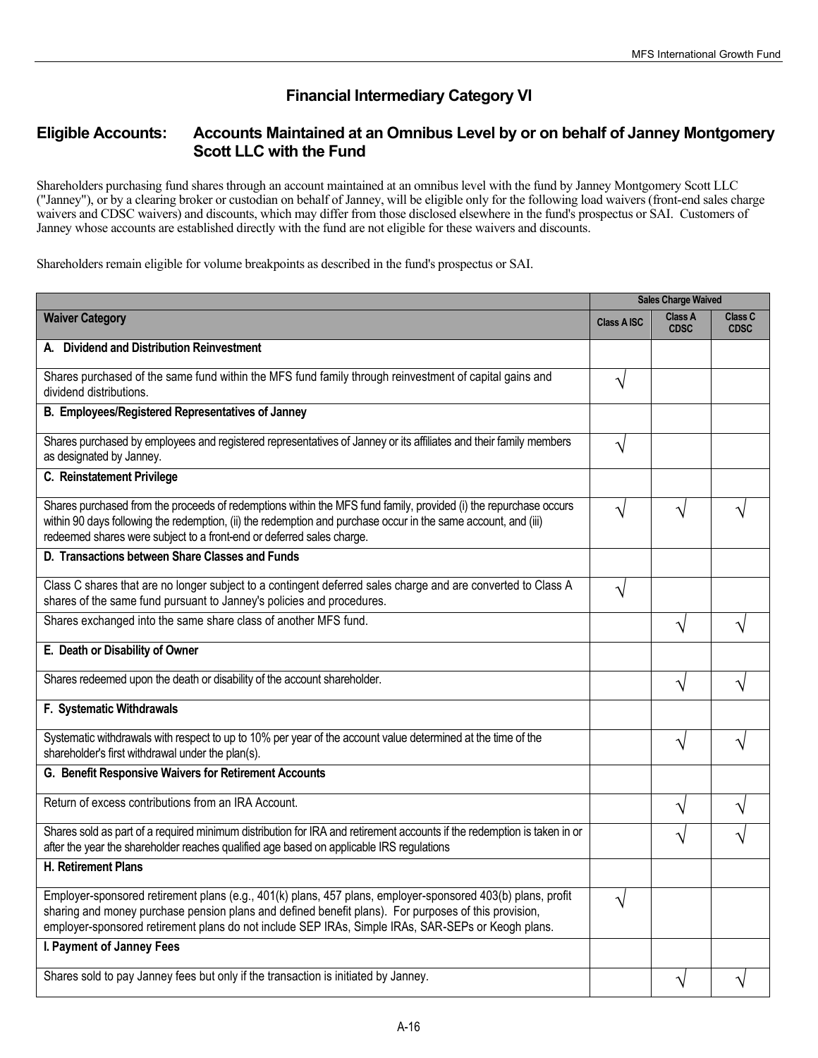# **Financial Intermediary Category VI**

## **Eligible Accounts: Accounts Maintained at an Omnibus Level by or on behalf of Janney Montgomery Scott LLC with the Fund**

Shareholders purchasing fund shares through an account maintained at an omnibus level with the fund by Janney Montgomery Scott LLC ("Janney"), or by a clearing broker or custodian on behalf of Janney, will be eligible only for the following load waivers (front-end sales charge waivers and CDSC waivers) and discounts, which may differ from those disclosed elsewhere in the fund's prospectus or SAI. Customers of Janney whose accounts are established directly with the fund are not eligible for these waivers and discounts.

Shareholders remain eligible for volume breakpoints as described in the fund's prospectus or SAI.

|                                                                                                                                                                                                                                                                                                                           | <b>Sales Charge Waived</b> |                               |                        |
|---------------------------------------------------------------------------------------------------------------------------------------------------------------------------------------------------------------------------------------------------------------------------------------------------------------------------|----------------------------|-------------------------------|------------------------|
| <b>Waiver Category</b>                                                                                                                                                                                                                                                                                                    | <b>Class A ISC</b>         | <b>Class A</b><br><b>CDSC</b> | Class C<br><b>CDSC</b> |
| A. Dividend and Distribution Reinvestment                                                                                                                                                                                                                                                                                 |                            |                               |                        |
| Shares purchased of the same fund within the MFS fund family through reinvestment of capital gains and<br>dividend distributions.                                                                                                                                                                                         | V                          |                               |                        |
| B. Employees/Registered Representatives of Janney                                                                                                                                                                                                                                                                         |                            |                               |                        |
| Shares purchased by employees and registered representatives of Janney or its affiliates and their family members<br>as designated by Janney.                                                                                                                                                                             | V                          |                               |                        |
| C. Reinstatement Privilege                                                                                                                                                                                                                                                                                                |                            |                               |                        |
| Shares purchased from the proceeds of redemptions within the MFS fund family, provided (i) the repurchase occurs<br>within 90 days following the redemption, (ii) the redemption and purchase occur in the same account, and (iii)<br>redeemed shares were subject to a front-end or deferred sales charge.               | $\mathcal{N}$              |                               |                        |
| D. Transactions between Share Classes and Funds                                                                                                                                                                                                                                                                           |                            |                               |                        |
| Class C shares that are no longer subject to a contingent deferred sales charge and are converted to Class A<br>shares of the same fund pursuant to Janney's policies and procedures.                                                                                                                                     | N                          |                               |                        |
| Shares exchanged into the same share class of another MFS fund.                                                                                                                                                                                                                                                           |                            | ٦                             |                        |
| E. Death or Disability of Owner                                                                                                                                                                                                                                                                                           |                            |                               |                        |
| Shares redeemed upon the death or disability of the account shareholder.                                                                                                                                                                                                                                                  |                            | V                             |                        |
| F. Systematic Withdrawals                                                                                                                                                                                                                                                                                                 |                            |                               |                        |
| Systematic withdrawals with respect to up to 10% per year of the account value determined at the time of the<br>shareholder's first withdrawal under the plan(s).                                                                                                                                                         |                            | V                             |                        |
| G. Benefit Responsive Waivers for Retirement Accounts                                                                                                                                                                                                                                                                     |                            |                               |                        |
| Return of excess contributions from an IRA Account.                                                                                                                                                                                                                                                                       |                            | V                             |                        |
| Shares sold as part of a required minimum distribution for IRA and retirement accounts if the redemption is taken in or<br>after the year the shareholder reaches qualified age based on applicable IRS regulations                                                                                                       |                            | ٦                             |                        |
| <b>H. Retirement Plans</b>                                                                                                                                                                                                                                                                                                |                            |                               |                        |
| Employer-sponsored retirement plans (e.g., 401(k) plans, 457 plans, employer-sponsored 403(b) plans, profit<br>sharing and money purchase pension plans and defined benefit plans). For purposes of this provision,<br>employer-sponsored retirement plans do not include SEP IRAs, Simple IRAs, SAR-SEPs or Keogh plans. | $\sqrt{}$                  |                               |                        |
| I. Payment of Janney Fees                                                                                                                                                                                                                                                                                                 |                            |                               |                        |
| Shares sold to pay Janney fees but only if the transaction is initiated by Janney.                                                                                                                                                                                                                                        |                            | $\sqrt{}$                     | V                      |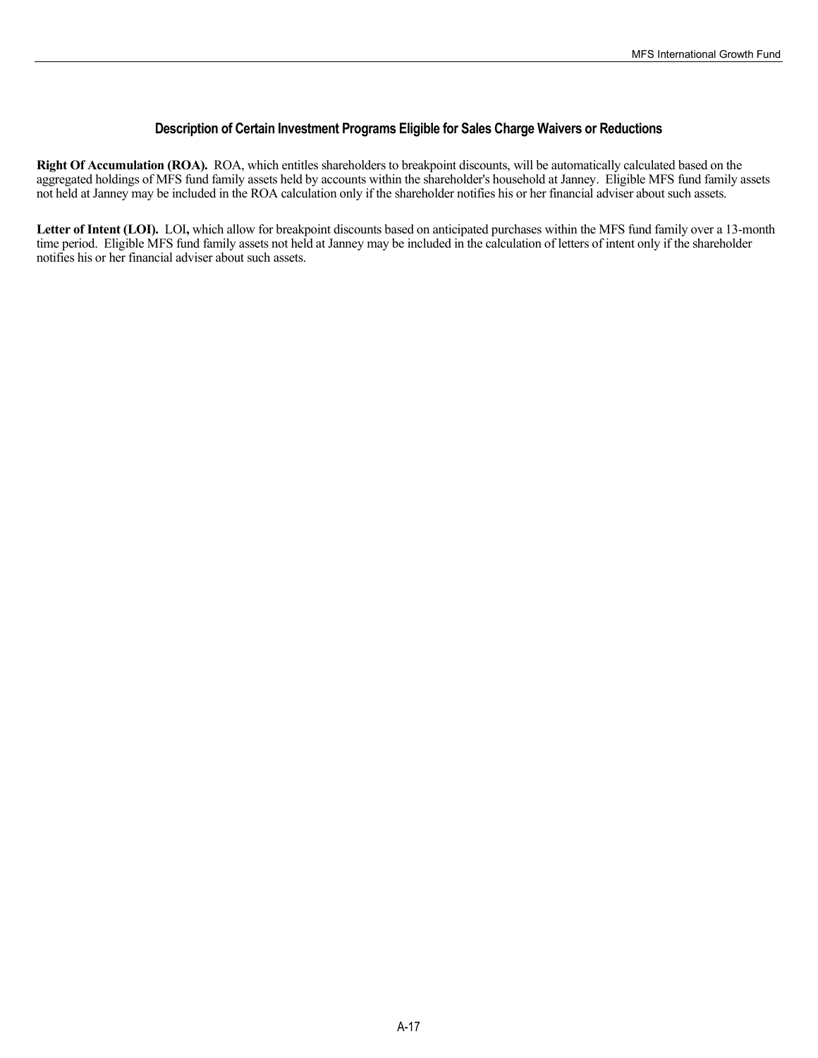#### **Description of Certain Investment Programs Eligible for Sales Charge Waivers or Reductions**

**Right Of Accumulation (ROA).** ROA, which entitles shareholders to breakpoint discounts, will be automatically calculated based on the aggregated holdings of MFS fund family assets held by accounts within the shareholder's household at Janney. Eligible MFS fund family assets not held at Janney may be included in the ROA calculation only if the shareholder notifies his or her financial adviser about such assets.

**Letter of Intent (LOI).** LOI**,** which allow for breakpoint discounts based on anticipated purchases within the MFS fund family over a 13-month time period. Eligible MFS fund family assets not held at Janney may be included in the calculation of letters of intent only if the shareholder notifies his or her financial adviser about such assets.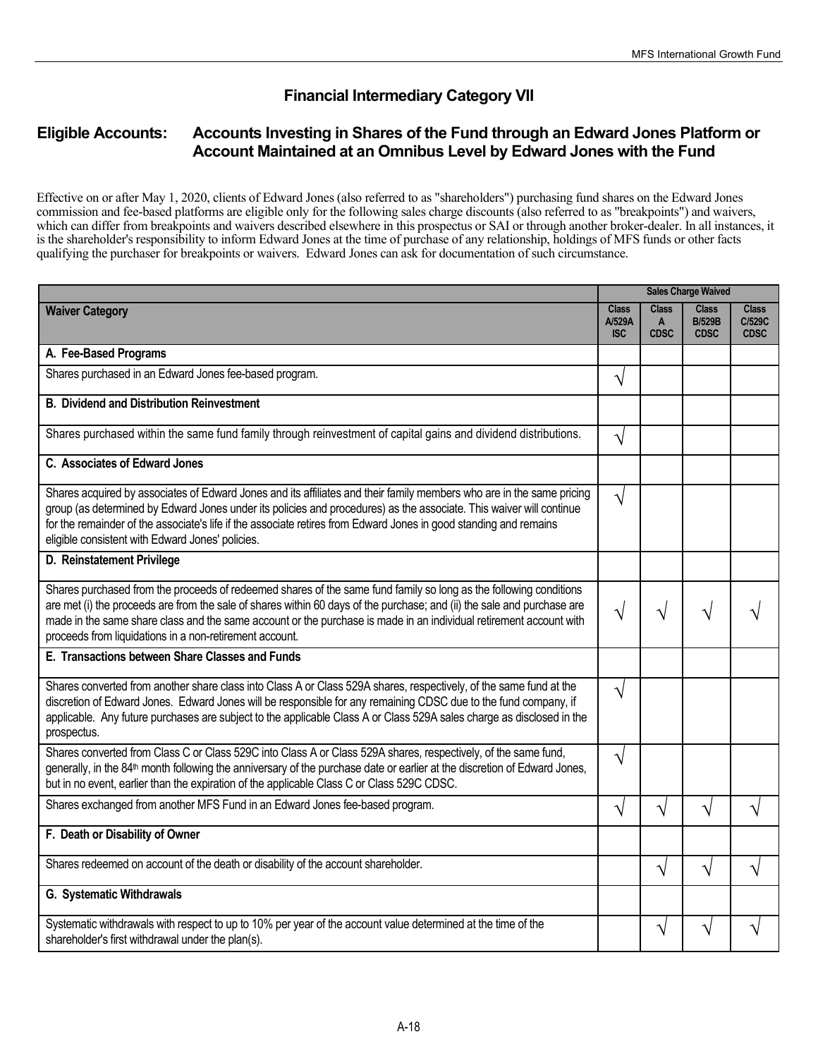# **Financial Intermediary Category VII**

# **Eligible Accounts: Accounts Investing in Shares of the Fund through an Edward Jones Platform or Account Maintained at an Omnibus Level by Edward Jones with the Fund**

Effective on or after May 1, 2020, clients of Edward Jones (also referred to as "shareholders") purchasing fund shares on the Edward Jones commission and fee-based platforms are eligible only for the following sales charge discounts (also referred to as "breakpoints") and waivers, which can differ from breakpoints and waivers described elsewhere in this prospectus or SAI or through another broker-dealer. In all instances, it is the shareholder's responsibility to inform Edward Jones at the time of purchase of any relationship, holdings of MFS funds or other facts qualifying the purchaser for breakpoints or waivers. Edward Jones can ask for documentation of such circumstance.

|                                                                                                                                                                                                                                                                                                                                                                                                                               | <b>Sales Charge Waived</b>           |                                  |                                              |                                       |
|-------------------------------------------------------------------------------------------------------------------------------------------------------------------------------------------------------------------------------------------------------------------------------------------------------------------------------------------------------------------------------------------------------------------------------|--------------------------------------|----------------------------------|----------------------------------------------|---------------------------------------|
| <b>Waiver Category</b>                                                                                                                                                                                                                                                                                                                                                                                                        | <b>Class</b><br>A/529A<br><b>ISC</b> | <b>Class</b><br>A<br><b>CDSC</b> | <b>Class</b><br><b>B/529B</b><br><b>CDSC</b> | <b>Class</b><br>C/529C<br><b>CDSC</b> |
| A. Fee-Based Programs                                                                                                                                                                                                                                                                                                                                                                                                         |                                      |                                  |                                              |                                       |
| Shares purchased in an Edward Jones fee-based program.                                                                                                                                                                                                                                                                                                                                                                        | $\sqrt{}$                            |                                  |                                              |                                       |
| <b>B. Dividend and Distribution Reinvestment</b>                                                                                                                                                                                                                                                                                                                                                                              |                                      |                                  |                                              |                                       |
| Shares purchased within the same fund family through reinvestment of capital gains and dividend distributions.                                                                                                                                                                                                                                                                                                                | $\sqrt{}$                            |                                  |                                              |                                       |
| C. Associates of Edward Jones                                                                                                                                                                                                                                                                                                                                                                                                 |                                      |                                  |                                              |                                       |
| Shares acquired by associates of Edward Jones and its affiliates and their family members who are in the same pricing<br>group (as determined by Edward Jones under its policies and procedures) as the associate. This waiver will continue<br>for the remainder of the associate's life if the associate retires from Edward Jones in good standing and remains<br>eligible consistent with Edward Jones' policies.         | $\sqrt{}$                            |                                  |                                              |                                       |
| D. Reinstatement Privilege                                                                                                                                                                                                                                                                                                                                                                                                    |                                      |                                  |                                              |                                       |
| Shares purchased from the proceeds of redeemed shares of the same fund family so long as the following conditions<br>are met (i) the proceeds are from the sale of shares within 60 days of the purchase; and (ii) the sale and purchase are<br>made in the same share class and the same account or the purchase is made in an individual retirement account with<br>proceeds from liquidations in a non-retirement account. | $\sqrt{}$                            | V                                | ٦                                            |                                       |
| E. Transactions between Share Classes and Funds                                                                                                                                                                                                                                                                                                                                                                               |                                      |                                  |                                              |                                       |
| Shares converted from another share class into Class A or Class 529A shares, respectively, of the same fund at the<br>discretion of Edward Jones. Edward Jones will be responsible for any remaining CDSC due to the fund company, if<br>applicable. Any future purchases are subject to the applicable Class A or Class 529A sales charge as disclosed in the<br>prospectus.                                                 | $\sqrt{}$                            |                                  |                                              |                                       |
| Shares converted from Class C or Class 529C into Class A or Class 529A shares, respectively, of the same fund,<br>generally, in the 84 <sup>th</sup> month following the anniversary of the purchase date or earlier at the discretion of Edward Jones,<br>but in no event, earlier than the expiration of the applicable Class C or Class 529C CDSC.                                                                         | $\sqrt{}$                            |                                  |                                              |                                       |
| Shares exchanged from another MFS Fund in an Edward Jones fee-based program.                                                                                                                                                                                                                                                                                                                                                  | $\sqrt{}$                            | N                                | N                                            |                                       |
| F. Death or Disability of Owner                                                                                                                                                                                                                                                                                                                                                                                               |                                      |                                  |                                              |                                       |
| Shares redeemed on account of the death or disability of the account shareholder.                                                                                                                                                                                                                                                                                                                                             |                                      | V                                | V                                            | V                                     |
| G. Systematic Withdrawals                                                                                                                                                                                                                                                                                                                                                                                                     |                                      |                                  |                                              |                                       |
| Systematic withdrawals with respect to up to 10% per year of the account value determined at the time of the<br>shareholder's first withdrawal under the plan(s).                                                                                                                                                                                                                                                             |                                      | ٦                                |                                              |                                       |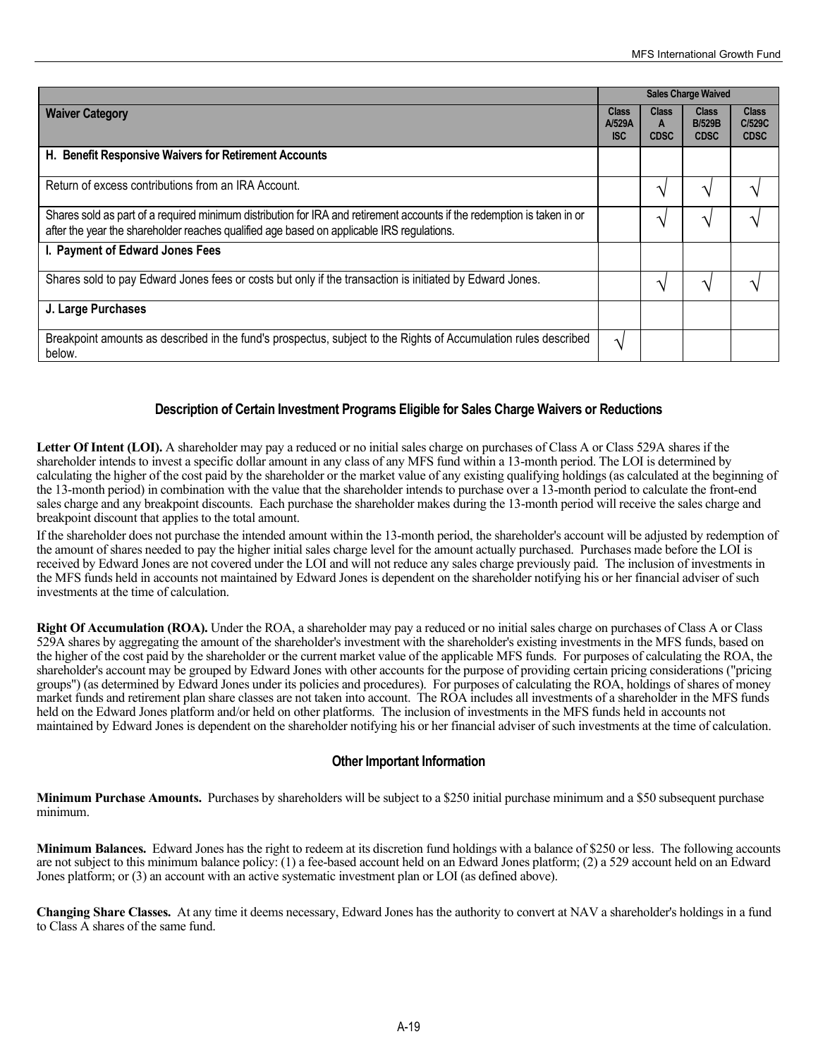|                                                                                                                                                                                                                      | <b>Sales Charge Waived</b>           |                                  |                                              |                                       |
|----------------------------------------------------------------------------------------------------------------------------------------------------------------------------------------------------------------------|--------------------------------------|----------------------------------|----------------------------------------------|---------------------------------------|
| <b>Waiver Category</b>                                                                                                                                                                                               | <b>Class</b><br>A/529A<br><b>ISC</b> | <b>Class</b><br>A<br><b>CDSC</b> | <b>Class</b><br><b>B/529B</b><br><b>CDSC</b> | <b>Class</b><br>C/529C<br><b>CDSC</b> |
| H. Benefit Responsive Waivers for Retirement Accounts                                                                                                                                                                |                                      |                                  |                                              |                                       |
| Return of excess contributions from an IRA Account.                                                                                                                                                                  |                                      | ٦                                | へ                                            |                                       |
| Shares sold as part of a required minimum distribution for IRA and retirement accounts if the redemption is taken in or<br>after the year the shareholder reaches qualified age based on applicable IRS regulations. |                                      | へ                                |                                              |                                       |
| I. Payment of Edward Jones Fees                                                                                                                                                                                      |                                      |                                  |                                              |                                       |
| Shares sold to pay Edward Jones fees or costs but only if the transaction is initiated by Edward Jones.                                                                                                              |                                      | ᄾ                                |                                              |                                       |
| J. Large Purchases                                                                                                                                                                                                   |                                      |                                  |                                              |                                       |
| Breakpoint amounts as described in the fund's prospectus, subject to the Rights of Accumulation rules described<br>below.                                                                                            | $\mathcal{N}$                        |                                  |                                              |                                       |

#### **Description of Certain Investment Programs Eligible for Sales Charge Waivers or Reductions**

Letter Of Intent (LOI). A shareholder may pay a reduced or no initial sales charge on purchases of Class A or Class 529A shares if the shareholder intends to invest a specific dollar amount in any class of any MFS fund within a 13-month period. The LOI is determined by calculating the higher of the cost paid by the shareholder or the market value of any existing qualifying holdings (as calculated at the beginning of the 13-month period) in combination with the value that the shareholder intends to purchase over a 13-month period to calculate the front-end sales charge and any breakpoint discounts. Each purchase the shareholder makes during the 13-month period will receive the sales charge and breakpoint discount that applies to the total amount.

If the shareholder does not purchase the intended amount within the 13-month period, the shareholder's account will be adjusted by redemption of the amount of shares needed to pay the higher initial sales charge level for the amount actually purchased. Purchases made before the LOI is received by Edward Jones are not covered under the LOI and will not reduce any sales charge previously paid. The inclusion of investments in the MFS funds held in accounts not maintained by Edward Jones is dependent on the shareholder notifying his or her financial adviser of such investments at the time of calculation.

**Right Of Accumulation (ROA).** Under the ROA, a shareholder may pay a reduced or no initial sales charge on purchases of Class A or Class 529A shares by aggregating the amount of the shareholder's investment with the shareholder's existing investments in the MFS funds, based on the higher of the cost paid by the shareholder or the current market value of the applicable MFS funds. For purposes of calculating the ROA, the shareholder's account may be grouped by Edward Jones with other accounts for the purpose of providing certain pricing considerations ("pricing groups") (as determined by Edward Jones under its policies and procedures). For purposes of calculating the ROA, holdings of shares of money market funds and retirement plan share classes are not taken into account. The ROA includes all investments of a shareholder in the MFS funds held on the Edward Jones platform and/or held on other platforms. The inclusion of investments in the MFS funds held in accounts not maintained by Edward Jones is dependent on the shareholder notifying his or her financial adviser of such investments at the time of calculation.

#### **Other Important Information**

**Minimum Purchase Amounts.** Purchases by shareholders will be subject to a \$250 initial purchase minimum and a \$50 subsequent purchase minimum.

**Minimum Balances.** Edward Jones has the right to redeem at its discretion fund holdings with a balance of \$250 or less. The following accounts are not subject to this minimum balance policy: (1) a fee-based account held on an Edward Jones platform; (2) a 529 account held on an Edward Jones platform; or (3) an account with an active systematic investment plan or LOI (as defined above).

**Changing Share Classes.** At any time it deems necessary, Edward Jones has the authority to convert at NAV a shareholder's holdings in a fund to Class A shares of the same fund.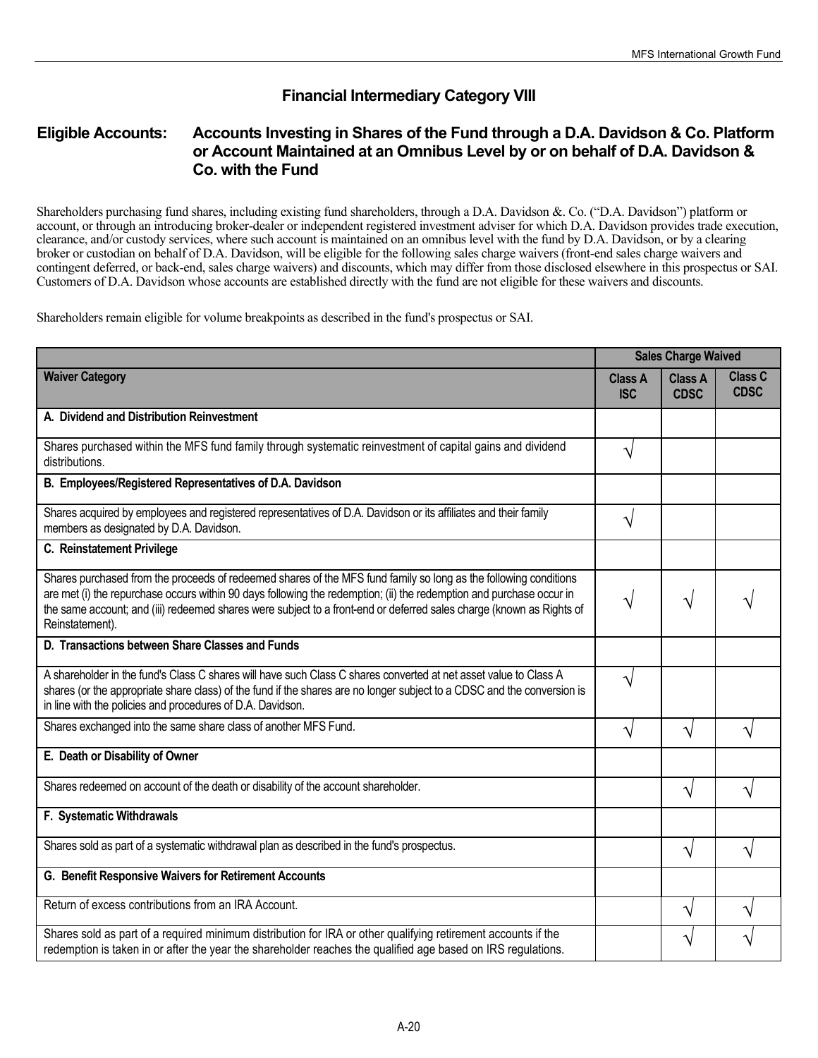# **Financial Intermediary Category VIII**

## **Eligible Accounts: Accounts Investing in Shares of the Fund through a D.A. Davidson & Co. Platform or Account Maintained at an Omnibus Level by or on behalf of D.A. Davidson & Co. with the Fund**

Shareholders purchasing fund shares, including existing fund shareholders, through a D.A. Davidson &. Co. ("D.A. Davidson") platform or account, or through an introducing broker-dealer or independent registered investment adviser for which D.A. Davidson provides trade execution, clearance, and/or custody services, where such account is maintained on an omnibus level with the fund by D.A. Davidson, or by a clearing broker or custodian on behalf of D.A. Davidson, will be eligible for the following sales charge waivers (front-end sales charge waivers and contingent deferred, or back-end, sales charge waivers) and discounts, which may differ from those disclosed elsewhere in this prospectus or SAI. Customers of D.A. Davidson whose accounts are established directly with the fund are not eligible for these waivers and discounts.

Shareholders remain eligible for volume breakpoints as described in the fund's prospectus or SAI.

|                                                                                                                                                                                                                                                                                                                                                                                     | <b>Sales Charge Waived</b>   |                               |                        |
|-------------------------------------------------------------------------------------------------------------------------------------------------------------------------------------------------------------------------------------------------------------------------------------------------------------------------------------------------------------------------------------|------------------------------|-------------------------------|------------------------|
| <b>Waiver Category</b>                                                                                                                                                                                                                                                                                                                                                              | <b>Class A</b><br><b>ISC</b> | <b>Class A</b><br><b>CDSC</b> | Class C<br><b>CDSC</b> |
| A. Dividend and Distribution Reinvestment                                                                                                                                                                                                                                                                                                                                           |                              |                               |                        |
| Shares purchased within the MFS fund family through systematic reinvestment of capital gains and dividend<br>distributions.                                                                                                                                                                                                                                                         | V                            |                               |                        |
| B. Employees/Registered Representatives of D.A. Davidson                                                                                                                                                                                                                                                                                                                            |                              |                               |                        |
| Shares acquired by employees and registered representatives of D.A. Davidson or its affiliates and their family<br>members as designated by D.A. Davidson.                                                                                                                                                                                                                          | V                            |                               |                        |
| C. Reinstatement Privilege                                                                                                                                                                                                                                                                                                                                                          |                              |                               |                        |
| Shares purchased from the proceeds of redeemed shares of the MFS fund family so long as the following conditions<br>are met (i) the repurchase occurs within 90 days following the redemption; (ii) the redemption and purchase occur in<br>the same account; and (iii) redeemed shares were subject to a front-end or deferred sales charge (known as Rights of<br>Reinstatement). | Ń                            | V                             |                        |
| D. Transactions between Share Classes and Funds                                                                                                                                                                                                                                                                                                                                     |                              |                               |                        |
| A shareholder in the fund's Class C shares will have such Class C shares converted at net asset value to Class A<br>shares (or the appropriate share class) of the fund if the shares are no longer subject to a CDSC and the conversion is<br>in line with the policies and procedures of D.A. Davidson.                                                                           | V                            |                               |                        |
| Shares exchanged into the same share class of another MFS Fund.                                                                                                                                                                                                                                                                                                                     | V                            | V                             |                        |
| E. Death or Disability of Owner                                                                                                                                                                                                                                                                                                                                                     |                              |                               |                        |
| Shares redeemed on account of the death or disability of the account shareholder.                                                                                                                                                                                                                                                                                                   |                              | $\sqrt{}$                     |                        |
| F. Systematic Withdrawals                                                                                                                                                                                                                                                                                                                                                           |                              |                               |                        |
| Shares sold as part of a systematic withdrawal plan as described in the fund's prospectus.                                                                                                                                                                                                                                                                                          |                              | N                             |                        |
| G. Benefit Responsive Waivers for Retirement Accounts                                                                                                                                                                                                                                                                                                                               |                              |                               |                        |
| Return of excess contributions from an IRA Account.                                                                                                                                                                                                                                                                                                                                 |                              | V                             |                        |
| Shares sold as part of a required minimum distribution for IRA or other qualifying retirement accounts if the<br>redemption is taken in or after the year the shareholder reaches the qualified age based on IRS regulations.                                                                                                                                                       |                              | V                             |                        |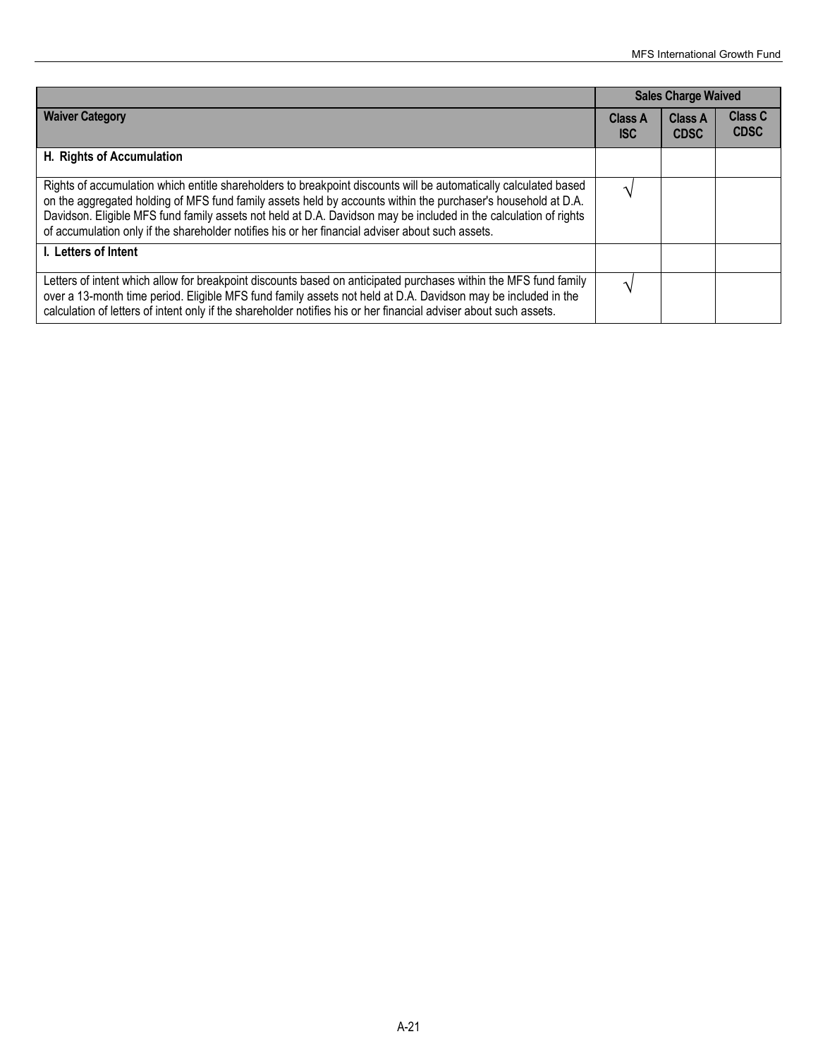|                                                                                                                                                                                                                                                                                                                                                                                                                                                           | <b>Sales Charge Waived</b>   |                               |                               |
|-----------------------------------------------------------------------------------------------------------------------------------------------------------------------------------------------------------------------------------------------------------------------------------------------------------------------------------------------------------------------------------------------------------------------------------------------------------|------------------------------|-------------------------------|-------------------------------|
| <b>Waiver Category</b>                                                                                                                                                                                                                                                                                                                                                                                                                                    | <b>Class A</b><br><b>ISC</b> | <b>Class A</b><br><b>CDSC</b> | <b>Class C</b><br><b>CDSC</b> |
| H. Rights of Accumulation                                                                                                                                                                                                                                                                                                                                                                                                                                 |                              |                               |                               |
| Rights of accumulation which entitle shareholders to breakpoint discounts will be automatically calculated based<br>on the aggregated holding of MFS fund family assets held by accounts within the purchaser's household at D.A.<br>Davidson. Eligible MFS fund family assets not held at D.A. Davidson may be included in the calculation of rights<br>of accumulation only if the shareholder notifies his or her financial adviser about such assets. |                              |                               |                               |
| I. Letters of Intent                                                                                                                                                                                                                                                                                                                                                                                                                                      |                              |                               |                               |
| Letters of intent which allow for breakpoint discounts based on anticipated purchases within the MFS fund family<br>over a 13-month time period. Eligible MFS fund family assets not held at D.A. Davidson may be included in the<br>calculation of letters of intent only if the shareholder notifies his or her financial adviser about such assets.                                                                                                    |                              |                               |                               |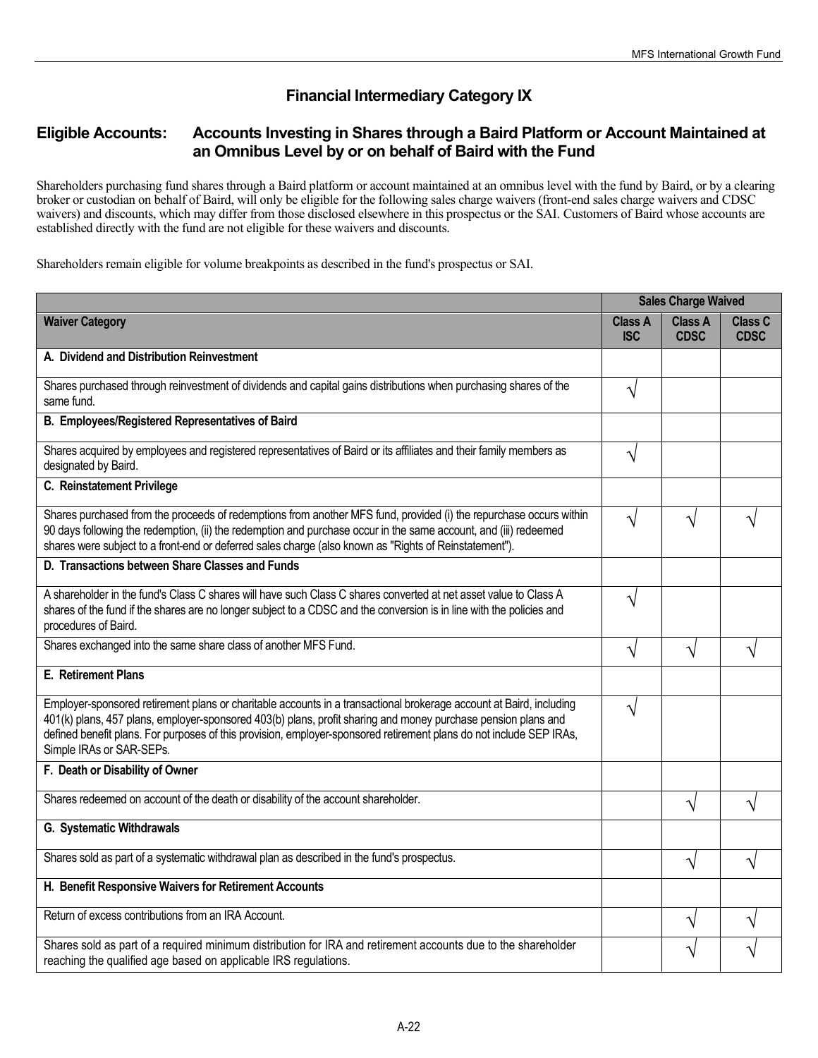# **Financial Intermediary Category IX**

# **Eligible Accounts: Accounts Investing in Shares through a Baird Platform or Account Maintained at an Omnibus Level by or on behalf of Baird with the Fund**

Shareholders purchasing fund shares through a Baird platform or account maintained at an omnibus level with the fund by Baird, or by a clearing broker or custodian on behalf of Baird, will only be eligible for the following sales charge waivers (front-end sales charge waivers and CDSC waivers) and discounts, which may differ from those disclosed elsewhere in this prospectus or the SAI. Customers of Baird whose accounts are established directly with the fund are not eligible for these waivers and discounts.

Shareholders remain eligible for volume breakpoints as described in the fund's prospectus or SAI.

|                                                                                                                                                                                                                                                                                                                                                                                         | <b>Sales Charge Waived</b>   |                               |                        |
|-----------------------------------------------------------------------------------------------------------------------------------------------------------------------------------------------------------------------------------------------------------------------------------------------------------------------------------------------------------------------------------------|------------------------------|-------------------------------|------------------------|
| <b>Waiver Category</b>                                                                                                                                                                                                                                                                                                                                                                  | <b>Class A</b><br><b>ISC</b> | <b>Class A</b><br><b>CDSC</b> | Class C<br><b>CDSC</b> |
| A. Dividend and Distribution Reinvestment                                                                                                                                                                                                                                                                                                                                               |                              |                               |                        |
| Shares purchased through reinvestment of dividends and capital gains distributions when purchasing shares of the<br>same fund.                                                                                                                                                                                                                                                          | V                            |                               |                        |
| B. Employees/Registered Representatives of Baird                                                                                                                                                                                                                                                                                                                                        |                              |                               |                        |
| Shares acquired by employees and registered representatives of Baird or its affiliates and their family members as<br>designated by Baird.                                                                                                                                                                                                                                              | V                            |                               |                        |
| C. Reinstatement Privilege                                                                                                                                                                                                                                                                                                                                                              |                              |                               |                        |
| Shares purchased from the proceeds of redemptions from another MFS fund, provided (i) the repurchase occurs within<br>90 days following the redemption, (ii) the redemption and purchase occur in the same account, and (iii) redeemed<br>shares were subject to a front-end or deferred sales charge (also known as "Rights of Reinstatement").                                        | N                            | V                             |                        |
| D. Transactions between Share Classes and Funds                                                                                                                                                                                                                                                                                                                                         |                              |                               |                        |
| A shareholder in the fund's Class C shares will have such Class C shares converted at net asset value to Class A<br>shares of the fund if the shares are no longer subject to a CDSC and the conversion is in line with the policies and<br>procedures of Baird.                                                                                                                        | V                            |                               |                        |
| Shares exchanged into the same share class of another MFS Fund.                                                                                                                                                                                                                                                                                                                         | V                            | V                             |                        |
| E. Retirement Plans                                                                                                                                                                                                                                                                                                                                                                     |                              |                               |                        |
| Employer-sponsored retirement plans or charitable accounts in a transactional brokerage account at Baird, including<br>401(k) plans, 457 plans, employer-sponsored 403(b) plans, profit sharing and money purchase pension plans and<br>defined benefit plans. For purposes of this provision, employer-sponsored retirement plans do not include SEP IRAs,<br>Simple IRAs or SAR-SEPs. | V                            |                               |                        |
| F. Death or Disability of Owner                                                                                                                                                                                                                                                                                                                                                         |                              |                               |                        |
| Shares redeemed on account of the death or disability of the account shareholder.                                                                                                                                                                                                                                                                                                       |                              | V                             |                        |
| G. Systematic Withdrawals                                                                                                                                                                                                                                                                                                                                                               |                              |                               |                        |
| Shares sold as part of a systematic withdrawal plan as described in the fund's prospectus.                                                                                                                                                                                                                                                                                              |                              | V                             | ٦                      |
| H. Benefit Responsive Waivers for Retirement Accounts                                                                                                                                                                                                                                                                                                                                   |                              |                               |                        |
| Return of excess contributions from an IRA Account.                                                                                                                                                                                                                                                                                                                                     |                              | ٦                             |                        |
| Shares sold as part of a required minimum distribution for IRA and retirement accounts due to the shareholder<br>reaching the qualified age based on applicable IRS regulations.                                                                                                                                                                                                        |                              |                               |                        |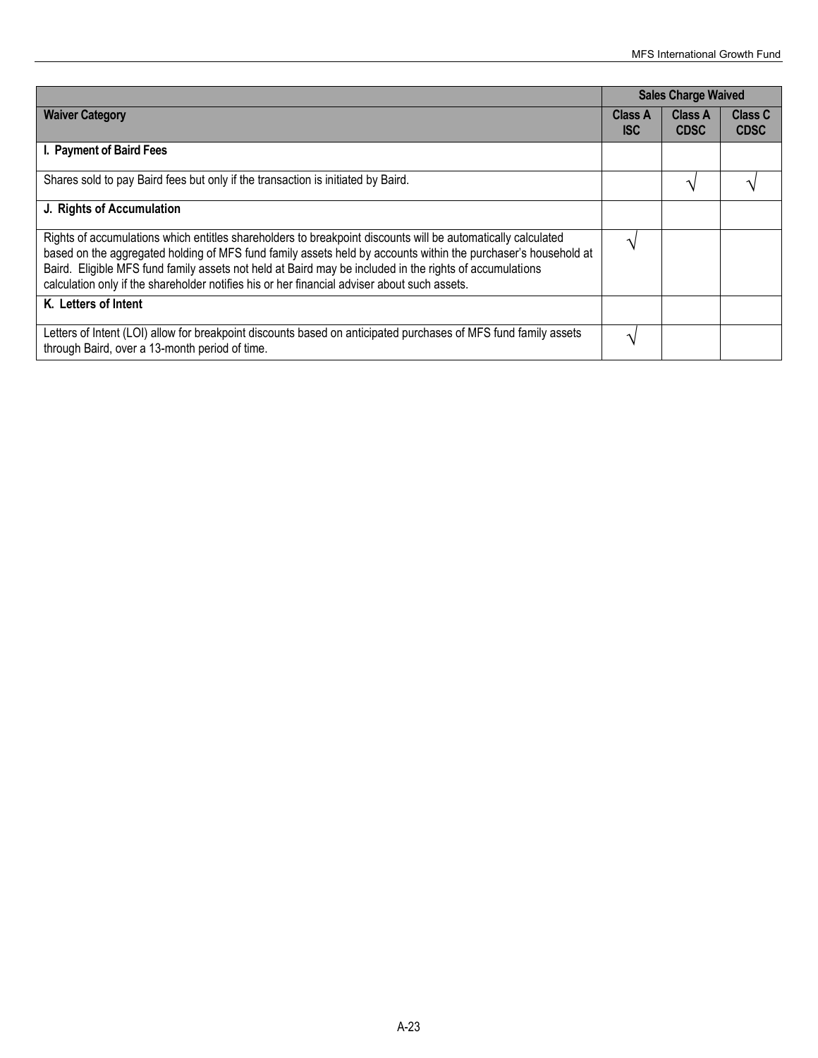|                                                                                                                                                                                                                                                                                                                                                                                                                                           | <b>Sales Charge Waived</b>   |                               |                               |
|-------------------------------------------------------------------------------------------------------------------------------------------------------------------------------------------------------------------------------------------------------------------------------------------------------------------------------------------------------------------------------------------------------------------------------------------|------------------------------|-------------------------------|-------------------------------|
| <b>Waiver Category</b>                                                                                                                                                                                                                                                                                                                                                                                                                    | <b>Class A</b><br><b>ISC</b> | <b>Class A</b><br><b>CDSC</b> | <b>Class C</b><br><b>CDSC</b> |
| I. Payment of Baird Fees                                                                                                                                                                                                                                                                                                                                                                                                                  |                              |                               |                               |
| Shares sold to pay Baird fees but only if the transaction is initiated by Baird.                                                                                                                                                                                                                                                                                                                                                          |                              |                               |                               |
| J. Rights of Accumulation                                                                                                                                                                                                                                                                                                                                                                                                                 |                              |                               |                               |
| Rights of accumulations which entitles shareholders to breakpoint discounts will be automatically calculated<br>based on the aggregated holding of MFS fund family assets held by accounts within the purchaser's household at<br>Baird. Eligible MFS fund family assets not held at Baird may be included in the rights of accumulations<br>calculation only if the shareholder notifies his or her financial adviser about such assets. |                              |                               |                               |
| K. Letters of Intent                                                                                                                                                                                                                                                                                                                                                                                                                      |                              |                               |                               |
| Letters of Intent (LOI) allow for breakpoint discounts based on anticipated purchases of MFS fund family assets<br>through Baird, over a 13-month period of time.                                                                                                                                                                                                                                                                         |                              |                               |                               |